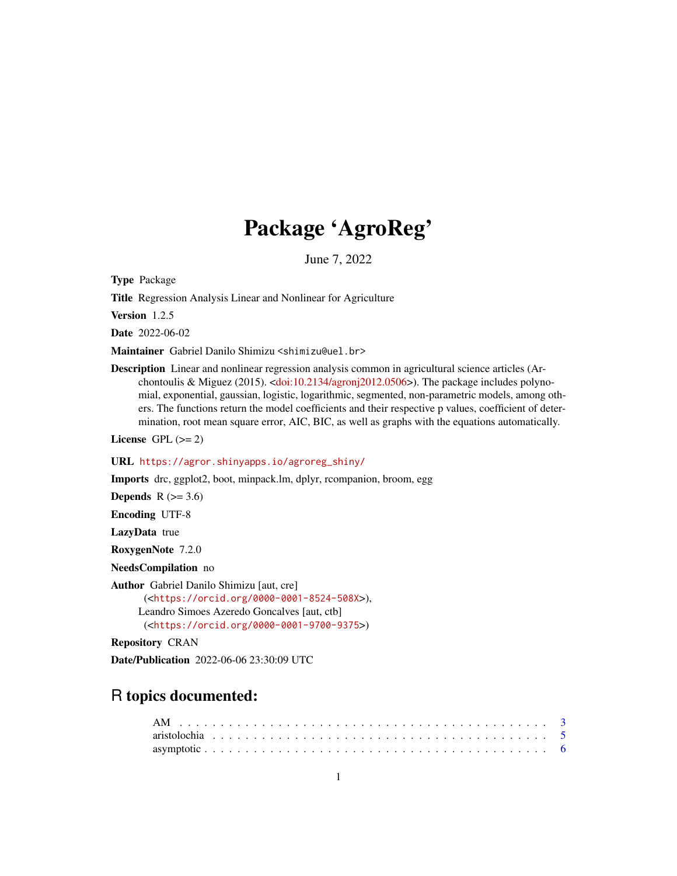# Package 'AgroReg'

June 7, 2022

Type Package

Title Regression Analysis Linear and Nonlinear for Agriculture

Version 1.2.5

Date 2022-06-02

Maintainer Gabriel Danilo Shimizu <shimizu@uel.br>

Description Linear and nonlinear regression analysis common in agricultural science articles (Archontoulis & Miguez (2015). [<doi:10.2134/agronj2012.0506>](https://doi.org/10.2134/agronj2012.0506)). The package includes polynomial, exponential, gaussian, logistic, logarithmic, segmented, non-parametric models, among others. The functions return the model coefficients and their respective p values, coefficient of determination, root mean square error, AIC, BIC, as well as graphs with the equations automatically.

License GPL  $(>= 2)$ 

#### URL [https://agror.shinyapps.io/agroreg\\_shiny/](https://agror.shinyapps.io/agroreg_shiny/)

Imports drc, ggplot2, boot, minpack.lm, dplyr, rcompanion, broom, egg

Depends  $R$  ( $>= 3.6$ )

Encoding UTF-8

LazyData true

RoxygenNote 7.2.0

NeedsCompilation no

Author Gabriel Danilo Shimizu [aut, cre] (<<https://orcid.org/0000-0001-8524-508X>>), Leandro Simoes Azeredo Goncalves [aut, ctb] (<<https://orcid.org/0000-0001-9700-9375>>)

Repository CRAN

Date/Publication 2022-06-06 23:30:09 UTC

# R topics documented: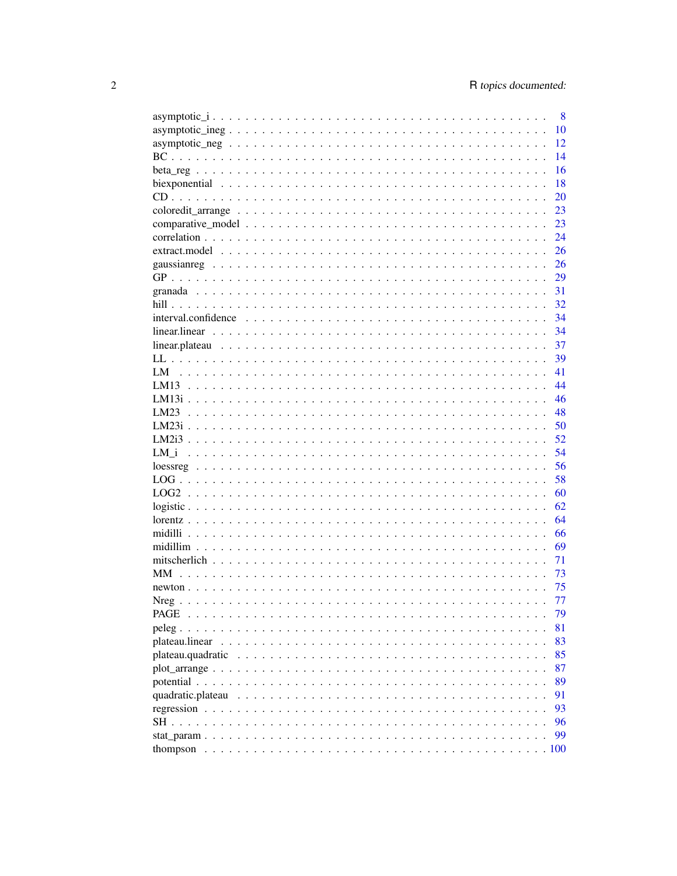| 8                                                                                                                       |
|-------------------------------------------------------------------------------------------------------------------------|
| 10                                                                                                                      |
| 12                                                                                                                      |
| 14                                                                                                                      |
| 16                                                                                                                      |
| 18                                                                                                                      |
| 20                                                                                                                      |
| 23                                                                                                                      |
| 23                                                                                                                      |
| 24                                                                                                                      |
| 26                                                                                                                      |
| 26                                                                                                                      |
| 29                                                                                                                      |
| 31                                                                                                                      |
| 32                                                                                                                      |
| $interval.\nconfidence \dots \dots \dots \dots \dots \dots \dots \dots \dots \dots \dots \dots \dots \dots \dots$<br>34 |
| 34                                                                                                                      |
| 37                                                                                                                      |
| 39                                                                                                                      |
| 41                                                                                                                      |
| 44                                                                                                                      |
| 46                                                                                                                      |
| 48<br>LM23                                                                                                              |
| 50                                                                                                                      |
| 52                                                                                                                      |
| 54<br>LM i                                                                                                              |
| 56                                                                                                                      |
| 58                                                                                                                      |
| 60                                                                                                                      |
| 62                                                                                                                      |
| 64                                                                                                                      |
| 66                                                                                                                      |
| 69                                                                                                                      |
| 71                                                                                                                      |
| MM.<br>73                                                                                                               |
| 75                                                                                                                      |
| 77                                                                                                                      |
| PAGE<br>79                                                                                                              |
| 81<br>$peleg.$ .                                                                                                        |
| 83<br>plateau.linear                                                                                                    |
| 85<br>plateau.quadratic                                                                                                 |
| 87                                                                                                                      |
| 89                                                                                                                      |
| 91<br>quadratic.plateau                                                                                                 |
| 93                                                                                                                      |
| 96<br>SH.                                                                                                               |
| 99                                                                                                                      |
|                                                                                                                         |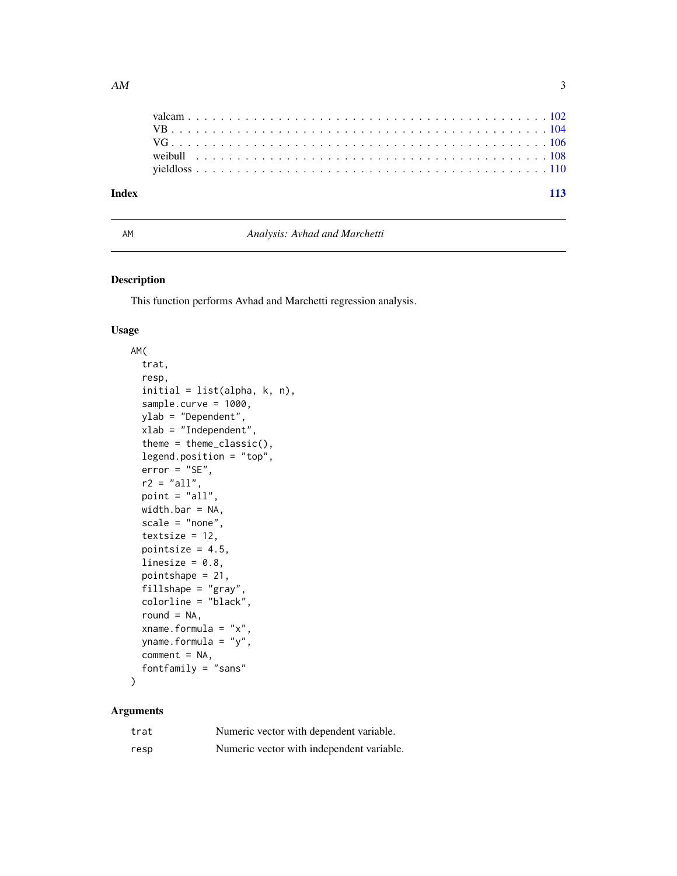<span id="page-2-0"></span>

| 113 |
|-----|
|     |
|     |
|     |
|     |
|     |
|     |

# AM *Analysis: Avhad and Marchetti*

# Description

This function performs Avhad and Marchetti regression analysis.

# Usage

```
AM(
  trat,
  resp,
  initial = list(alpha, k, n),sample.curve = 1000,
  ylab = "Dependent",
  xlab = "Independent",
  theme = theme_classic(),
  legend.position = "top",
  error = "SE",r2 = "all",point = "all",width.bar = NA,
  scale = "none",
  textsize = 12,
  pointsize = 4.5,
  linesize = 0.8,
  pointshape = 21,
  fillshape = "gray",
  colorline = "black",
  round = NA,
  xname.formula = "x",
  yname.formula = "y",
  comment = NA,
  fontfamily = "sans"
)
```

| trat | Numeric vector with dependent variable.   |
|------|-------------------------------------------|
| resp | Numeric vector with independent variable. |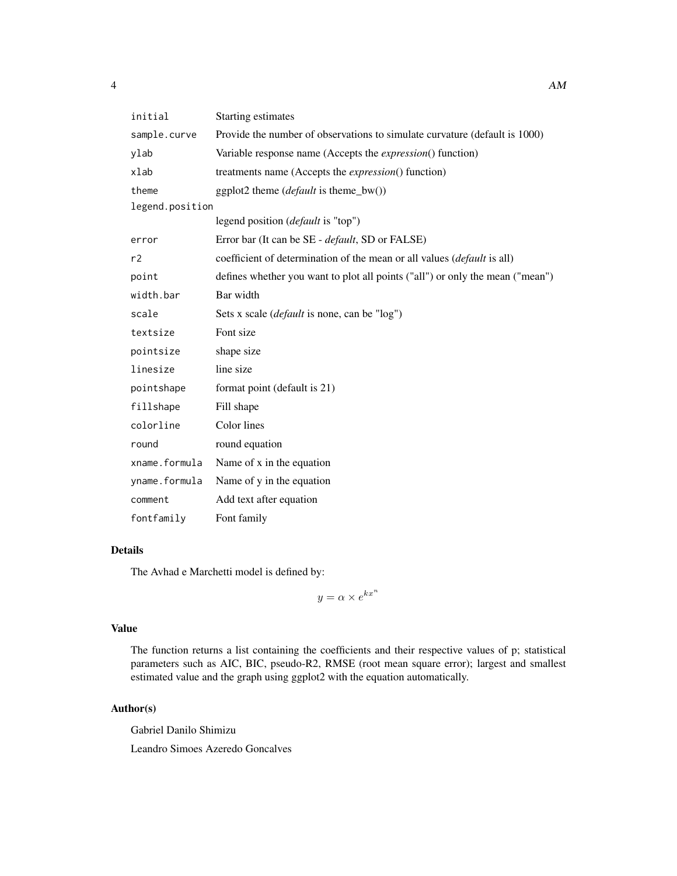| initial         | <b>Starting estimates</b>                                                     |
|-----------------|-------------------------------------------------------------------------------|
| sample.curve    | Provide the number of observations to simulate curvature (default is 1000)    |
| ylab            | Variable response name (Accepts the <i>expression</i> () function)            |
| xlab            | treatments name (Accepts the <i>expression</i> () function)                   |
| theme           | ggplot2 theme $(default \text{ is theme_bw}))$                                |
| legend.position |                                                                               |
|                 | legend position ( <i>default</i> is "top")                                    |
| error           | Error bar (It can be SE - <i>default</i> , SD or FALSE)                       |
| r2              | coefficient of determination of the mean or all values (default is all)       |
| point           | defines whether you want to plot all points ("all") or only the mean ("mean") |
| width.bar       | Bar width                                                                     |
| scale           | Sets x scale ( <i>default</i> is none, can be "log")                          |
| textsize        | Font size                                                                     |
| pointsize       | shape size                                                                    |
| linesize        | line size                                                                     |
| pointshape      | format point (default is 21)                                                  |
| fillshape       | Fill shape                                                                    |
| colorline       | Color lines                                                                   |
| round           | round equation                                                                |
| xname.formula   | Name of x in the equation                                                     |
| yname.formula   | Name of y in the equation                                                     |
| comment         | Add text after equation                                                       |
| fontfamily      | Font family                                                                   |

The Avhad e Marchetti model is defined by:

 $y = \alpha \times e^{kx^n}$ 

#### Value

The function returns a list containing the coefficients and their respective values of p; statistical parameters such as AIC, BIC, pseudo-R2, RMSE (root mean square error); largest and smallest estimated value and the graph using ggplot2 with the equation automatically.

# Author(s)

Gabriel Danilo Shimizu Leandro Simoes Azeredo Goncalves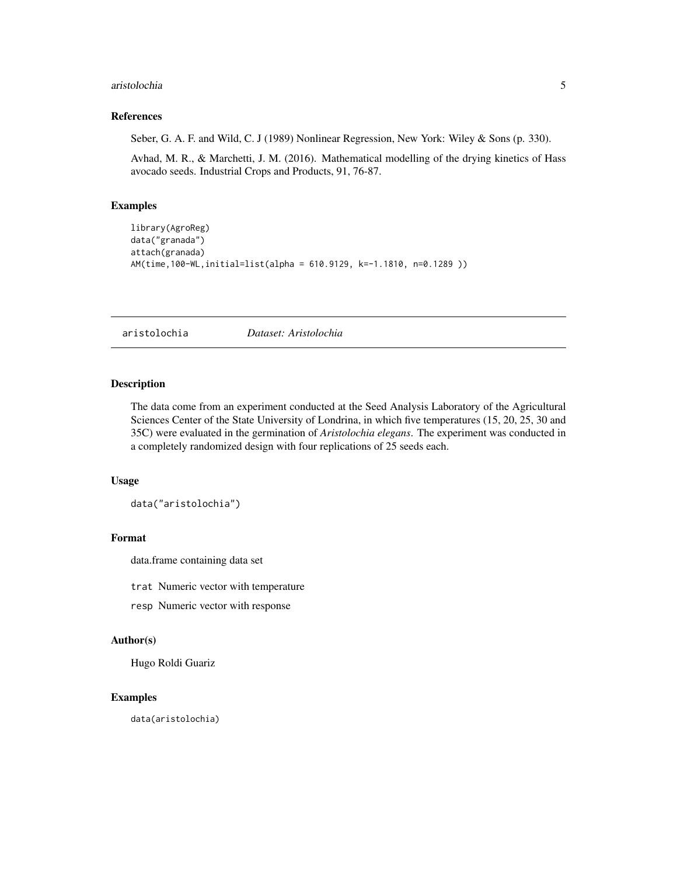#### <span id="page-4-0"></span>aristolochia 5

#### References

Seber, G. A. F. and Wild, C. J (1989) Nonlinear Regression, New York: Wiley & Sons (p. 330).

Avhad, M. R., & Marchetti, J. M. (2016). Mathematical modelling of the drying kinetics of Hass avocado seeds. Industrial Crops and Products, 91, 76-87.

# Examples

```
library(AgroReg)
data("granada")
attach(granada)
AM(time,100-WL,initial=list(alpha = 610.9129, k=-1.1810, n=0.1289 ))
```
aristolochia *Dataset: Aristolochia*

# Description

The data come from an experiment conducted at the Seed Analysis Laboratory of the Agricultural Sciences Center of the State University of Londrina, in which five temperatures (15, 20, 25, 30 and 35C) were evaluated in the germination of *Aristolochia elegans*. The experiment was conducted in a completely randomized design with four replications of 25 seeds each.

#### Usage

data("aristolochia")

# Format

data.frame containing data set

trat Numeric vector with temperature

resp Numeric vector with response

# Author(s)

Hugo Roldi Guariz

#### Examples

data(aristolochia)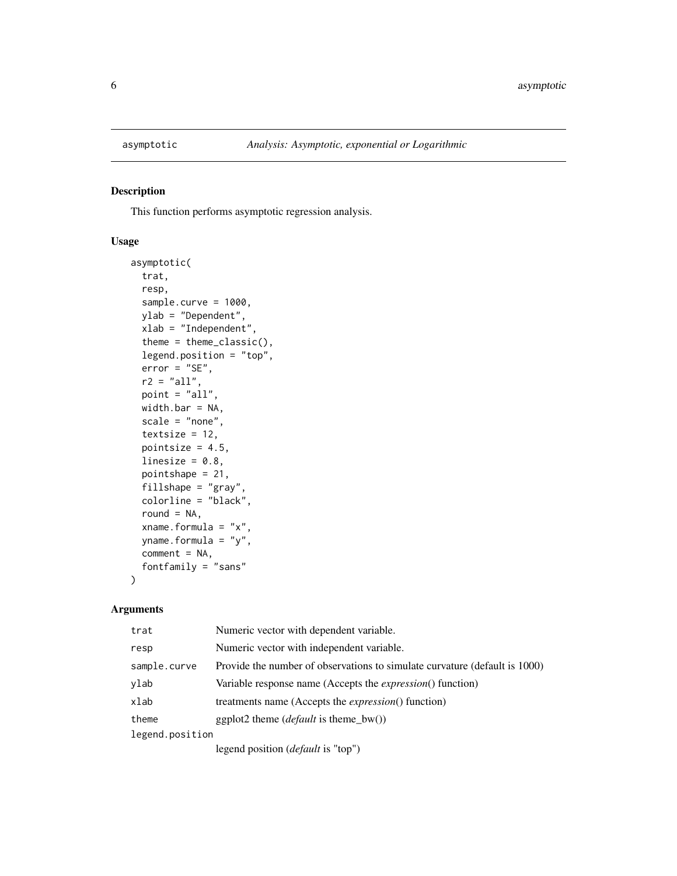<span id="page-5-0"></span>

This function performs asymptotic regression analysis.

#### Usage

```
asymptotic(
  trat,
  resp,
  sample.curve = 1000,
 ylab = "Dependent",
 xlab = "Independent",
  theme = theme_classic(),
  legend.position = "top",
  error = "SE",
  r2 = "all",point = "all",
 width.bar = NA,
  scale = "none",
  textsize = 12,
 pointsize = 4.5,
  linesize = 0.8,
  pointshape = 21,
  fillshape = "gray",
  colorline = "black",
  round = NA,
  xname.formula = "x",
 yname.formula = "y",
  comment = NA,fontfamily = "sans"
)
```

| trat            | Numeric vector with dependent variable.                                    |
|-----------------|----------------------------------------------------------------------------|
| resp            | Numeric vector with independent variable.                                  |
| sample.curve    | Provide the number of observations to simulate curvature (default is 1000) |
| ylab            | Variable response name (Accepts the <i>expression</i> () function)         |
| xlab            | treatments name (Accepts the <i>expression</i> () function)                |
| theme           | ggplot2 theme ( <i>default</i> is theme_bw())                              |
| legend.position |                                                                            |
|                 | legend position ( <i>default</i> is "top")                                 |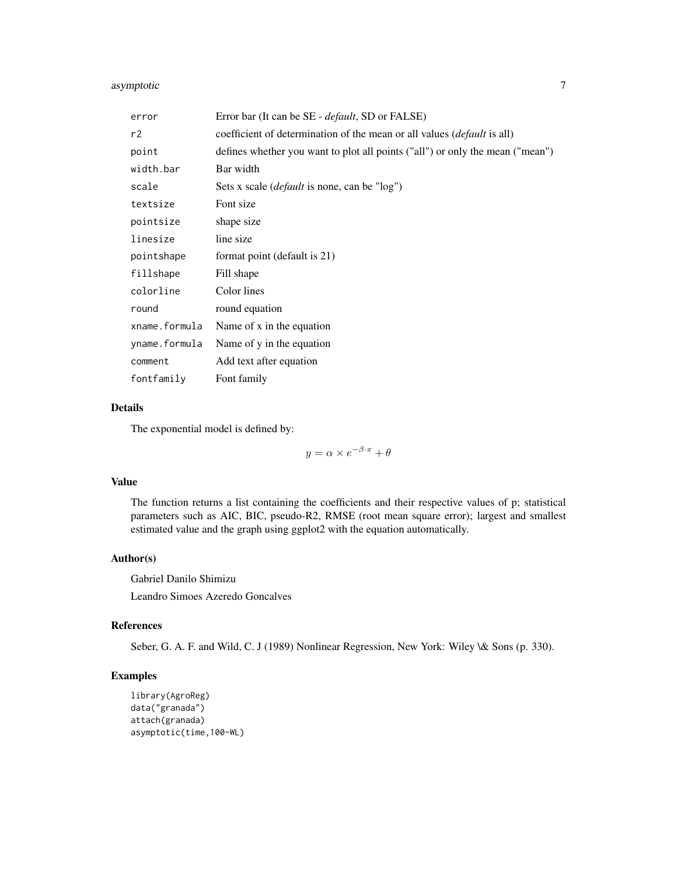# asymptotic 7

| error         | Error bar (It can be SE - <i>default</i> , SD or FALSE)                        |
|---------------|--------------------------------------------------------------------------------|
| r2            | coefficient of determination of the mean or all values <i>(default is all)</i> |
| point         | defines whether you want to plot all points ("all") or only the mean ("mean")  |
| width.bar     | Bar width                                                                      |
| scale         | Sets x scale ( <i>default</i> is none, can be "log")                           |
| textsize      | Font size                                                                      |
| pointsize     | shape size                                                                     |
| linesize      | line size                                                                      |
| pointshape    | format point (default is 21)                                                   |
| fillshape     | Fill shape                                                                     |
| colorline     | Color lines                                                                    |
| round         | round equation                                                                 |
| xname.formula | Name of x in the equation                                                      |
| yname.formula | Name of y in the equation                                                      |
| comment       | Add text after equation                                                        |
| fontfamily    | Font family                                                                    |

# Details

The exponential model is defined by:

 $y = \alpha \times e^{-\beta \cdot x} + \theta$ 

#### Value

The function returns a list containing the coefficients and their respective values of p; statistical parameters such as AIC, BIC, pseudo-R2, RMSE (root mean square error); largest and smallest estimated value and the graph using ggplot2 with the equation automatically.

#### Author(s)

Gabriel Danilo Shimizu Leandro Simoes Azeredo Goncalves

# References

Seber, G. A. F. and Wild, C. J (1989) Nonlinear Regression, New York: Wiley \& Sons (p. 330).

```
library(AgroReg)
data("granada")
attach(granada)
asymptotic(time,100-WL)
```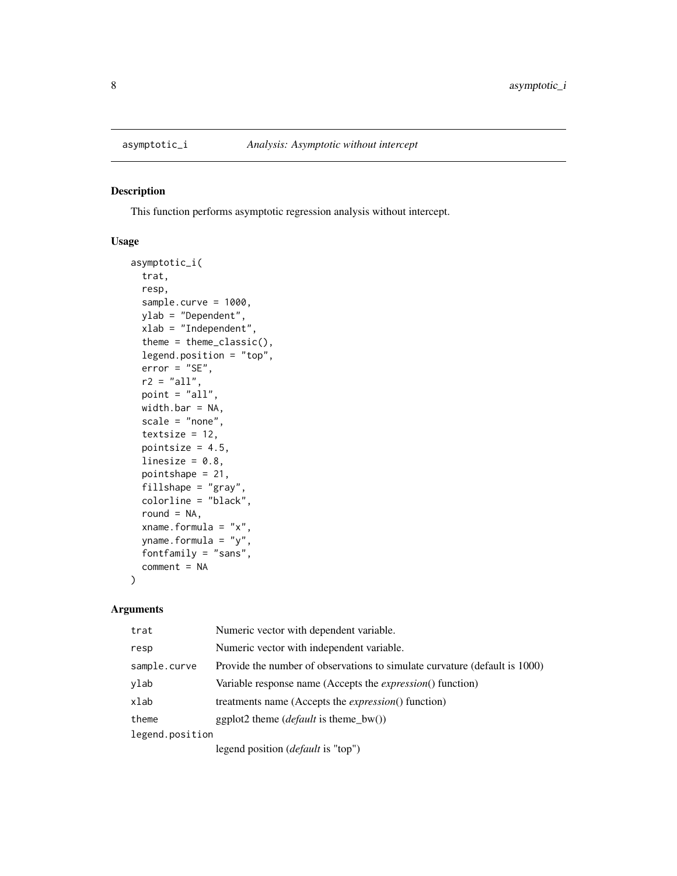<span id="page-7-0"></span>

This function performs asymptotic regression analysis without intercept.

#### Usage

```
asymptotic_i(
  trat,
  resp,
  sample.curve = 1000,
 ylab = "Dependent",
 xlab = "Independent",
  theme = theme_classic(),
  legend.position = "top",
  error = "SE",r2 = "all",point = "all",
 width.bar = NA,
  scale = "none",
  textsize = 12,
 pointsize = 4.5,
  linesize = 0.8,
  pointshape = 21,
  fillshape = "gray",
  colorline = "black",
  round = NA,
  xname.formula = "x",yname.formula = "y",
  fontfamily = "sans",
  comment = NA
)
```

| trat            | Numeric vector with dependent variable.                                    |
|-----------------|----------------------------------------------------------------------------|
| resp            | Numeric vector with independent variable.                                  |
| sample.curve    | Provide the number of observations to simulate curvature (default is 1000) |
| ylab            | Variable response name (Accepts the <i>expression</i> () function)         |
| xlab            | treatments name (Accepts the <i>expression</i> () function)                |
| theme           | ggplot2 theme ( <i>default</i> is theme_bw())                              |
| legend.position |                                                                            |
|                 | legend position ( <i>default</i> is "top")                                 |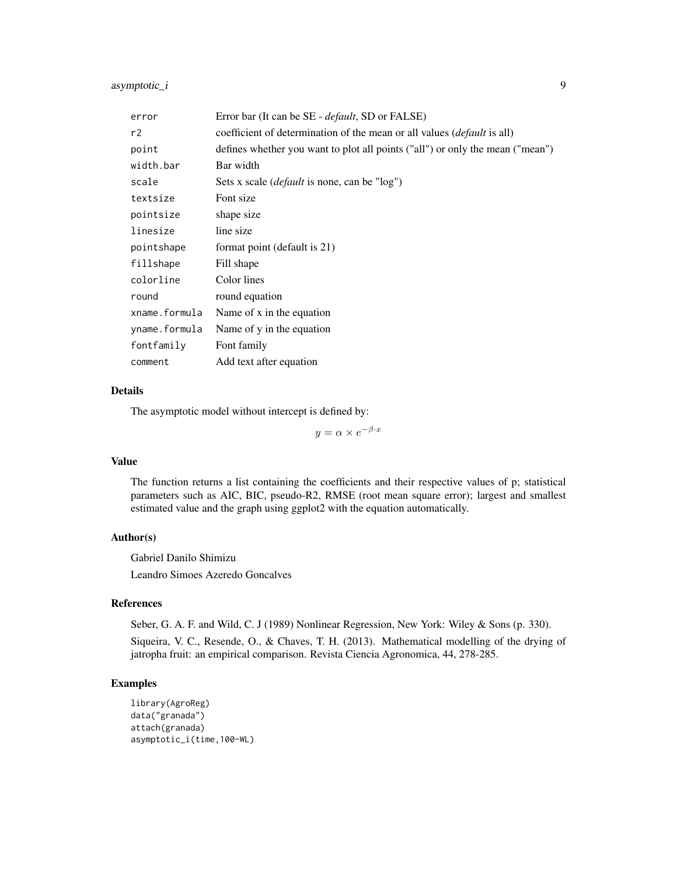asymptotic\_i 9

| error         | Error bar (It can be SE - <i>default</i> , SD or FALSE)                        |
|---------------|--------------------------------------------------------------------------------|
| r2            | coefficient of determination of the mean or all values <i>(default is all)</i> |
| point         | defines whether you want to plot all points ("all") or only the mean ("mean")  |
| width.bar     | Bar width                                                                      |
| scale         | Sets x scale <i>(default</i> is none, can be "log")                            |
| textsize      | Font size                                                                      |
| pointsize     | shape size                                                                     |
| linesize      | line size                                                                      |
| pointshape    | format point (default is 21)                                                   |
| fillshape     | Fill shape                                                                     |
| colorline     | Color lines                                                                    |
| round         | round equation                                                                 |
| xname.formula | Name of x in the equation                                                      |
| yname.formula | Name of y in the equation                                                      |
| fontfamily    | Font family                                                                    |
| comment       | Add text after equation                                                        |

# Details

The asymptotic model without intercept is defined by:

 $y = \alpha \times e^{-\beta \cdot x}$ 

#### Value

The function returns a list containing the coefficients and their respective values of p; statistical parameters such as AIC, BIC, pseudo-R2, RMSE (root mean square error); largest and smallest estimated value and the graph using ggplot2 with the equation automatically.

#### Author(s)

Gabriel Danilo Shimizu Leandro Simoes Azeredo Goncalves

#### References

Seber, G. A. F. and Wild, C. J (1989) Nonlinear Regression, New York: Wiley & Sons (p. 330). Siqueira, V. C., Resende, O., & Chaves, T. H. (2013). Mathematical modelling of the drying of jatropha fruit: an empirical comparison. Revista Ciencia Agronomica, 44, 278-285.

```
library(AgroReg)
data("granada")
attach(granada)
asymptotic_i(time,100-WL)
```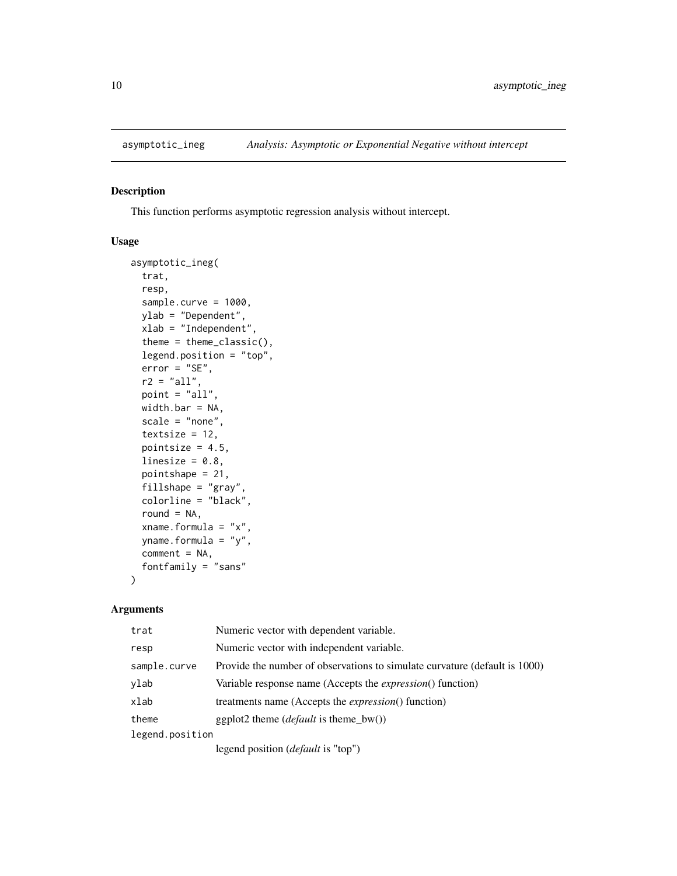<span id="page-9-0"></span>

This function performs asymptotic regression analysis without intercept.

# Usage

```
asymptotic_ineg(
  trat,
  resp,
  sample.curve = 1000,
  ylab = "Dependent",
 xlab = "Independent",
  theme = theme_classic(),
  legend.position = "top",
  error = "SE",r2 = "all",point = "all",
 width.bar = NA,
  scale = "none",
  textsize = 12,
 pointsize = 4.5,
  linesize = 0.8,
  pointshape = 21,
  fillshape = "gray",
  colorline = "black",
  round = NA,
  xname.formula = "x",
 yname.formula = "y",
  comment = NA,fontfamily = "sans"
)
```

| trat            | Numeric vector with dependent variable.                                    |
|-----------------|----------------------------------------------------------------------------|
| resp            | Numeric vector with independent variable.                                  |
| sample.curve    | Provide the number of observations to simulate curvature (default is 1000) |
| ylab            | Variable response name (Accepts the <i>expression</i> () function)         |
| xlab            | treatments name (Accepts the <i>expression</i> () function)                |
| theme           | ggplot2 theme ( <i>default</i> is theme_bw())                              |
| legend.position |                                                                            |
|                 | legend position ( <i>default</i> is "top")                                 |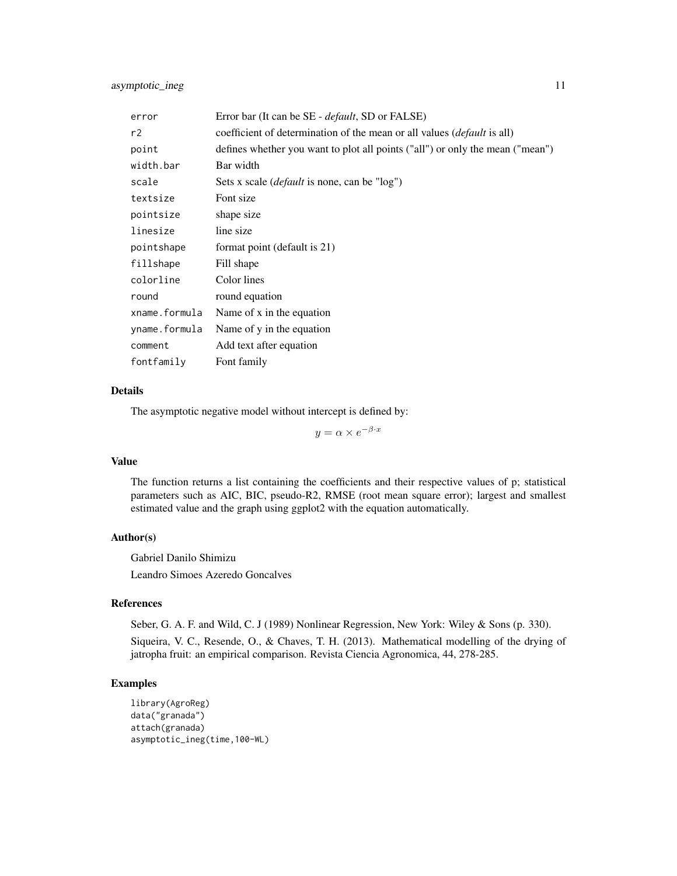| error         | Error bar (It can be SE - <i>default</i> , SD or FALSE)                        |
|---------------|--------------------------------------------------------------------------------|
| r2            | coefficient of determination of the mean or all values <i>(default is all)</i> |
| point         | defines whether you want to plot all points ("all") or only the mean ("mean")  |
| width.bar     | Bar width                                                                      |
| scale         | Sets x scale ( <i>default</i> is none, can be "log")                           |
| textsize      | Font size                                                                      |
| pointsize     | shape size                                                                     |
| linesize      | line size                                                                      |
| pointshape    | format point (default is 21)                                                   |
| fillshape     | Fill shape                                                                     |
| colorline     | Color lines                                                                    |
| round         | round equation                                                                 |
| xname.formula | Name of x in the equation                                                      |
| yname.formula | Name of y in the equation                                                      |
| comment       | Add text after equation                                                        |
| fontfamily    | Font family                                                                    |

The asymptotic negative model without intercept is defined by:

 $y = \alpha \times e^{-\beta \cdot x}$ 

#### Value

The function returns a list containing the coefficients and their respective values of p; statistical parameters such as AIC, BIC, pseudo-R2, RMSE (root mean square error); largest and smallest estimated value and the graph using ggplot2 with the equation automatically.

#### Author(s)

Gabriel Danilo Shimizu Leandro Simoes Azeredo Goncalves

#### References

Seber, G. A. F. and Wild, C. J (1989) Nonlinear Regression, New York: Wiley & Sons (p. 330). Siqueira, V. C., Resende, O., & Chaves, T. H. (2013). Mathematical modelling of the drying of jatropha fruit: an empirical comparison. Revista Ciencia Agronomica, 44, 278-285.

```
library(AgroReg)
data("granada")
attach(granada)
asymptotic_ineg(time,100-WL)
```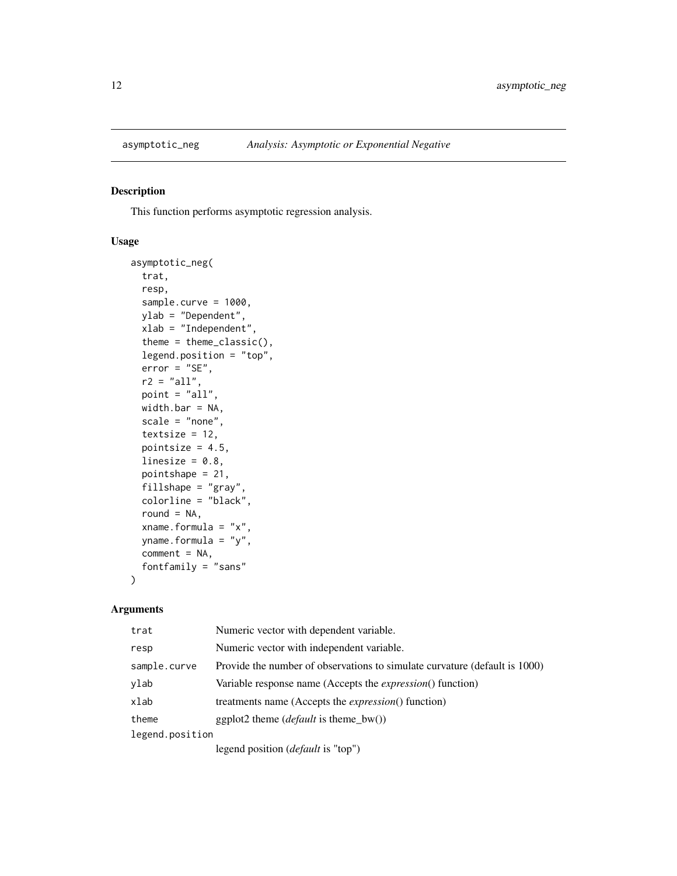<span id="page-11-1"></span><span id="page-11-0"></span>

This function performs asymptotic regression analysis.

#### Usage

```
asymptotic_neg(
  trat,
  resp,
  sample.curve = 1000,
 ylab = "Dependent",
 xlab = "Independent",
  theme = theme_classic(),
  legend.position = "top",
  error = "SE",r2 = "all",point = "all",
 width.bar = NA,
  scale = "none",
  textsize = 12,
 pointsize = 4.5,
  linesize = 0.8,
  pointshape = 21,
  fillshape = "gray",
  colorline = "black",
  round = NA,
  xname.formula = "x",yname.formula = "y",
  comment = NA,fontfamily = "sans"
)
```

| trat            | Numeric vector with dependent variable.                                    |
|-----------------|----------------------------------------------------------------------------|
| resp            | Numeric vector with independent variable.                                  |
| sample.curve    | Provide the number of observations to simulate curvature (default is 1000) |
| ylab            | Variable response name (Accepts the <i>expression</i> () function)         |
| xlab            | treatments name (Accepts the <i>expression</i> () function)                |
| theme           | ggplot2 theme $(default \text{ is theme_bw}))$                             |
| legend.position |                                                                            |
|                 | legend position ( <i>default</i> is "top")                                 |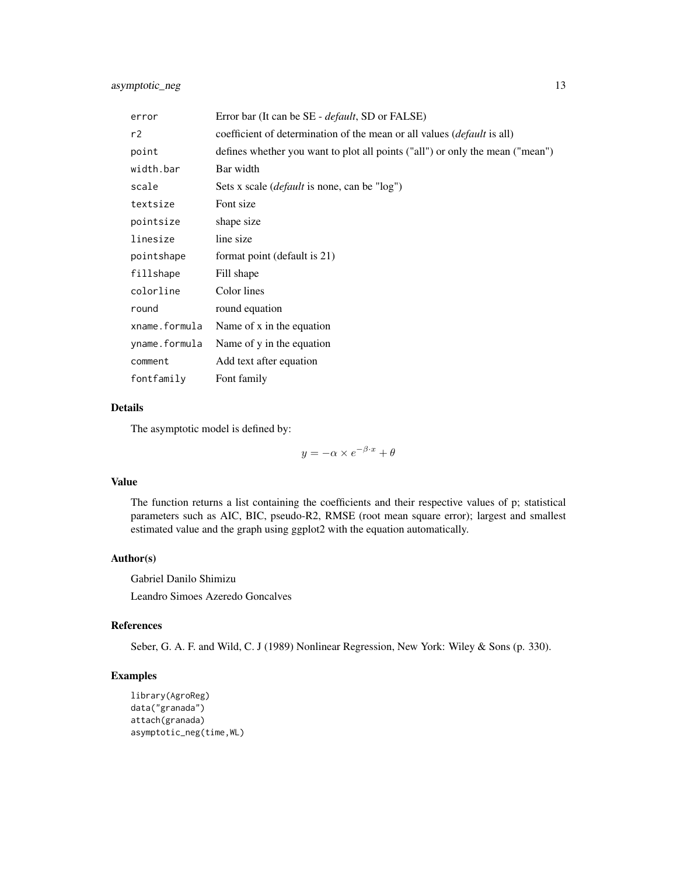| error         | Error bar (It can be SE - <i>default</i> , SD or FALSE)                        |
|---------------|--------------------------------------------------------------------------------|
| r2            | coefficient of determination of the mean or all values <i>(default is all)</i> |
| point         | defines whether you want to plot all points ("all") or only the mean ("mean")  |
| width.bar     | Bar width                                                                      |
| scale         | Sets x scale ( <i>default</i> is none, can be "log")                           |
| textsize      | Font size                                                                      |
| pointsize     | shape size                                                                     |
| linesize      | line size                                                                      |
| pointshape    | format point (default is 21)                                                   |
| fillshape     | Fill shape                                                                     |
| colorline     | Color lines                                                                    |
| round         | round equation                                                                 |
| xname.formula | Name of x in the equation                                                      |
| yname.formula | Name of y in the equation                                                      |
| comment       | Add text after equation                                                        |
| fontfamily    | Font family                                                                    |

The asymptotic model is defined by:

 $y = -\alpha \times e^{-\beta \cdot x} + \theta$ 

# Value

The function returns a list containing the coefficients and their respective values of p; statistical parameters such as AIC, BIC, pseudo-R2, RMSE (root mean square error); largest and smallest estimated value and the graph using ggplot2 with the equation automatically.

#### Author(s)

Gabriel Danilo Shimizu Leandro Simoes Azeredo Goncalves

# References

Seber, G. A. F. and Wild, C. J (1989) Nonlinear Regression, New York: Wiley & Sons (p. 330).

```
library(AgroReg)
data("granada")
attach(granada)
asymptotic_neg(time,WL)
```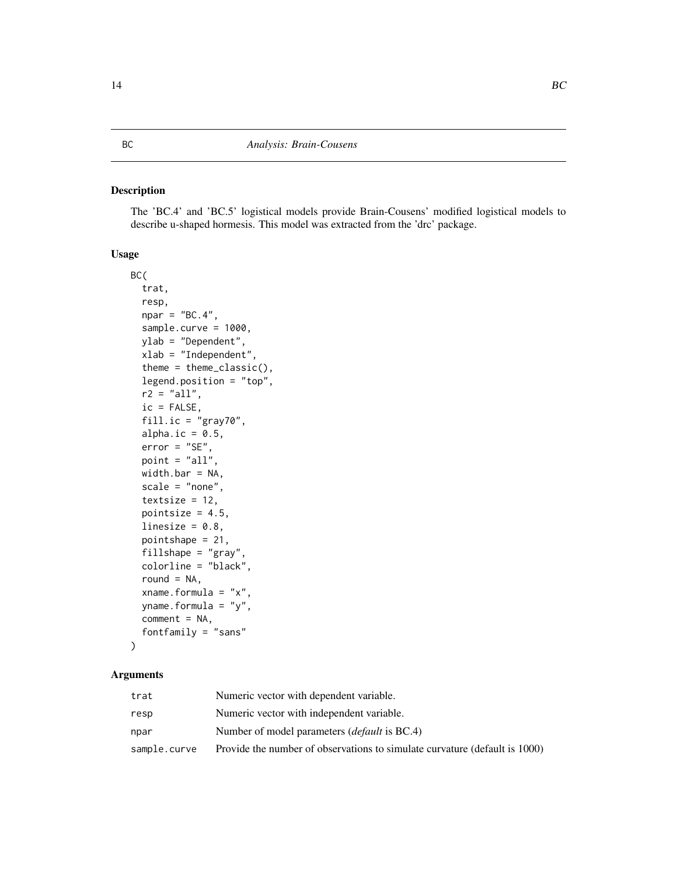<span id="page-13-1"></span><span id="page-13-0"></span>The 'BC.4' and 'BC.5' logistical models provide Brain-Cousens' modified logistical models to describe u-shaped hormesis. This model was extracted from the 'drc' package.

# Usage

```
BC(
  trat,
  resp,
  npar = "BC.4",sample.curve = 1000,
 ylab = "Dependent",
  xlab = "Independent",
  theme = theme_classic(),
  legend.position = "top",
  r2 = "all",ic = FALSE,
  fill.ic = "gray70",
  alpha.ic = 0.5,
  error = "SE",point = "all",width.bar = NA,
  scale = "none",
  textsize = 12,pointsize = 4.5,
  linesize = 0.8,
  pointshape = 21,
  fillshape = "gray",
  colorline = "black",
  round = NA,
  xname.formula = "x",
  yname.formula = "y",
  comment = NA,
  fontfamily = "sans"
)
```

| trat         | Numeric vector with dependent variable.                                    |
|--------------|----------------------------------------------------------------------------|
| resp         | Numeric vector with independent variable.                                  |
| npar         | Number of model parameters <i>(default</i> is BC.4)                        |
| sample.curve | Provide the number of observations to simulate curvature (default is 1000) |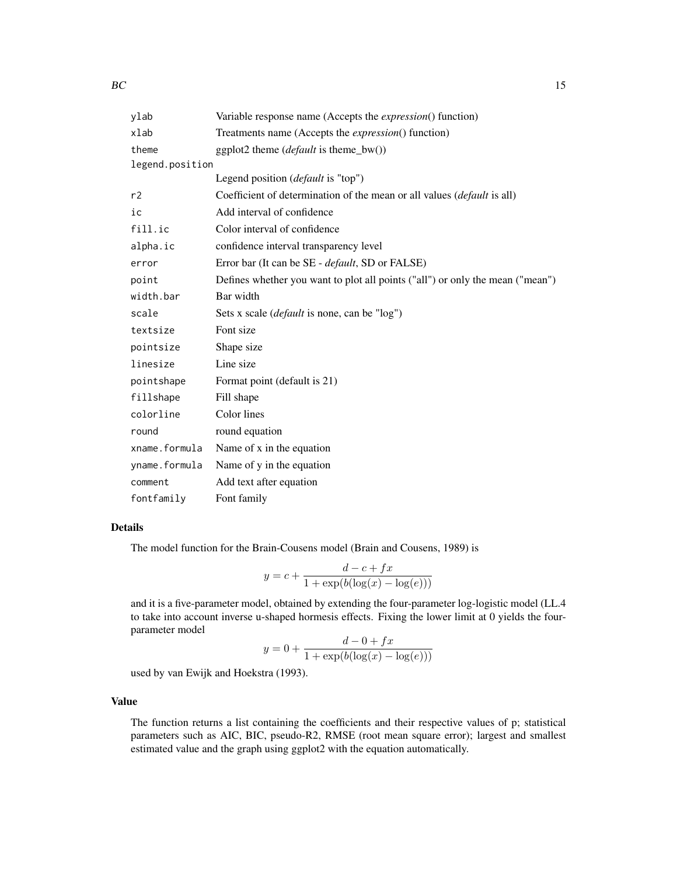| ylab            | Variable response name (Accepts the <i>expression</i> () function)            |
|-----------------|-------------------------------------------------------------------------------|
| xlab            | Treatments name (Accepts the <i>expression</i> () function)                   |
| theme           | ggplot2 theme ( <i>default</i> is theme_bw())                                 |
| legend.position |                                                                               |
|                 | Legend position ( <i>default</i> is "top")                                    |
| r2              | Coefficient of determination of the mean or all values (default is all)       |
| ic              | Add interval of confidence                                                    |
| fill.ic         | Color interval of confidence                                                  |
| alpha.ic        | confidence interval transparency level                                        |
| error           | Error bar (It can be SE - <i>default</i> , SD or FALSE)                       |
| point           | Defines whether you want to plot all points ("all") or only the mean ("mean") |
| width.bar       | Bar width                                                                     |
| scale           | Sets x scale ( <i>default</i> is none, can be "log")                          |
| textsize        | Font size                                                                     |
| pointsize       | Shape size                                                                    |
| linesize        | Line size                                                                     |
| pointshape      | Format point (default is 21)                                                  |
| fillshape       | Fill shape                                                                    |
| colorline       | Color lines                                                                   |
| round           | round equation                                                                |
| xname.formula   | Name of x in the equation                                                     |
| yname.formula   | Name of y in the equation                                                     |
| comment         | Add text after equation                                                       |
| fontfamily      | Font family                                                                   |

The model function for the Brain-Cousens model (Brain and Cousens, 1989) is

$$
y = c + \frac{d - c + fx}{1 + \exp(b(\log(x) - \log(e)))}
$$

and it is a five-parameter model, obtained by extending the four-parameter log-logistic model (LL.4 to take into account inverse u-shaped hormesis effects. Fixing the lower limit at 0 yields the fourparameter model

$$
y = 0 + \frac{d - 0 + fx}{1 + \exp(b(\log(x) - \log(e)))}
$$

used by van Ewijk and Hoekstra (1993).

#### Value

The function returns a list containing the coefficients and their respective values of p; statistical parameters such as AIC, BIC, pseudo-R2, RMSE (root mean square error); largest and smallest estimated value and the graph using ggplot2 with the equation automatically.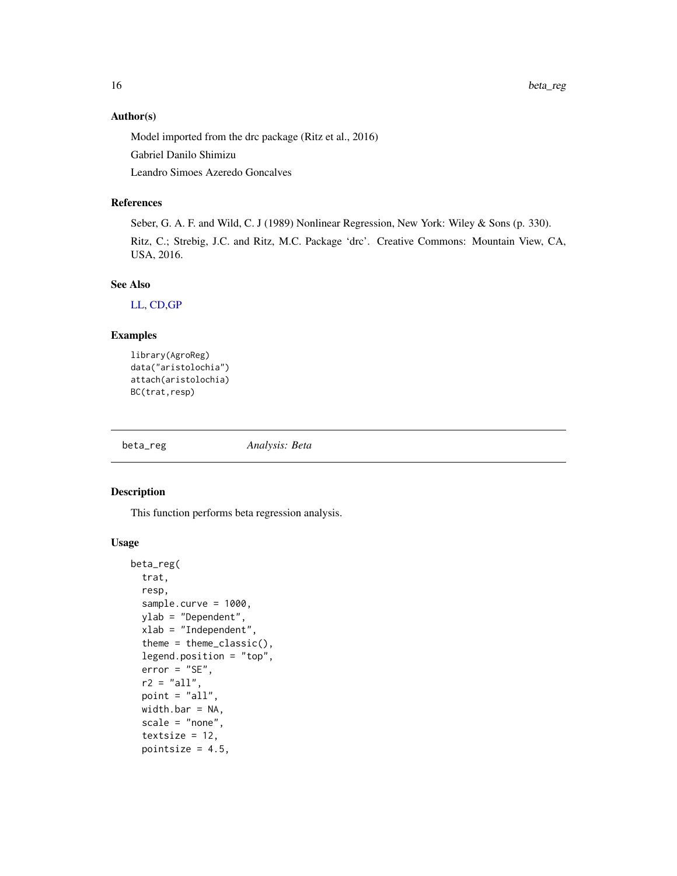#### Author(s)

Model imported from the drc package (Ritz et al., 2016)

Gabriel Danilo Shimizu

Leandro Simoes Azeredo Goncalves

# References

Seber, G. A. F. and Wild, C. J (1989) Nonlinear Regression, New York: Wiley & Sons (p. 330). Ritz, C.; Strebig, J.C. and Ritz, M.C. Package 'drc'. Creative Commons: Mountain View, CA, USA, 2016.

#### See Also

[LL,](#page-38-1) [CD](#page-19-1)[,GP](#page-28-1)

# Examples

```
library(AgroReg)
data("aristolochia")
attach(aristolochia)
BC(trat,resp)
```
beta\_reg *Analysis: Beta*

# Description

This function performs beta regression analysis.

#### Usage

```
beta_reg(
  trat,
  resp,
  sample.curve = 1000,
 ylab = "Dependent",
  xlab = "Independent",
  theme = theme_classic(),
  legend.position = "top",
  error = "SE",
  r2 = "all".point = "all",width.bar = NA,
  scale = "none",
  textsize = 12,pointsize = 4.5,
```
<span id="page-15-0"></span>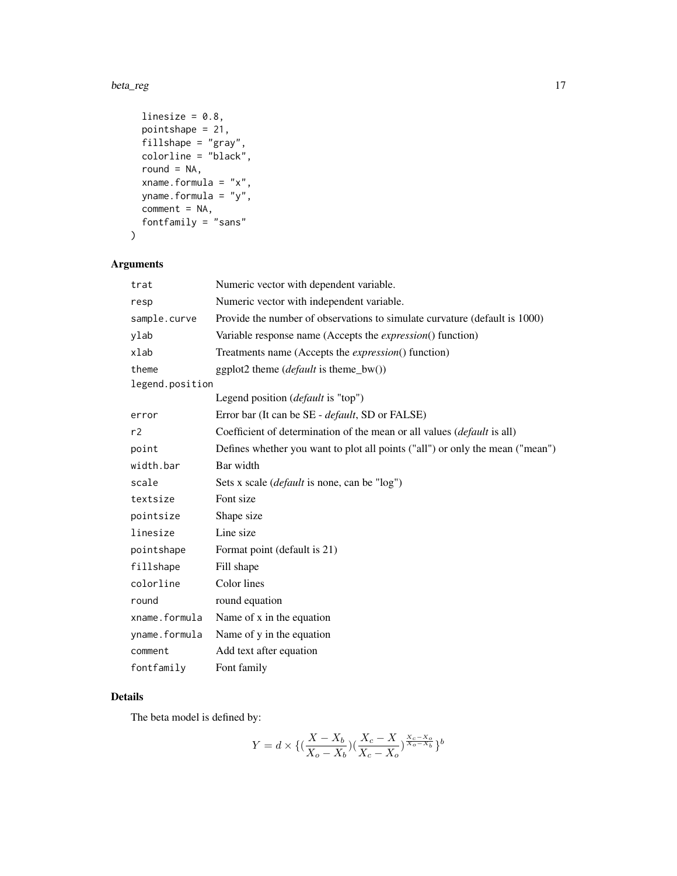#### beta\_reg 17

```
linesize = 0.8,
 pointshape = 21,
 fillshape = "gray",
 colorline = "black",
  round = NA,
 xname.formula = "x",
 yname.formula = "y",
 comment = NA,
 fontfamily = "sans"
\mathcal{L}
```
# Arguments

| trat            | Numeric vector with dependent variable.                                       |
|-----------------|-------------------------------------------------------------------------------|
| resp            | Numeric vector with independent variable.                                     |
| sample.curve    | Provide the number of observations to simulate curvature (default is 1000)    |
| ylab            | Variable response name (Accepts the <i>expression</i> () function)            |
| xlab            | Treatments name (Accepts the <i>expression</i> () function)                   |
| theme           | ggplot2 theme (default is theme_bw())                                         |
| legend.position |                                                                               |
|                 | Legend position ( <i>default</i> is "top")                                    |
| error           | Error bar (It can be SE - <i>default</i> , SD or FALSE)                       |
| r2              | Coefficient of determination of the mean or all values (default is all)       |
| point           | Defines whether you want to plot all points ("all") or only the mean ("mean") |
| width.bar       | Bar width                                                                     |
| scale           | Sets x scale ( <i>default</i> is none, can be "log")                          |
| textsize        | Font size                                                                     |
| pointsize       | Shape size                                                                    |
| linesize        | Line size                                                                     |
| pointshape      | Format point (default is 21)                                                  |
| fillshape       | Fill shape                                                                    |
| colorline       | Color lines                                                                   |
| round           | round equation                                                                |
| xname.formula   | Name of x in the equation                                                     |
| yname.formula   | Name of y in the equation                                                     |
| comment         | Add text after equation                                                       |
| fontfamily      | Font family                                                                   |

# Details

The beta model is defined by:

$$
Y = d \times \{ (\frac{X - X_b}{X_o - X_b})(\frac{X_c - X}{X_c - X_o})^{\frac{X_c - X_o}{X_o - X_b}} \}^b
$$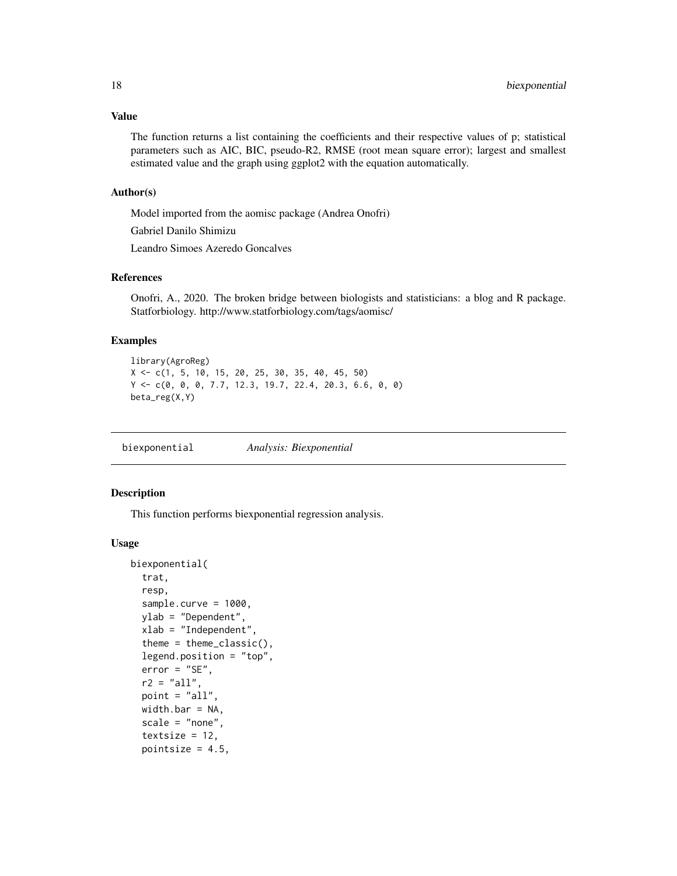#### <span id="page-17-0"></span>Value

The function returns a list containing the coefficients and their respective values of p; statistical parameters such as AIC, BIC, pseudo-R2, RMSE (root mean square error); largest and smallest estimated value and the graph using ggplot2 with the equation automatically.

#### Author(s)

Model imported from the aomisc package (Andrea Onofri)

Gabriel Danilo Shimizu

Leandro Simoes Azeredo Goncalves

#### References

Onofri, A., 2020. The broken bridge between biologists and statisticians: a blog and R package. Statforbiology. http://www.statforbiology.com/tags/aomisc/

#### Examples

```
library(AgroReg)
X <- c(1, 5, 10, 15, 20, 25, 30, 35, 40, 45, 50)
Y <- c(0, 0, 0, 7.7, 12.3, 19.7, 22.4, 20.3, 6.6, 0, 0)
beta_reg(X,Y)
```
biexponential *Analysis: Biexponential*

#### **Description**

This function performs biexponential regression analysis.

#### Usage

```
biexponential(
  trat,
  resp,
  sample.curve = 1000,
 ylab = "Dependent",
  xlab = "Independent",
  theme = theme_classic(),
  legend.position = "top",
  error = "SE",r2 = "all".point = "all"width.bar = NA,
  scale = "none",textsize = 12,pointsize = 4.5,
```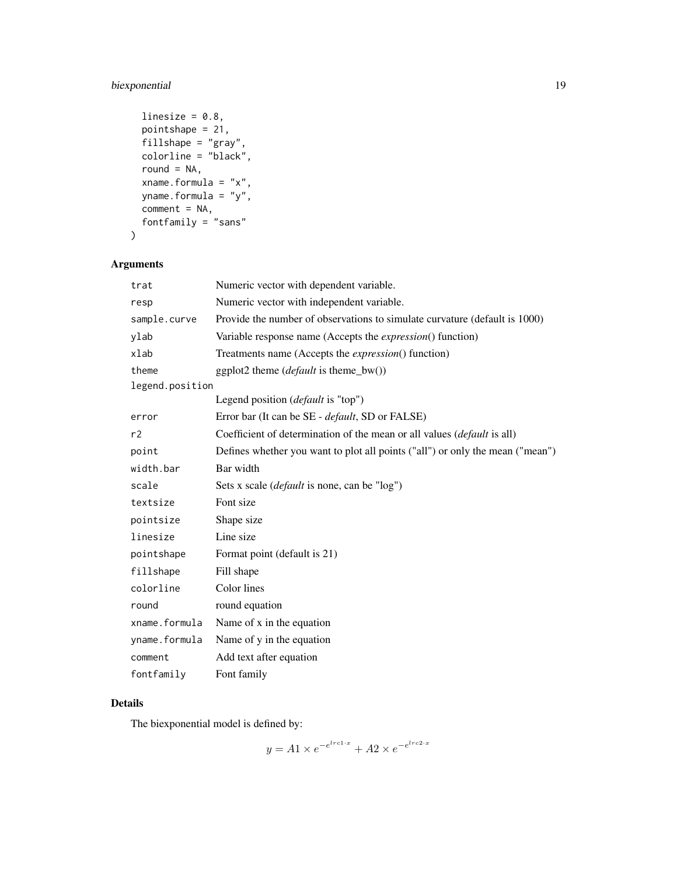# biexponential 19

```
linesize = 0.8,
pointshape = 21,
fillshape = "gray",
colorline = "black",round = NA,
xname.formula = "x",
yname.formula = "y",
comment = NA,
fontfamily = "sans"
```

```
\mathcal{L}
```
# Arguments

| trat            | Numeric vector with dependent variable.                                       |
|-----------------|-------------------------------------------------------------------------------|
| resp            | Numeric vector with independent variable.                                     |
| sample.curve    | Provide the number of observations to simulate curvature (default is 1000)    |
| ylab            | Variable response name (Accepts the <i>expression</i> () function)            |
| xlab            | Treatments name (Accepts the <i>expression</i> () function)                   |
| theme           | ggplot2 theme ( <i>default</i> is theme_bw())                                 |
| legend.position |                                                                               |
|                 | Legend position ( <i>default</i> is "top")                                    |
| error           | Error bar (It can be SE - <i>default</i> , SD or FALSE)                       |
| r2              | Coefficient of determination of the mean or all values (default is all)       |
| point           | Defines whether you want to plot all points ("all") or only the mean ("mean") |
| width.bar       | Bar width                                                                     |
| scale           | Sets x scale ( <i>default</i> is none, can be "log")                          |
| textsize        | Font size                                                                     |
| pointsize       | Shape size                                                                    |
| linesize        | Line size                                                                     |
| pointshape      | Format point (default is 21)                                                  |
| fillshape       | Fill shape                                                                    |
| colorline       | Color lines                                                                   |
| round           | round equation                                                                |
| xname.formula   | Name of x in the equation                                                     |
| yname.formula   | Name of y in the equation                                                     |
| comment         | Add text after equation                                                       |
| fontfamily      | Font family                                                                   |

# Details

The biexponential model is defined by:

$$
y = A1 \times e^{-e^{lrc1 \cdot x}} + A2 \times e^{-e^{lrc2 \cdot x}}
$$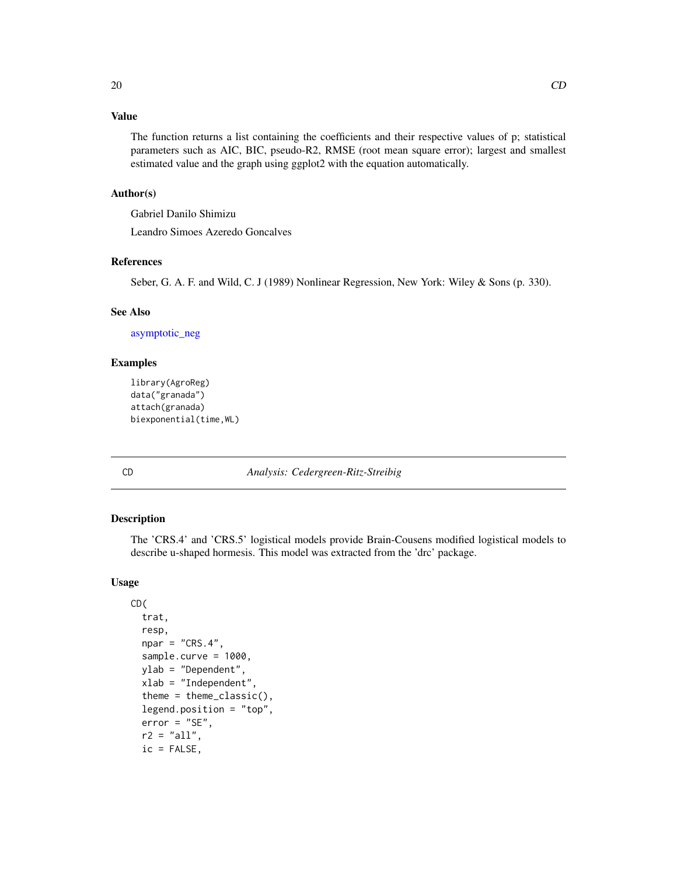# <span id="page-19-0"></span>Value

The function returns a list containing the coefficients and their respective values of p; statistical parameters such as AIC, BIC, pseudo-R2, RMSE (root mean square error); largest and smallest estimated value and the graph using ggplot2 with the equation automatically.

#### Author(s)

Gabriel Danilo Shimizu

Leandro Simoes Azeredo Goncalves

#### References

Seber, G. A. F. and Wild, C. J (1989) Nonlinear Regression, New York: Wiley & Sons (p. 330).

#### See Also

[asymptotic\\_neg](#page-11-1)

#### Examples

```
library(AgroReg)
data("granada")
attach(granada)
biexponential(time,WL)
```
<span id="page-19-1"></span>

CD *Analysis: Cedergreen-Ritz-Streibig*

#### Description

The 'CRS.4' and 'CRS.5' logistical models provide Brain-Cousens modified logistical models to describe u-shaped hormesis. This model was extracted from the 'drc' package.

#### Usage

```
CD(
  trat,
  resp,
  npar = "CRS.4",sample.curve = 1000,
  ylab = "Dependent",
  xlab = "Independent"
  theme = theme_classic(),
  legend.position = "top",
  error = "SE",r2 = "all",ic = FALSE,
```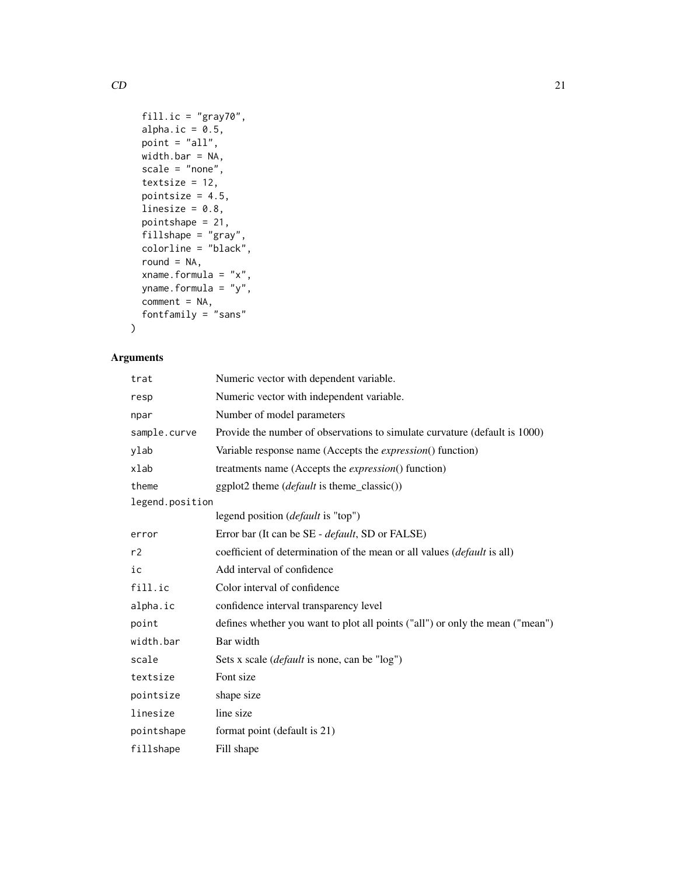```
fill.ic = "gray70",
 alpha.ic = 0.5,
 point = "all",width.bar = NA,
  scale = "none",
  textsize = 12,
 pointsize = 4.5,
 linesize = 0.8,
 pointshape = 21,
 fillshape = "gray",
 colorline = "black",
  round = NA,
 xname.formula = "x",
 yname.formula = "y",
 comment = NA,
 fontfamily = "sans"
\mathcal{L}
```
# Arguments

| trat            | Numeric vector with dependent variable.                                       |
|-----------------|-------------------------------------------------------------------------------|
| resp            | Numeric vector with independent variable.                                     |
| npar            | Number of model parameters                                                    |
| sample.curve    | Provide the number of observations to simulate curvature (default is 1000)    |
| ylab            | Variable response name (Accepts the <i>expression</i> () function)            |
| xlab            | treatments name (Accepts the <i>expression</i> () function)                   |
| theme           | ggplot2 theme ( <i>default</i> is theme_classic())                            |
| legend.position |                                                                               |
|                 | legend position ( <i>default</i> is "top")                                    |
| error           | Error bar (It can be SE - default, SD or FALSE)                               |
| r2              | coefficient of determination of the mean or all values (default is all)       |
| ic              | Add interval of confidence                                                    |
| fill.ic         | Color interval of confidence                                                  |
| alpha.ic        | confidence interval transparency level                                        |
| point           | defines whether you want to plot all points ("all") or only the mean ("mean") |
| width.bar       | Bar width                                                                     |
| scale           | Sets x scale ( <i>default</i> is none, can be "log")                          |
| textsize        | Font size                                                                     |
| pointsize       | shape size                                                                    |
| linesize        | line size                                                                     |
| pointshape      | format point (default is 21)                                                  |
| fillshape       | Fill shape                                                                    |

 $CD$  21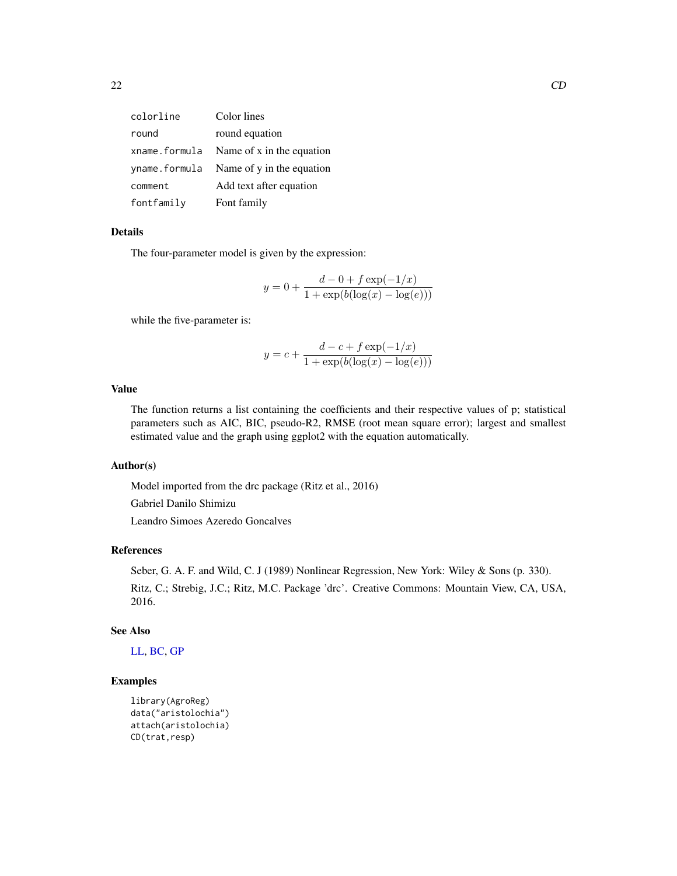| colorline     | Color lines                              |
|---------------|------------------------------------------|
| round         | round equation                           |
| xname.formula | Name of x in the equation                |
|               | yname. formula Name of y in the equation |
| comment       | Add text after equation                  |
| fontfamily    | Font family                              |

The four-parameter model is given by the expression:

$$
y = 0 + \frac{d - 0 + f \exp(-1/x)}{1 + \exp(b(\log(x) - \log(e)))}
$$

while the five-parameter is:

$$
y = c + \frac{d - c + f \exp(-1/x)}{1 + \exp(b(\log(x) - \log(e)))}
$$

# Value

The function returns a list containing the coefficients and their respective values of p; statistical parameters such as AIC, BIC, pseudo-R2, RMSE (root mean square error); largest and smallest estimated value and the graph using ggplot2 with the equation automatically.

#### Author(s)

Model imported from the drc package (Ritz et al., 2016)

Gabriel Danilo Shimizu

Leandro Simoes Azeredo Goncalves

#### References

Seber, G. A. F. and Wild, C. J (1989) Nonlinear Regression, New York: Wiley & Sons (p. 330). Ritz, C.; Strebig, J.C.; Ritz, M.C. Package 'drc'. Creative Commons: Mountain View, CA, USA, 2016.

#### See Also

[LL,](#page-38-1) [BC,](#page-13-1) [GP](#page-28-1)

```
library(AgroReg)
data("aristolochia")
attach(aristolochia)
CD(trat,resp)
```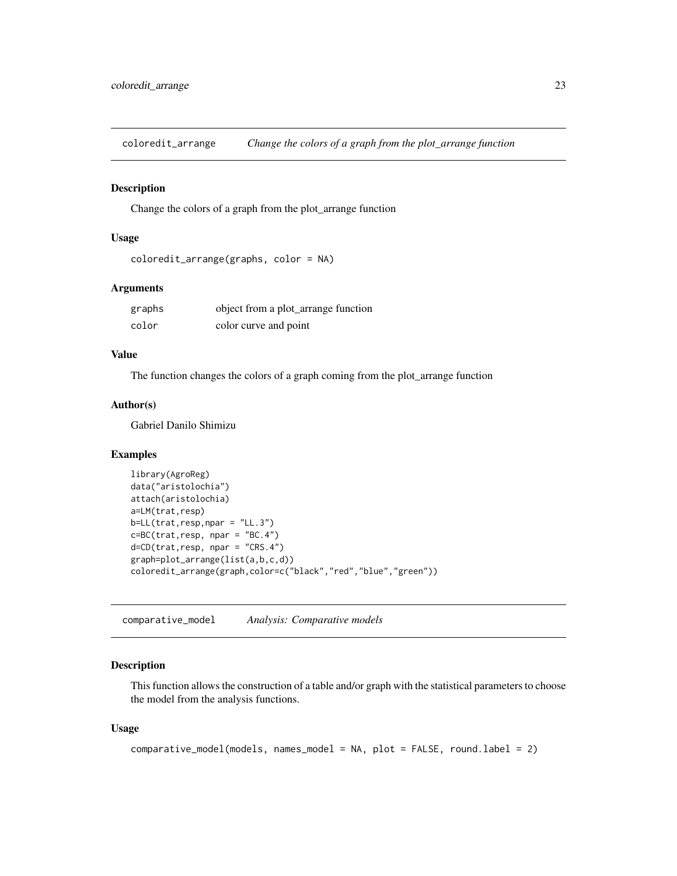<span id="page-22-0"></span>coloredit\_arrange *Change the colors of a graph from the plot\_arrange function*

# Description

Change the colors of a graph from the plot\_arrange function

# Usage

```
coloredit_arrange(graphs, color = NA)
```
#### Arguments

| graphs | object from a plot_arrange function |
|--------|-------------------------------------|
| color  | color curve and point               |

# Value

The function changes the colors of a graph coming from the plot\_arrange function

# Author(s)

Gabriel Danilo Shimizu

#### Examples

```
library(AgroReg)
data("aristolochia")
attach(aristolochia)
a=LM(trat,resp)
b=LL(trat,resp,npar = "LL.3")
c=BC(trat,resp, npar = "BC.4")
d=CD(trat,resp, npar = "CRS.4")
graph=plot_arrange(list(a,b,c,d))
coloredit_arrange(graph,color=c("black","red","blue","green"))
```
comparative\_model *Analysis: Comparative models*

#### Description

This function allows the construction of a table and/or graph with the statistical parameters to choose the model from the analysis functions.

#### Usage

```
comparative_model(models, names_model = NA, plot = FALSE, round.label = 2)
```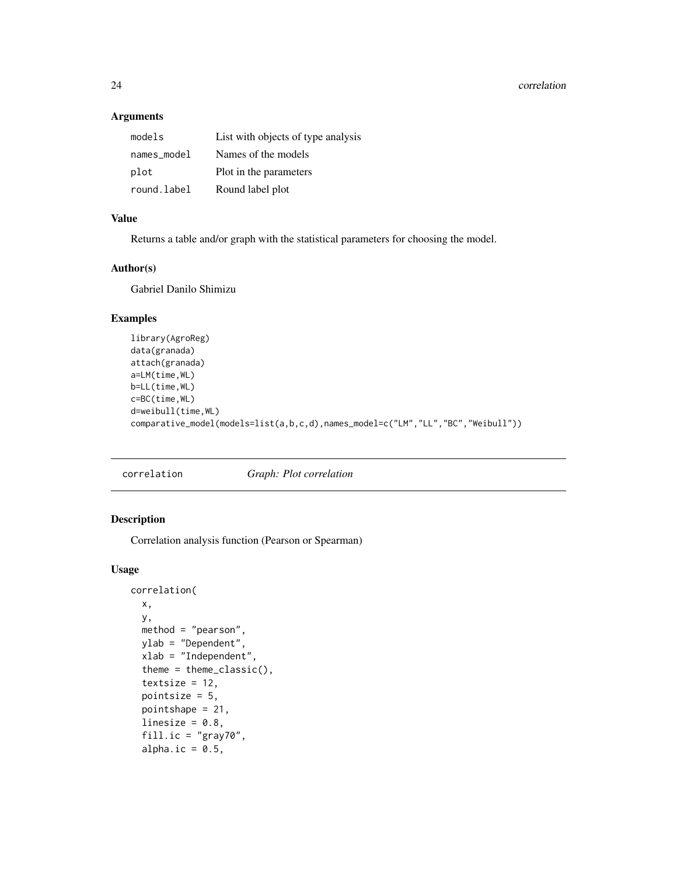# <span id="page-23-0"></span>Arguments

| models      | List with objects of type analysis |
|-------------|------------------------------------|
| names_model | Names of the models                |
| plot        | Plot in the parameters             |
| round.label | Round label plot                   |

# Value

Returns a table and/or graph with the statistical parameters for choosing the model.

# Author(s)

Gabriel Danilo Shimizu

# Examples

```
library(AgroReg)
data(granada)
attach(granada)
a=LM(time,WL)
b=LL(time,WL)
c=BC(time,WL)
d=weibull(time,WL)
comparative_model(models=list(a,b,c,d),names_model=c("LM","LL","BC","Weibull"))
```
correlation *Graph: Plot correlation*

# Description

Correlation analysis function (Pearson or Spearman)

#### Usage

```
correlation(
  x,
  y,
 method = "pearson",
 ylab = "Dependent",
  xlab = "Independent",
  theme = theme_classic(),
  textsize = 12,
  pointsize = 5,
  pointshape = 21,
  linesize = 0.8,
  fill.ic = "gray70",
  alpha.ic = 0.5,
```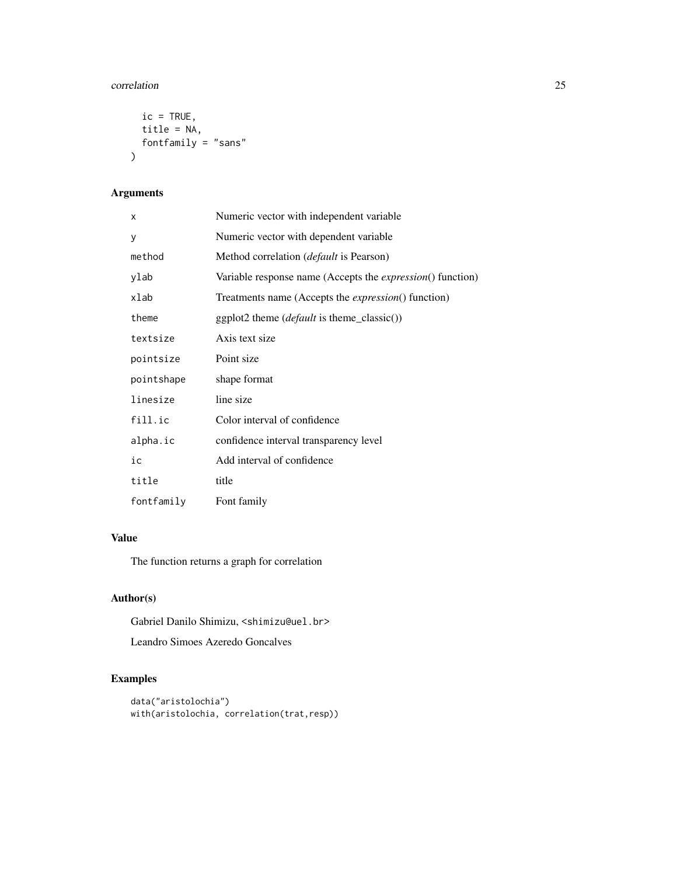#### correlation 25

```
ic = TRUE,title = NA,
  fontfamily = "sans"\mathcal{L}
```
# Arguments

| X          | Numeric vector with independent variable                           |
|------------|--------------------------------------------------------------------|
| y          | Numeric vector with dependent variable                             |
| method     | Method correlation (default is Pearson)                            |
| ylab       | Variable response name (Accepts the <i>expression</i> () function) |
| xlab       | Treatments name (Accepts the <i>expression</i> () function)        |
| theme      | $ggplot2$ theme ( <i>default</i> is theme_classic())               |
| textsize   | Axis text size                                                     |
| pointsize  | Point size                                                         |
| pointshape | shape format                                                       |
| linesize   | line size                                                          |
| fill.ic    | Color interval of confidence                                       |
| alpha.ic   | confidence interval transparency level                             |
| ic         | Add interval of confidence                                         |
| title      | title                                                              |
| fontfamily | Font family                                                        |

# Value

The function returns a graph for correlation

# Author(s)

Gabriel Danilo Shimizu, <shimizu@uel.br>

Leandro Simoes Azeredo Goncalves

```
data("aristolochia")
with(aristolochia, correlation(trat,resp))
```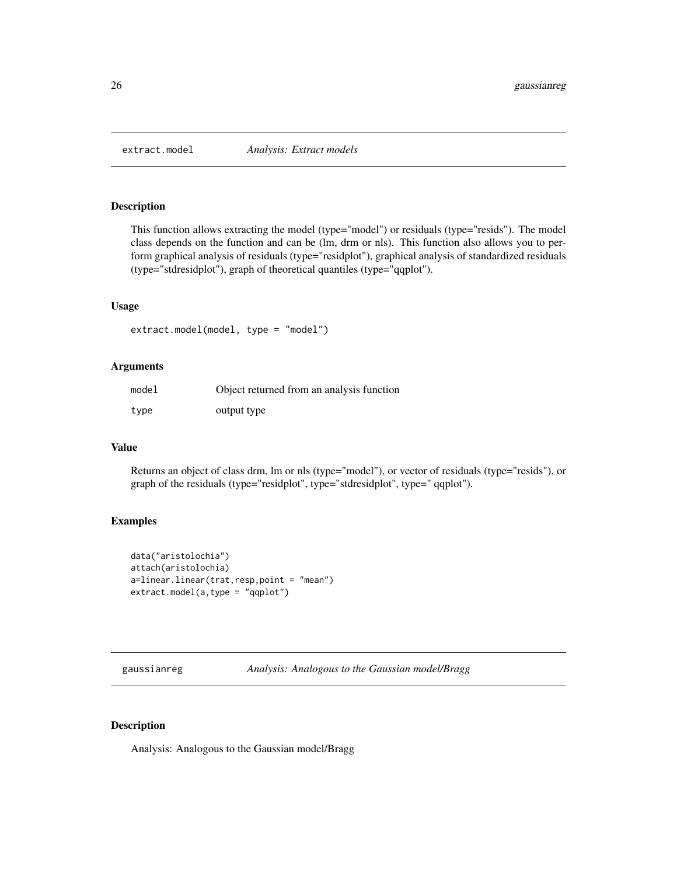<span id="page-25-0"></span>

This function allows extracting the model (type="model") or residuals (type="resids"). The model class depends on the function and can be (lm, drm or nls). This function also allows you to perform graphical analysis of residuals (type="residplot"), graphical analysis of standardized residuals (type="stdresidplot"), graph of theoretical quantiles (type="qqplot").

#### Usage

```
extract.model(model, type = "model")
```
#### Arguments

| model | Object returned from an analysis function |
|-------|-------------------------------------------|
| type  | output type                               |

#### Value

Returns an object of class drm, lm or nls (type="model"), or vector of residuals (type="resids"), or graph of the residuals (type="residplot", type="stdresidplot", type=" qqplot").

# Examples

```
data("aristolochia")
attach(aristolochia)
a=linear.linear(trat,resp,point = "mean")
extract.model(a,type = "qqplot")
```
gaussianreg *Analysis: Analogous to the Gaussian model/Bragg*

# Description

Analysis: Analogous to the Gaussian model/Bragg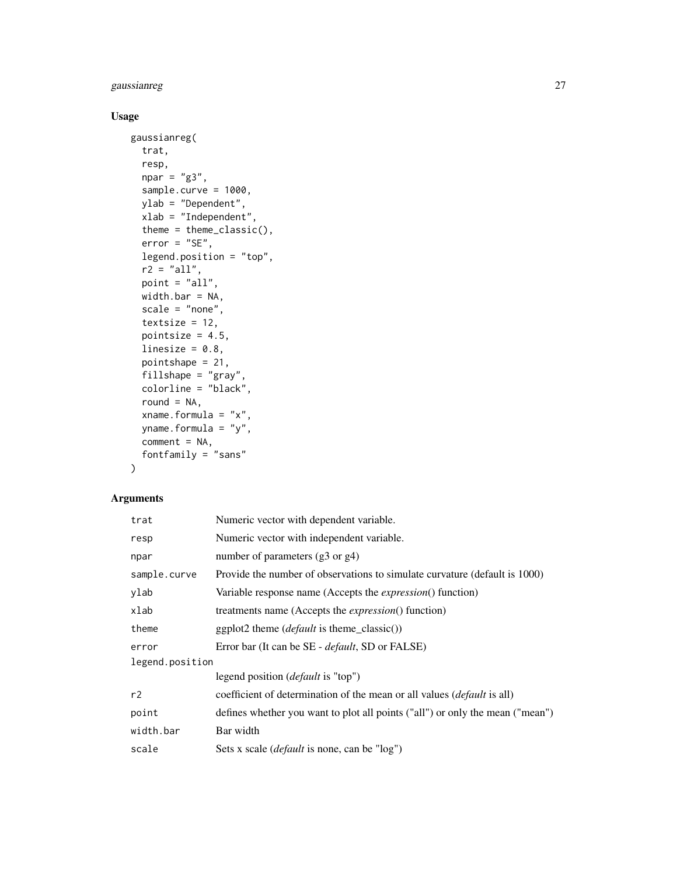# gaussianreg 27

# Usage

```
gaussianreg(
  trat,
  resp,
  npar = "g3",sample.curve = 1000,
  ylab = "Dependent",
  xlab = "Independent",
  theme = theme_classic(),
  error = "SE",legend.position = "top",
  r2 = "all",point = "all",width.bar = NA,
  scale = "none",
  textsize = 12,
  pointsize = 4.5,
  linesize = 0.8,
  pointshape = 21,
  fillshape = "gray",
  colorline = "black",
  round = NA,
  xname.formula = "x",
  yname.formula = "y",
  comment = NA,
  fontfamily = "sans"
\mathcal{L}
```

| trat            | Numeric vector with dependent variable.                                         |  |
|-----------------|---------------------------------------------------------------------------------|--|
| resp            | Numeric vector with independent variable.                                       |  |
| npar            | number of parameters (g3 or g4)                                                 |  |
| sample.curve    | Provide the number of observations to simulate curvature (default is 1000)      |  |
| ylab            | Variable response name (Accepts the <i>expression</i> () function)              |  |
| xlab            | treatments name (Accepts the <i>expression</i> () function)                     |  |
| theme           | $ggplot2$ theme ( <i>default</i> is theme_classic())                            |  |
| error           | Error bar (It can be SE - <i>default</i> , SD or FALSE)                         |  |
| legend.position |                                                                                 |  |
|                 | legend position ( <i>default</i> is "top")                                      |  |
| r2              | coefficient of determination of the mean or all values ( <i>default</i> is all) |  |
| point           | defines whether you want to plot all points ("all") or only the mean ("mean")   |  |
| width.bar       | Bar width                                                                       |  |
| scale           | Sets x scale <i>(default</i> is none, can be "log")                             |  |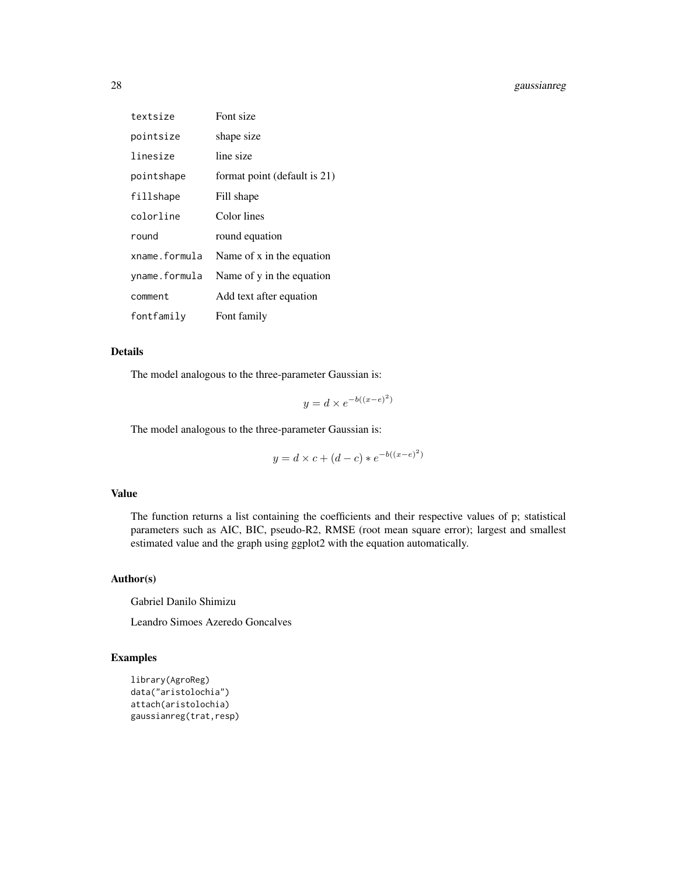# 28 gaussianreg

| textsize      | Font size                    |
|---------------|------------------------------|
| pointsize     | shape size                   |
| linesize      | line size                    |
| pointshape    | format point (default is 21) |
| fillshape     | Fill shape                   |
| colorline     | Color lines                  |
| round         | round equation               |
| xname.formula | Name of x in the equation    |
| yname.formula | Name of y in the equation    |
| comment       | Add text after equation      |
| fontfamily    | Font family                  |

# Details

The model analogous to the three-parameter Gaussian is:

$$
y = d \times e^{-b((x-e)^2)}
$$

The model analogous to the three-parameter Gaussian is:

$$
y = d \times c + (d - c) * e^{-b((x - e)^2)}
$$

#### Value

The function returns a list containing the coefficients and their respective values of p; statistical parameters such as AIC, BIC, pseudo-R2, RMSE (root mean square error); largest and smallest estimated value and the graph using ggplot2 with the equation automatically.

# Author(s)

Gabriel Danilo Shimizu

Leandro Simoes Azeredo Goncalves

```
library(AgroReg)
data("aristolochia")
attach(aristolochia)
gaussianreg(trat,resp)
```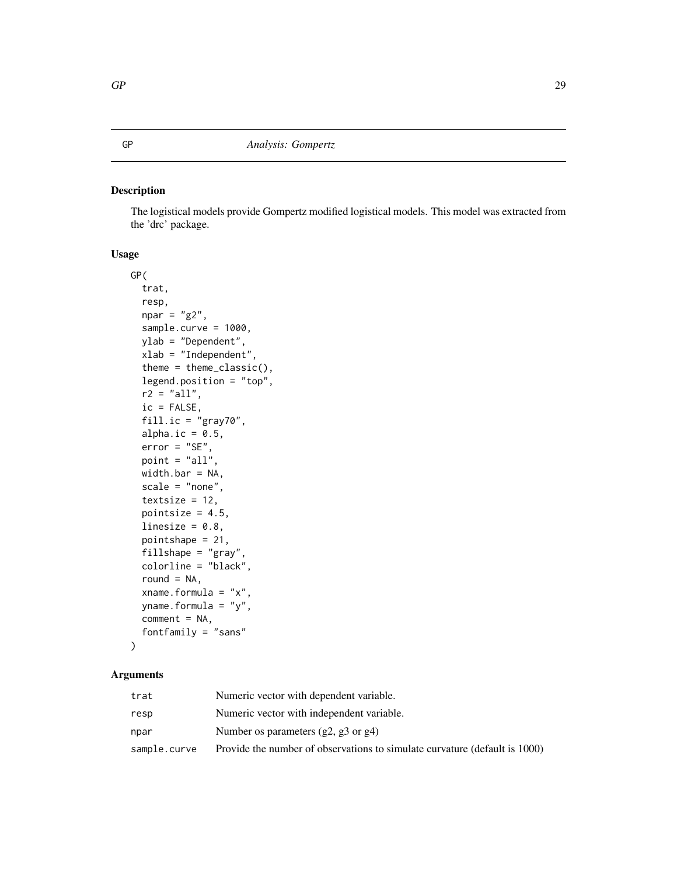<span id="page-28-1"></span><span id="page-28-0"></span>The logistical models provide Gompertz modified logistical models. This model was extracted from the 'drc' package.

# Usage

```
GP(
  trat,
  resp,
  npar = "g2",sample.curve = 1000,
 ylab = "Dependent",
 xlab = "Independent",
  theme = theme_classic(),
  legend.position = "top",
  r2 = "all",ic = FALSE,
  fill.ic = "gray70",
  alpha.ic = 0.5,
  error = "SE",point = "all",width.bar = NA,
  scale = "none",
  textsize = 12,
  pointsize = 4.5,
  linesize = 0.8,
  pointshape = 21,
  fillshape = "gray",
  colorline = "black",
  round = NA,
  xname.formula = "x",
  yname.formula = "y",
  comment = NA,
  fontfamily = "sans"
)
```

| trat         | Numeric vector with dependent variable.                                    |
|--------------|----------------------------------------------------------------------------|
| resp         | Numeric vector with independent variable.                                  |
| npar         | Number os parameters $(g2, g3 \text{ or } g4)$                             |
| sample.curve | Provide the number of observations to simulate curvature (default is 1000) |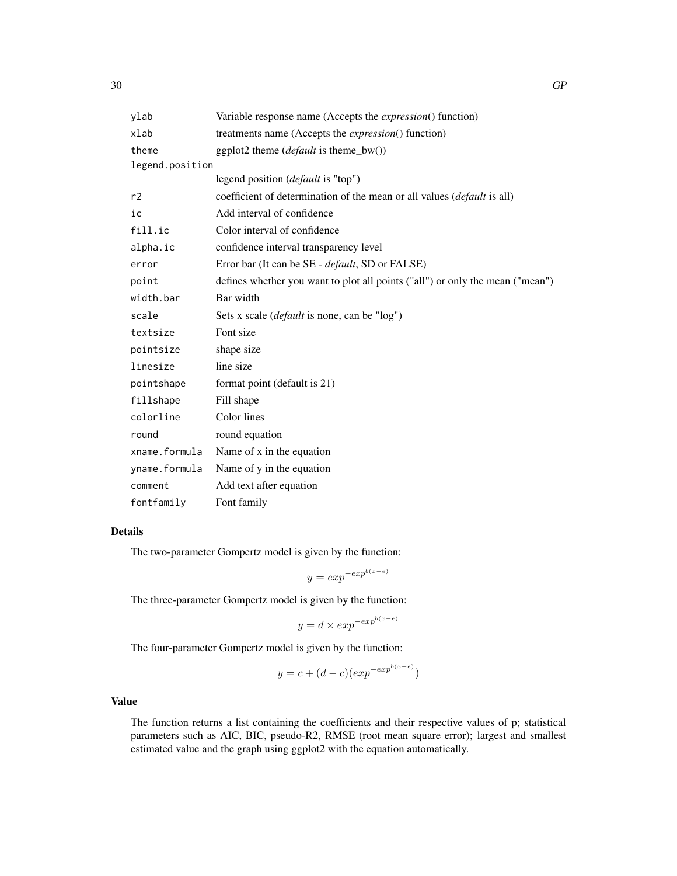| ylab            | Variable response name (Accepts the <i>expression</i> () function)              |  |
|-----------------|---------------------------------------------------------------------------------|--|
| xlab            | treatments name (Accepts the <i>expression</i> () function)                     |  |
| theme           | ggplot2 theme ( <i>default</i> is theme_bw())                                   |  |
| legend.position |                                                                                 |  |
|                 | legend position ( <i>default</i> is "top")                                      |  |
| r2              | coefficient of determination of the mean or all values ( <i>default</i> is all) |  |
| ic              | Add interval of confidence                                                      |  |
| fill.ic         | Color interval of confidence                                                    |  |
| alpha.ic        | confidence interval transparency level                                          |  |
| error           | Error bar (It can be SE - <i>default</i> , SD or FALSE)                         |  |
| point           | defines whether you want to plot all points ("all") or only the mean ("mean")   |  |
| width.bar       | Bar width                                                                       |  |
| scale           | Sets x scale ( <i>default</i> is none, can be "log")                            |  |
| textsize        | Font size                                                                       |  |
| pointsize       | shape size                                                                      |  |
| linesize        | line size                                                                       |  |
| pointshape      | format point (default is 21)                                                    |  |
| fillshape       | Fill shape                                                                      |  |
| colorline       | Color lines                                                                     |  |
| round           | round equation                                                                  |  |
| xname.formula   | Name of x in the equation                                                       |  |
| yname.formula   | Name of y in the equation                                                       |  |
| comment         | Add text after equation                                                         |  |
| fontfamily      | Font family                                                                     |  |

The two-parameter Gompertz model is given by the function:

$$
y = exp^{-exp^{b(x-e)}}
$$

The three-parameter Gompertz model is given by the function:

$$
y=d\times exp^{-exp^{b(x-e)}}
$$

The four-parameter Gompertz model is given by the function:

$$
y = c + (d - c)(exp^{-exp^{b(x-e)}})
$$

# Value

The function returns a list containing the coefficients and their respective values of p; statistical parameters such as AIC, BIC, pseudo-R2, RMSE (root mean square error); largest and smallest estimated value and the graph using ggplot2 with the equation automatically.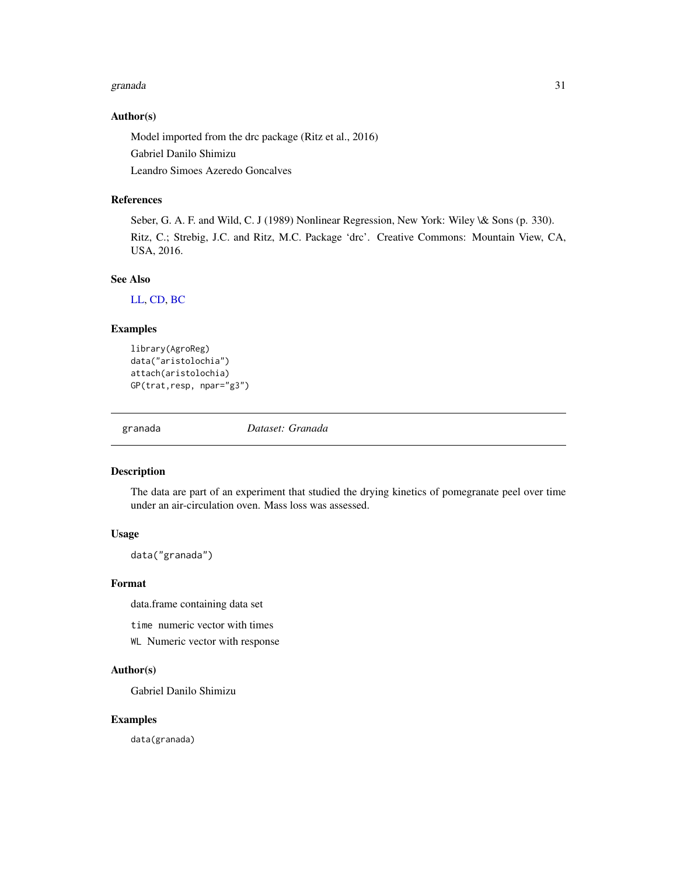#### <span id="page-30-0"></span>granada 31

#### Author(s)

Model imported from the drc package (Ritz et al., 2016)

Gabriel Danilo Shimizu

Leandro Simoes Azeredo Goncalves

# References

Seber, G. A. F. and Wild, C. J (1989) Nonlinear Regression, New York: Wiley \& Sons (p. 330). Ritz, C.; Strebig, J.C. and Ritz, M.C. Package 'drc'. Creative Commons: Mountain View, CA, USA, 2016.

#### See Also

[LL,](#page-38-1) [CD,](#page-19-1) [BC](#page-13-1)

#### Examples

```
library(AgroReg)
data("aristolochia")
attach(aristolochia)
GP(trat,resp, npar="g3")
```
granada *Dataset: Granada*

#### Description

The data are part of an experiment that studied the drying kinetics of pomegranate peel over time under an air-circulation oven. Mass loss was assessed.

#### Usage

data("granada")

#### Format

data.frame containing data set

time numeric vector with times

WL Numeric vector with response

# Author(s)

Gabriel Danilo Shimizu

#### Examples

data(granada)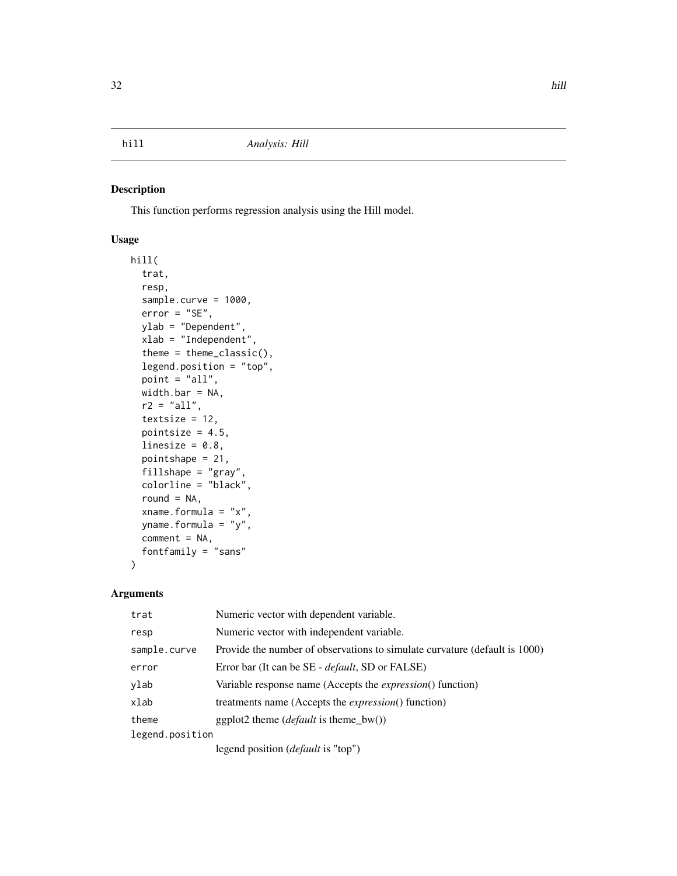<span id="page-31-0"></span>This function performs regression analysis using the Hill model.

# Usage

```
hill(
  trat,
  resp,
  sample.curve = 1000,
 error = "SE",ylab = "Dependent",
  xlab = "Independent",
  theme = theme_classic(),
  legend.position = "top",
  point = "all",
 width.bar = NA,
  r2 = "all",textsize = 12,
  pointsize = 4.5,
  linesize = 0.8,
 pointshape = 21,
  fillshape = "gray",
  colorline = "black",
  round = NA,
  xname.formula = "x",
  yname.formula = "y",
  comment = NA,
  fontfamily = "sans"
)
```

| trat            | Numeric vector with dependent variable.                                    |  |
|-----------------|----------------------------------------------------------------------------|--|
| resp            | Numeric vector with independent variable.                                  |  |
| sample.curve    | Provide the number of observations to simulate curvature (default is 1000) |  |
| error           | Error bar (It can be SE - <i>default</i> , SD or FALSE)                    |  |
| ylab            | Variable response name (Accepts the <i>expression</i> () function)         |  |
| xlab            | treatments name (Accepts the <i>expression</i> () function)                |  |
| theme           | ggplot2 theme ( <i>default</i> is theme $bw()$ )                           |  |
| legend.position |                                                                            |  |
|                 | legend position <i>(default</i> is "top")                                  |  |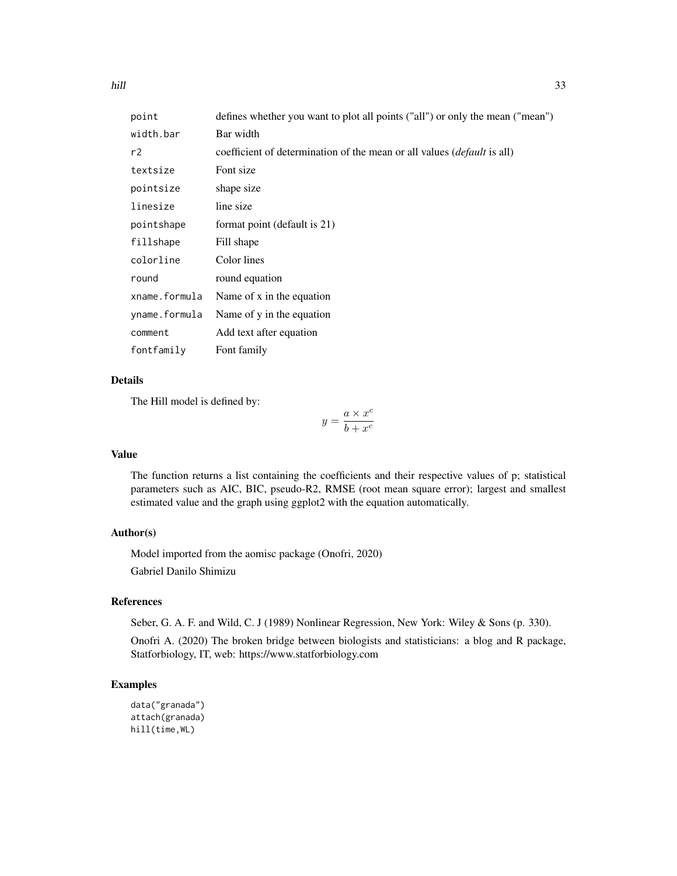| point         | defines whether you want to plot all points ("all") or only the mean ("mean")  |  |
|---------------|--------------------------------------------------------------------------------|--|
| width.bar     | Bar width                                                                      |  |
| r2            | coefficient of determination of the mean or all values <i>(default is all)</i> |  |
| textsize      | Font size                                                                      |  |
| pointsize     | shape size                                                                     |  |
| linesize      | line size                                                                      |  |
| pointshape    | format point (default is 21)                                                   |  |
| fillshape     | Fill shape                                                                     |  |
| colorline     | Color lines                                                                    |  |
| round         | round equation                                                                 |  |
| xname.formula | Name of x in the equation                                                      |  |
| yname.formula | Name of y in the equation                                                      |  |
| comment       | Add text after equation                                                        |  |
| fontfamily    | Font family                                                                    |  |

The Hill model is defined by:

$$
y = \frac{a \times x^c}{b + x^c}
$$

#### Value

The function returns a list containing the coefficients and their respective values of p; statistical parameters such as AIC, BIC, pseudo-R2, RMSE (root mean square error); largest and smallest estimated value and the graph using ggplot2 with the equation automatically.

#### Author(s)

Model imported from the aomisc package (Onofri, 2020) Gabriel Danilo Shimizu

# References

Seber, G. A. F. and Wild, C. J (1989) Nonlinear Regression, New York: Wiley & Sons (p. 330).

Onofri A. (2020) The broken bridge between biologists and statisticians: a blog and R package, Statforbiology, IT, web: https://www.statforbiology.com

```
data("granada")
attach(granada)
hill(time,WL)
```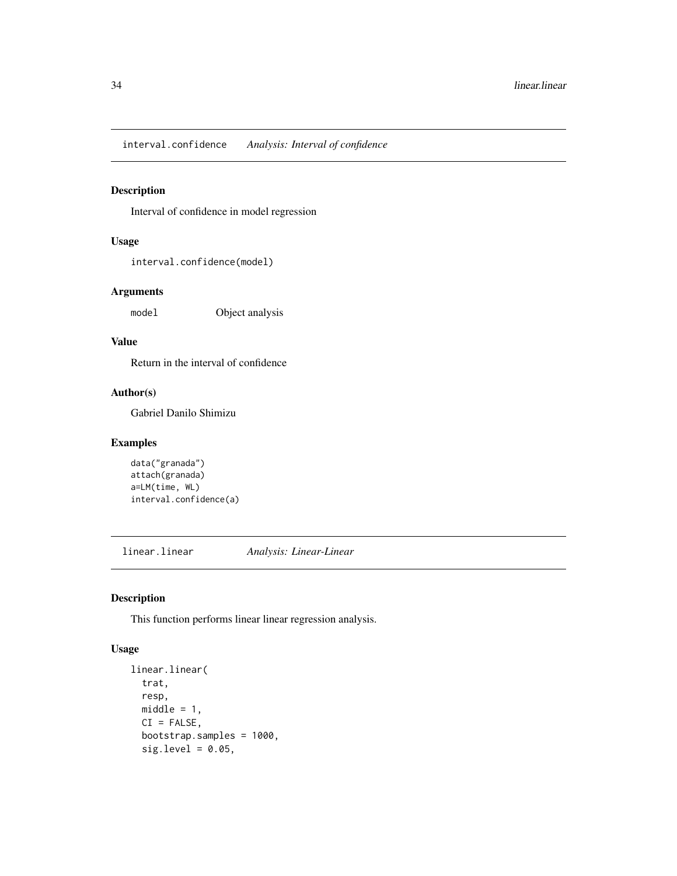<span id="page-33-0"></span>interval.confidence *Analysis: Interval of confidence*

# Description

Interval of confidence in model regression

# Usage

interval.confidence(model)

# Arguments

model Object analysis

# Value

Return in the interval of confidence

### Author(s)

Gabriel Danilo Shimizu

# Examples

```
data("granada")
attach(granada)
a=LM(time, WL)
interval.confidence(a)
```
linear.linear *Analysis: Linear-Linear*

# Description

This function performs linear linear regression analysis.

#### Usage

```
linear.linear(
  trat,
  resp,
 middle = 1,CI = FALSE,bootstrap.samples = 1000,
  sig. level = 0.05,
```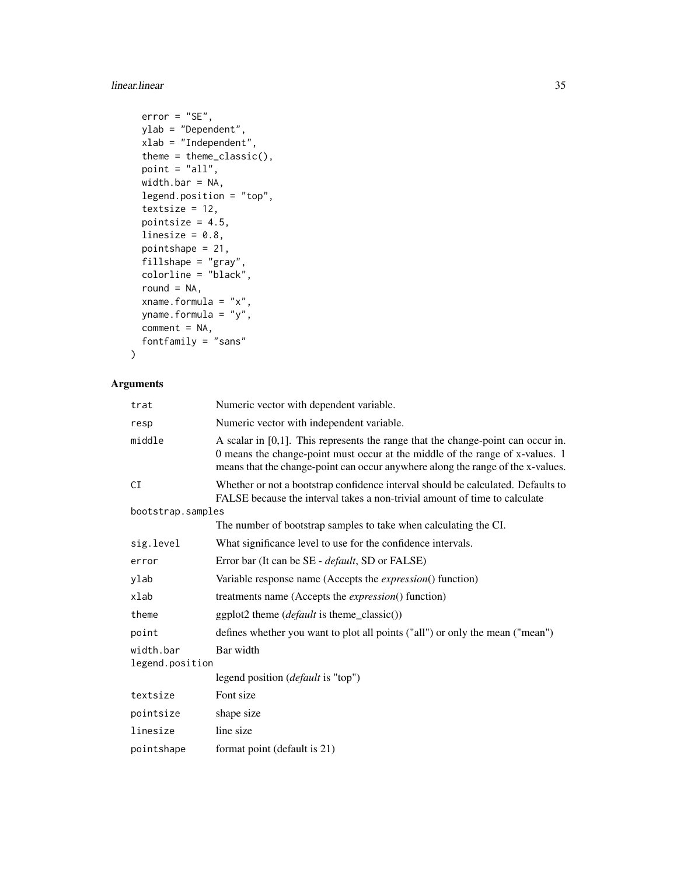# linear.linear 35

```
error = "SE",ylab = "Dependent",
 xlab = "Independent",
  theme = theme_classic(),
 point = "all",width.bar = NA,
 legend.position = "top",
  textsize = 12,
  pointsize = 4.5,
  linesize = 0.8,
 pointshape = 21,
 fillshape = "gray",
  colorline = "black",
  round = NA,
 xname.formula = "x",
 yname.formula = "y",
 comment = NA,fontfamily = "sans"
\mathcal{L}
```

| trat                         | Numeric vector with dependent variable.                                                                                                                                                                                                                 |  |
|------------------------------|---------------------------------------------------------------------------------------------------------------------------------------------------------------------------------------------------------------------------------------------------------|--|
| resp                         | Numeric vector with independent variable.                                                                                                                                                                                                               |  |
| middle                       | A scalar in $[0,1]$ . This represents the range that the change-point can occur in.<br>0 means the change-point must occur at the middle of the range of x-values. 1<br>means that the change-point can occur anywhere along the range of the x-values. |  |
| СI                           | Whether or not a bootstrap confidence interval should be calculated. Defaults to<br>FALSE because the interval takes a non-trivial amount of time to calculate                                                                                          |  |
| bootstrap.samples            |                                                                                                                                                                                                                                                         |  |
|                              | The number of bootstrap samples to take when calculating the CI.                                                                                                                                                                                        |  |
| sig.level                    | What significance level to use for the confidence intervals.                                                                                                                                                                                            |  |
| error                        | Error bar (It can be SE - <i>default</i> , SD or FALSE)                                                                                                                                                                                                 |  |
| ylab                         | Variable response name (Accepts the <i>expression</i> () function)                                                                                                                                                                                      |  |
| xlab                         | treatments name (Accepts the <i>expression</i> () function)                                                                                                                                                                                             |  |
| theme                        | ggplot2 theme ( <i>default</i> is theme_classic())                                                                                                                                                                                                      |  |
| point                        | defines whether you want to plot all points ("all") or only the mean ("mean")                                                                                                                                                                           |  |
| width.bar<br>legend.position | Bar width                                                                                                                                                                                                                                               |  |
|                              | legend position ( <i>default</i> is "top")                                                                                                                                                                                                              |  |
| textsize                     | Font size                                                                                                                                                                                                                                               |  |
| pointsize                    | shape size                                                                                                                                                                                                                                              |  |
| linesize                     | line size                                                                                                                                                                                                                                               |  |
| pointshape                   | format point (default is 21)                                                                                                                                                                                                                            |  |
|                              |                                                                                                                                                                                                                                                         |  |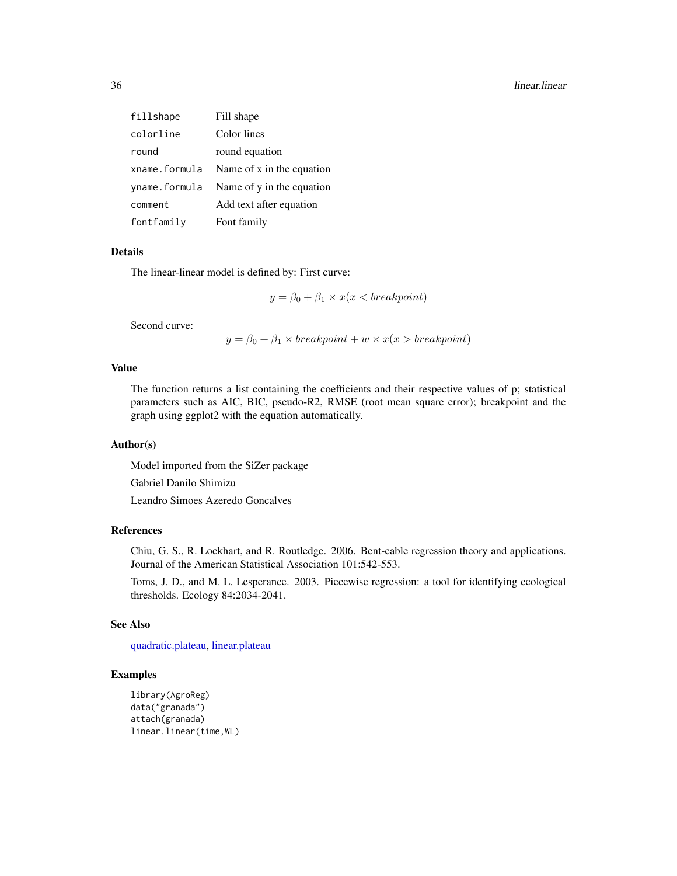| fillshape     | Fill shape                |
|---------------|---------------------------|
| colorline     | Color lines               |
| round         | round equation            |
| xname.formula | Name of x in the equation |
| yname.formula | Name of y in the equation |
| comment       | Add text after equation   |
| fontfamily    | Font family               |

The linear-linear model is defined by: First curve:

$$
y = \beta_0 + \beta_1 \times x(x < \text{breakpoint})
$$

Second curve:

 $y = \beta_0 + \beta_1 \times \text{breakpoint} + w \times x(x > \text{breakpoint})$ 

#### Value

The function returns a list containing the coefficients and their respective values of p; statistical parameters such as AIC, BIC, pseudo-R2, RMSE (root mean square error); breakpoint and the graph using ggplot2 with the equation automatically.

#### Author(s)

Model imported from the SiZer package Gabriel Danilo Shimizu

Leandro Simoes Azeredo Goncalves

#### References

Chiu, G. S., R. Lockhart, and R. Routledge. 2006. Bent-cable regression theory and applications. Journal of the American Statistical Association 101:542-553.

Toms, J. D., and M. L. Lesperance. 2003. Piecewise regression: a tool for identifying ecological thresholds. Ecology 84:2034-2041.

#### See Also

[quadratic.plateau,](#page-90-1) [linear.plateau](#page-36-1)

```
library(AgroReg)
data("granada")
attach(granada)
linear.linear(time,WL)
```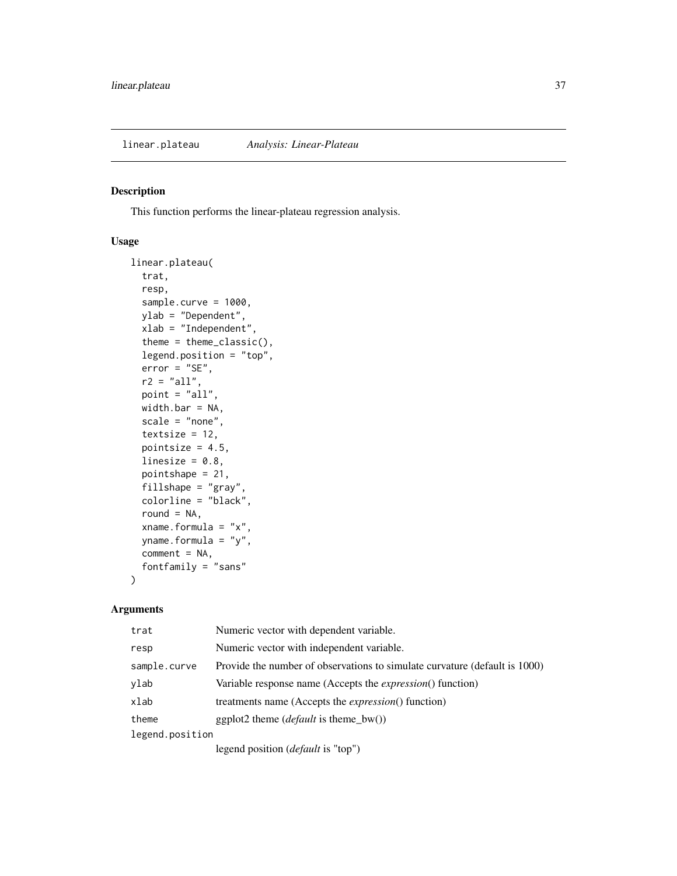This function performs the linear-plateau regression analysis.

## Usage

```
linear.plateau(
  trat,
  resp,
  sample.curve = 1000,
  ylab = "Dependent",
  xlab = "Independent",
  theme = theme_classic(),
  legend.position = "top",
  error = "SE",
  r2 = "all",point = "all",
 width.bar = NA,
  scale = "none",
  textsize = 12,
 pointsize = 4.5,
  linesize = 0.8,
  pointshape = 21,
  fillshape = "gray",
  colorline = "black",
  round = NA,
  xname.formula = "x",
  yname.formula = "y",
  comment = NA,
  fontfamily = "sans"
)
```

| trat            | Numeric vector with dependent variable.                                    |
|-----------------|----------------------------------------------------------------------------|
| resp            | Numeric vector with independent variable.                                  |
| sample.curve    | Provide the number of observations to simulate curvature (default is 1000) |
| ylab            | Variable response name (Accepts the <i>expression</i> () function)         |
| xlab            | treatments name (Accepts the <i>expression</i> () function)                |
| theme           | ggplot2 theme ( <i>default</i> is theme_bw())                              |
| legend.position |                                                                            |
|                 | legend position ( <i>default</i> is "top")                                 |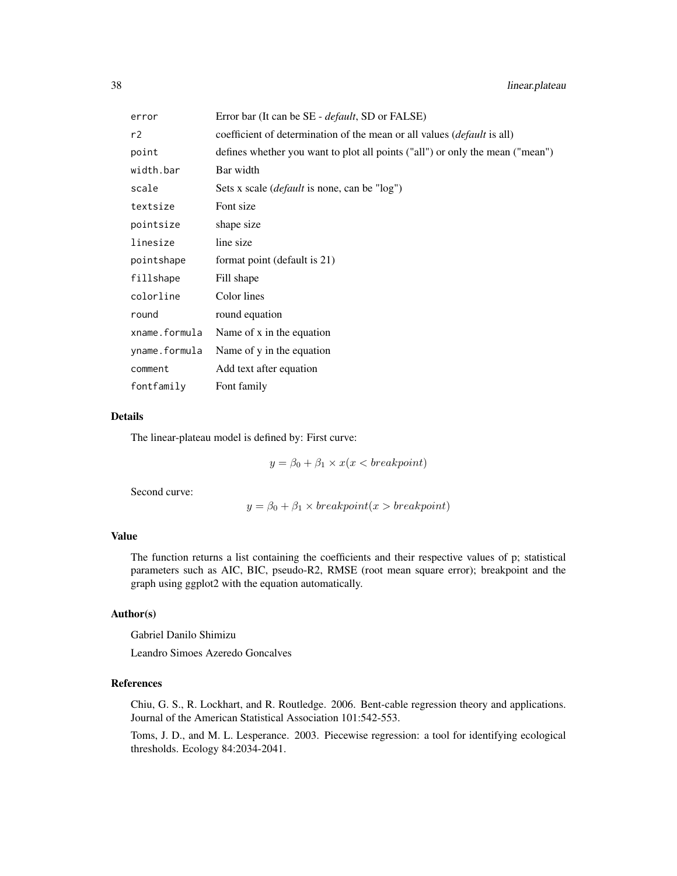| error         | Error bar (It can be SE - <i>default</i> , SD or FALSE)                         |
|---------------|---------------------------------------------------------------------------------|
| r2            | coefficient of determination of the mean or all values ( <i>default</i> is all) |
| point         | defines whether you want to plot all points ("all") or only the mean ("mean")   |
| width.bar     | Bar width                                                                       |
| scale         | Sets x scale <i>(default</i> is none, can be "log")                             |
| textsize      | Font size                                                                       |
| pointsize     | shape size                                                                      |
| linesize      | line size                                                                       |
| pointshape    | format point (default is 21)                                                    |
| fillshape     | Fill shape                                                                      |
| colorline     | Color lines                                                                     |
| round         | round equation                                                                  |
| xname.formula | Name of x in the equation                                                       |
| yname.formula | Name of y in the equation                                                       |
| comment       | Add text after equation                                                         |
| fontfamily    | Font family                                                                     |

#### Details

The linear-plateau model is defined by: First curve:

 $y = \beta_0 + \beta_1 \times x(x < \text{breakpoint})$ 

Second curve:

 $y = \beta_0 + \beta_1 \times \text{breakpoint}(x > \text{breakpoint})$ 

# Value

The function returns a list containing the coefficients and their respective values of p; statistical parameters such as AIC, BIC, pseudo-R2, RMSE (root mean square error); breakpoint and the graph using ggplot2 with the equation automatically.

# Author(s)

Gabriel Danilo Shimizu

Leandro Simoes Azeredo Goncalves

# References

Chiu, G. S., R. Lockhart, and R. Routledge. 2006. Bent-cable regression theory and applications. Journal of the American Statistical Association 101:542-553.

Toms, J. D., and M. L. Lesperance. 2003. Piecewise regression: a tool for identifying ecological thresholds. Ecology 84:2034-2041.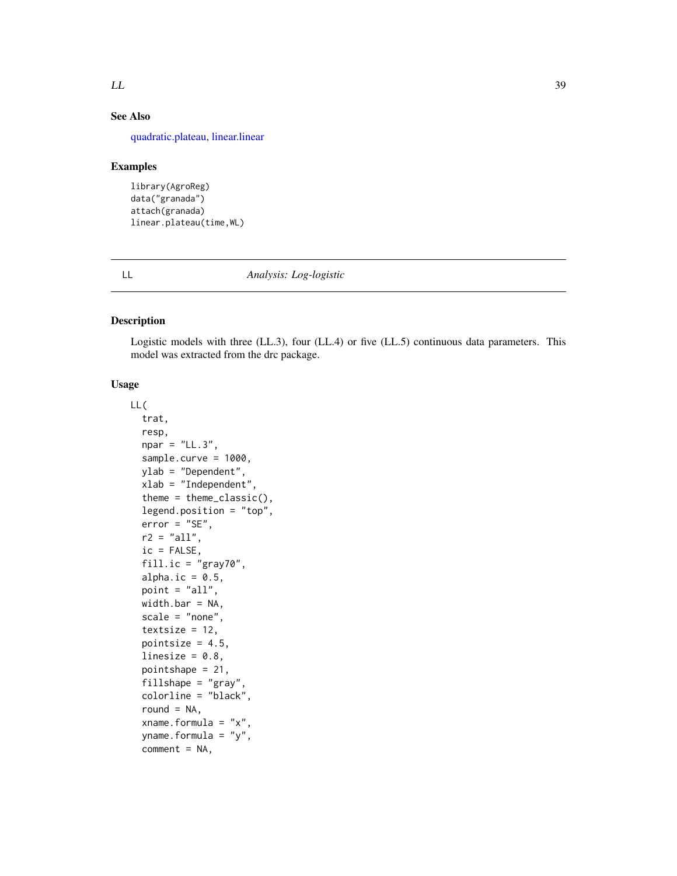## $LL$  39

# See Also

[quadratic.plateau,](#page-90-0) [linear.linear](#page-33-0)

#### Examples

```
library(AgroReg)
data("granada")
attach(granada)
linear.plateau(time,WL)
```
LL *Analysis: Log-logistic*

# Description

Logistic models with three (LL.3), four (LL.4) or five (LL.5) continuous data parameters. This model was extracted from the drc package.

# Usage

```
LL(
  trat,
  resp,
  npar = "LL.3",sample.curve = 1000,
 ylab = "Dependent",
  xlab = "Independent"
  theme = theme_classic(),
  legend.position = "top",
  error = "SE",
  r2 = "all",ic = FALSE,
  fill.ic = "gray70",
  alpha.ic = 0.5,
  point = "all",
 width.bar = NA,
  scale = "none",
  textsize = 12,pointsize = 4.5,
  linesize = 0.8,
  pointshape = 21,
  fillshape = "gray",
  colorline = "black",
  round = NA,
  xname.formula = "x",
  yname.formula = "y",
  comment = NA,
```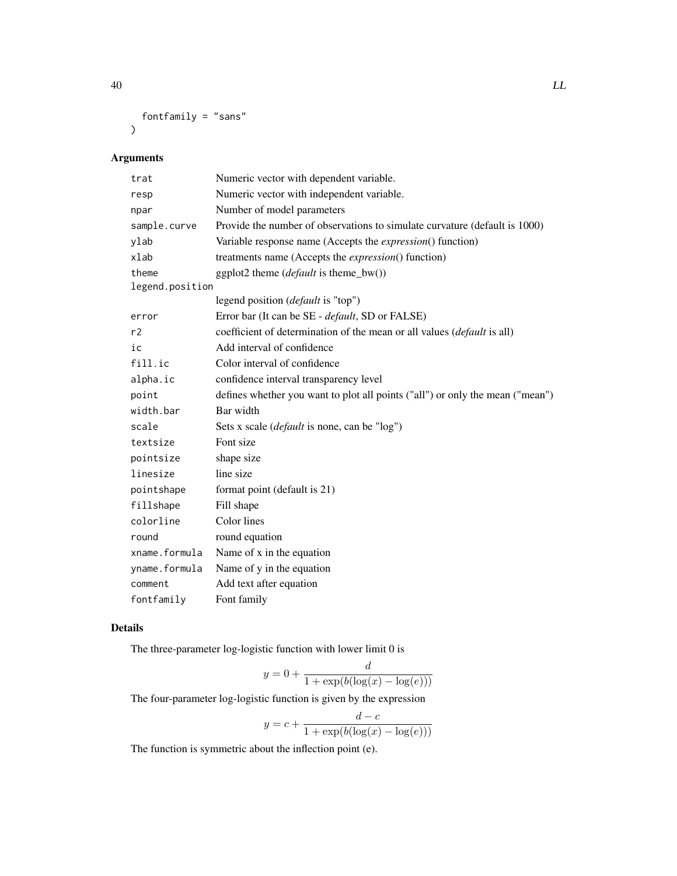```
fontfamily = "sans"
\mathcal{L}
```
# Arguments

| trat            | Numeric vector with dependent variable.                                       |
|-----------------|-------------------------------------------------------------------------------|
| resp            | Numeric vector with independent variable.                                     |
| npar            | Number of model parameters                                                    |
| sample.curve    | Provide the number of observations to simulate curvature (default is 1000)    |
| ylab            | Variable response name (Accepts the <i>expression</i> () function)            |
| xlab            | treatments name (Accepts the <i>expression</i> () function)                   |
| theme           | ggplot2 theme ( <i>default</i> is theme_bw())                                 |
| legend.position |                                                                               |
|                 | legend position ( <i>default</i> is "top")                                    |
| error           | Error bar (It can be SE - <i>default</i> , SD or FALSE)                       |
| r2              | coefficient of determination of the mean or all values (default is all)       |
| ic              | Add interval of confidence                                                    |
| fill.ic         | Color interval of confidence                                                  |
| alpha.ic        | confidence interval transparency level                                        |
| point           | defines whether you want to plot all points ("all") or only the mean ("mean") |
| width.bar       | Bar width                                                                     |
| scale           | Sets x scale ( <i>default</i> is none, can be "log")                          |
| textsize        | Font size                                                                     |
| pointsize       | shape size                                                                    |
| linesize        | line size                                                                     |
| pointshape      | format point (default is 21)                                                  |
| fillshape       | Fill shape                                                                    |
| colorline       | Color lines                                                                   |
| round           | round equation                                                                |
| xname.formula   | Name of x in the equation                                                     |
| yname.formula   | Name of y in the equation                                                     |
| comment         | Add text after equation                                                       |
| fontfamily      | Font family                                                                   |

# Details

The three-parameter log-logistic function with lower limit 0 is

$$
y = 0 + \frac{d}{1 + \exp(b(\log(x) - \log(e)))}
$$

The four-parameter log-logistic function is given by the expression

$$
y = c + \frac{d - c}{1 + \exp(b(\log(x) - \log(e)))}
$$

The function is symmetric about the inflection point (e).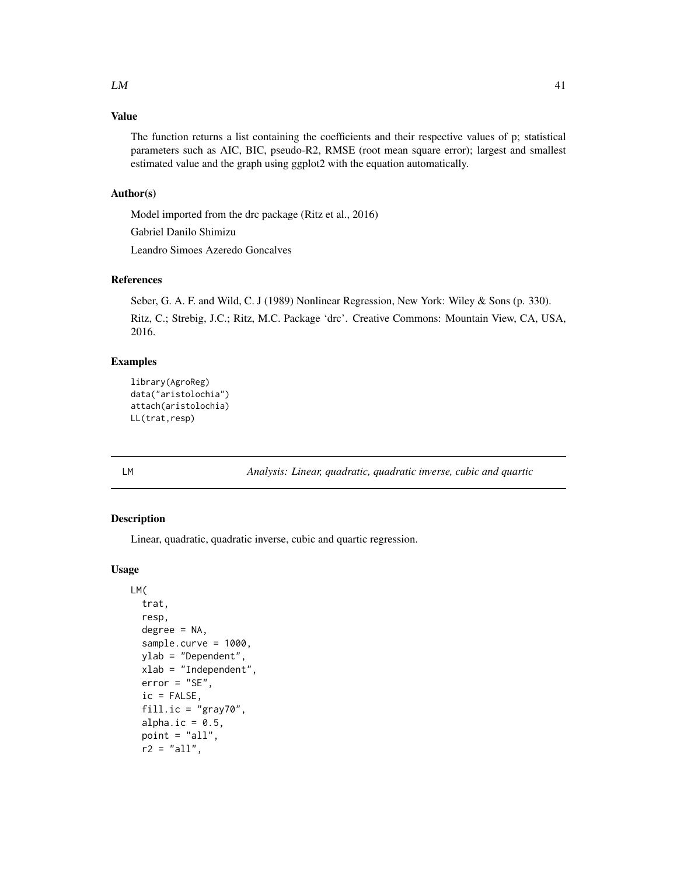# Value

The function returns a list containing the coefficients and their respective values of p; statistical parameters such as AIC, BIC, pseudo-R2, RMSE (root mean square error); largest and smallest estimated value and the graph using ggplot2 with the equation automatically.

## Author(s)

Model imported from the drc package (Ritz et al., 2016)

Gabriel Danilo Shimizu

Leandro Simoes Azeredo Goncalves

## References

Seber, G. A. F. and Wild, C. J (1989) Nonlinear Regression, New York: Wiley & Sons (p. 330).

Ritz, C.; Strebig, J.C.; Ritz, M.C. Package 'drc'. Creative Commons: Mountain View, CA, USA, 2016.

## Examples

```
library(AgroReg)
data("aristolochia")
attach(aristolochia)
LL(trat,resp)
```
LM *Analysis: Linear, quadratic, quadratic inverse, cubic and quartic*

# Description

Linear, quadratic, quadratic inverse, cubic and quartic regression.

## Usage

```
LM(
  trat,
  resp,
  degree = NA,
  sample.curve = 1000,
  ylab = "Dependent",
  xlab = "Independent",
  error = "SE",ic = FALSE,
  fill.ic = "gray70",
  alpha.ic = 0.5,
  point = "all",
  r2 = "all",
```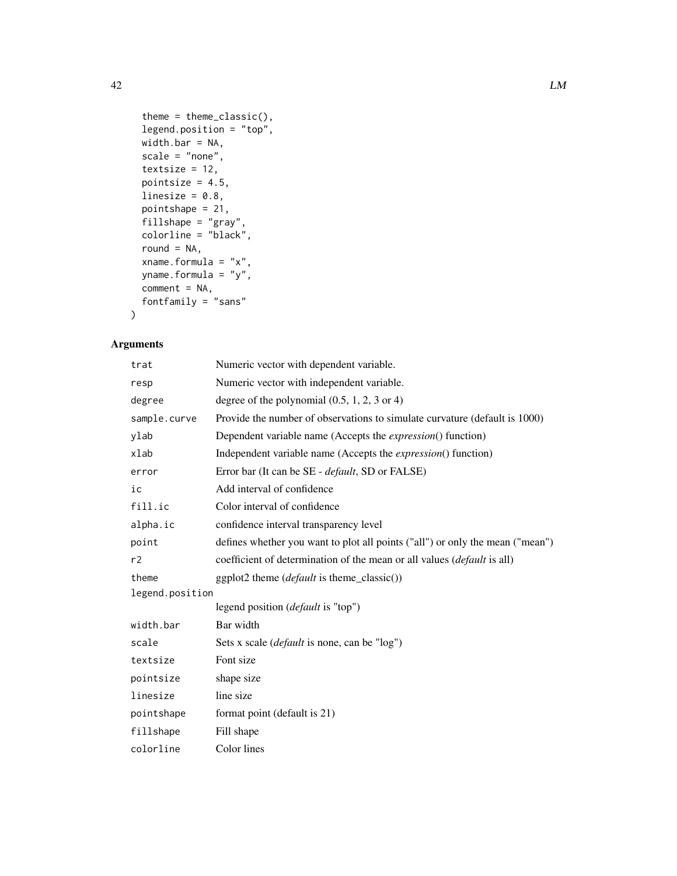```
theme = theme_classic(),
legend.position = "top",
width.bar = NA,
scale = "none",textsize = 12,
pointsize = 4.5,
linesize = 0.8,
pointshape = 21,
fillshape = "gray",
colorline = "black",
round = NA,
xname.formula = "x",
yname.formula = "y",
comment = NA,
fontfamily = "sans"
```
# Arguments

 $\mathcal{L}$ 

| trat            | Numeric vector with dependent variable.                                       |  |
|-----------------|-------------------------------------------------------------------------------|--|
| resp            | Numeric vector with independent variable.                                     |  |
| degree          | degree of the polynomial $(0.5, 1, 2, 3 \text{ or } 4)$                       |  |
| sample.curve    | Provide the number of observations to simulate curvature (default is 1000)    |  |
| ylab            | Dependent variable name (Accepts the <i>expression</i> () function)           |  |
| xlab            | Independent variable name (Accepts the <i>expression</i> () function)         |  |
| error           | Error bar (It can be SE - <i>default</i> , SD or FALSE)                       |  |
| ic              | Add interval of confidence                                                    |  |
| fill.ic         | Color interval of confidence                                                  |  |
| alpha.ic        | confidence interval transparency level                                        |  |
| point           | defines whether you want to plot all points ("all") or only the mean ("mean") |  |
| r2              | coefficient of determination of the mean or all values (default is all)       |  |
| theme           | ggplot2 theme ( <i>default</i> is theme_classic())                            |  |
| legend.position |                                                                               |  |
|                 | legend position ( <i>default</i> is "top")                                    |  |
| width.bar       | Bar width                                                                     |  |
| scale           | Sets x scale (default is none, can be "log")                                  |  |
| textsize        | Font size                                                                     |  |
| pointsize       | shape size                                                                    |  |
| linesize        | line size                                                                     |  |
| pointshape      | format point (default is 21)                                                  |  |
| fillshape       | Fill shape                                                                    |  |
| colorline       | Color lines                                                                   |  |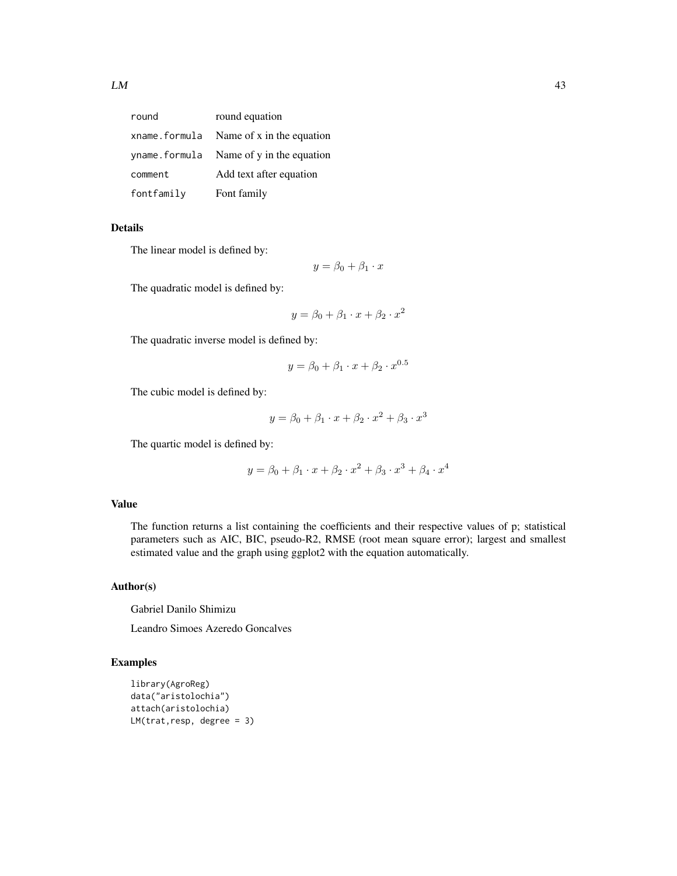| round         | round equation                          |
|---------------|-----------------------------------------|
| xname.formula | Name of x in the equation               |
|               | yname.formula Name of y in the equation |
| comment       | Add text after equation                 |
| fontfamily    | Font family                             |

# Details

The linear model is defined by:

$$
y = \beta_0 + \beta_1 \cdot x
$$

The quadratic model is defined by:

$$
y = \beta_0 + \beta_1 \cdot x + \beta_2 \cdot x^2
$$

The quadratic inverse model is defined by:

$$
y = \beta_0 + \beta_1 \cdot x + \beta_2 \cdot x^{0.5}
$$

The cubic model is defined by:

$$
y = \beta_0 + \beta_1 \cdot x + \beta_2 \cdot x^2 + \beta_3 \cdot x^3
$$

The quartic model is defined by:

$$
y = \beta_0 + \beta_1 \cdot x + \beta_2 \cdot x^2 + \beta_3 \cdot x^3 + \beta_4 \cdot x^4
$$

## Value

The function returns a list containing the coefficients and their respective values of p; statistical parameters such as AIC, BIC, pseudo-R2, RMSE (root mean square error); largest and smallest estimated value and the graph using ggplot2 with the equation automatically.

## Author(s)

Gabriel Danilo Shimizu

Leandro Simoes Azeredo Goncalves

```
library(AgroReg)
data("aristolochia")
attach(aristolochia)
LM(train, resp, degree = 3)
```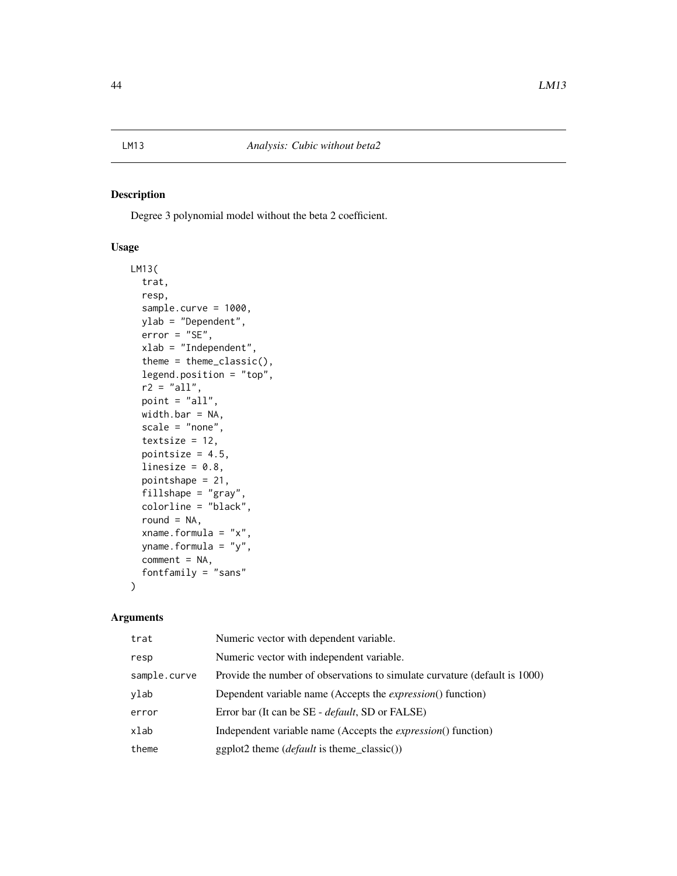Degree 3 polynomial model without the beta 2 coefficient.

# Usage

```
LM13(
  trat,
  resp,
  sample.curve = 1000,
  ylab = "Dependent",
  error = "SE",xlab = "Independent",
  theme = theme_classic(),
  legend.position = "top",
  r2 = "all",point = "all",width.bar = NA,
  scale = "none",
  textsize = 12,
  pointsize = 4.5,
  linesize = 0.8,
  pointshape = 21,
  fillshape = "gray",
  colorline = "black",
  round = NA,
  xname.formula = "x",
  yname.formula = "y",
  comment = NA,
  fontfamily = "sans"
)
```

| trat         | Numeric vector with dependent variable.                                    |
|--------------|----------------------------------------------------------------------------|
| resp         | Numeric vector with independent variable.                                  |
| sample.curve | Provide the number of observations to simulate curvature (default is 1000) |
| ylab         | Dependent variable name (Accepts the <i>expression</i> () function)        |
| error        | Error bar (It can be SE - <i>default</i> , SD or FALSE)                    |
| xlab         | Independent variable name (Accepts the <i>expression</i> () function)      |
| theme        | $ggplot2$ theme ( <i>default</i> is theme_classic())                       |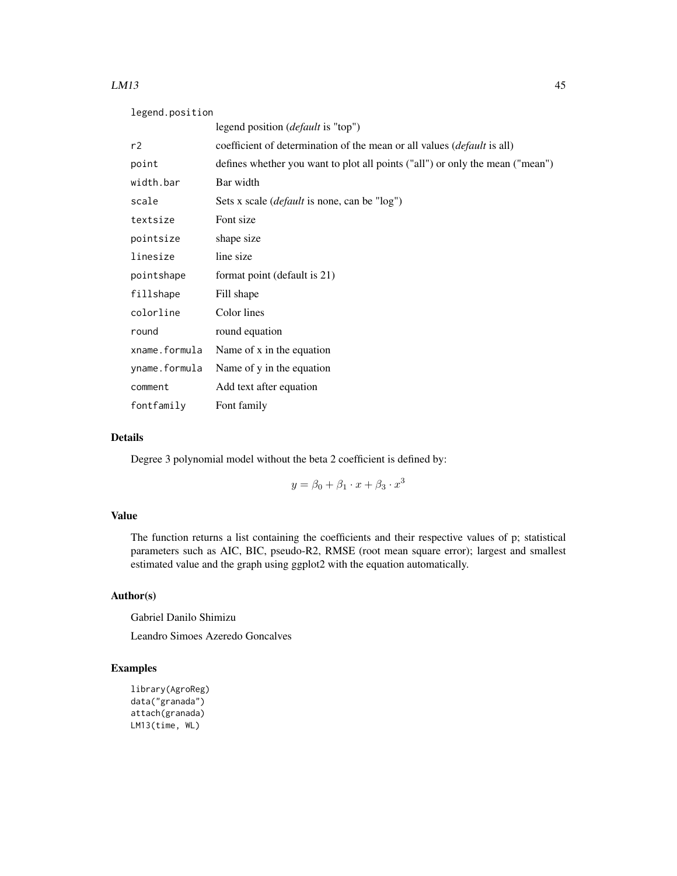#### $LM13$  and the contract of the contract of the contract of the contract of the contract of the contract of the contract of the contract of the contract of the contract of the contract of the contract of the contract of the

| legend.position |                                                                                 |  |
|-----------------|---------------------------------------------------------------------------------|--|
|                 | legend position ( <i>default</i> is "top")                                      |  |
| r2              | coefficient of determination of the mean or all values ( <i>default</i> is all) |  |
| point           | defines whether you want to plot all points ("all") or only the mean ("mean")   |  |
| width.bar       | Bar width                                                                       |  |
| scale           | Sets x scale ( <i>default</i> is none, can be "log")                            |  |
| textsize        | Font size                                                                       |  |
| pointsize       | shape size                                                                      |  |
| linesize        | line size                                                                       |  |
| pointshape      | format point (default is 21)                                                    |  |
| fillshape       | Fill shape                                                                      |  |
| colorline       | Color lines                                                                     |  |
| round           | round equation                                                                  |  |
| xname.formula   | Name of x in the equation                                                       |  |
| yname.formula   | Name of y in the equation                                                       |  |
| comment         | Add text after equation                                                         |  |
| fontfamily      | Font family                                                                     |  |

# Details

Degree 3 polynomial model without the beta 2 coefficient is defined by:

$$
y = \beta_0 + \beta_1 \cdot x + \beta_3 \cdot x^3
$$

# Value

The function returns a list containing the coefficients and their respective values of p; statistical parameters such as AIC, BIC, pseudo-R2, RMSE (root mean square error); largest and smallest estimated value and the graph using ggplot2 with the equation automatically.

# Author(s)

Gabriel Danilo Shimizu

Leandro Simoes Azeredo Goncalves

```
library(AgroReg)
data("granada")
attach(granada)
LM13(time, WL)
```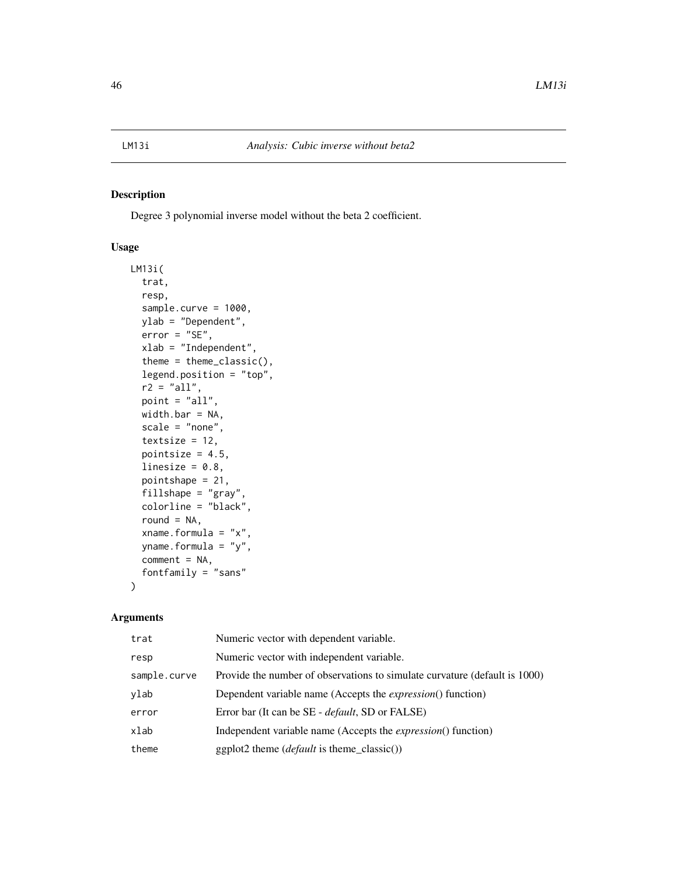Degree 3 polynomial inverse model without the beta 2 coefficient.

# Usage

```
LM13i(
  trat,
  resp,
  sample.curve = 1000,
  ylab = "Dependent",
  error = "SE",xlab = "Independent",
  theme = theme_classic(),
  legend.position = "top",
  r2 = "all",point = "all",
  width.bar = NA,
  scale = "none",
  textsize = 12,
  pointsize = 4.5,
  linesize = 0.8,
  pointshape = 21,
  fillshape = "gray",
  colorline = "black",
  round = NA,
  xname.formula = "x",
  yname.formula = "y",
  comment = NA,
  fontfamily = "sans"
)
```

| trat         | Numeric vector with dependent variable.                                    |
|--------------|----------------------------------------------------------------------------|
| resp         | Numeric vector with independent variable.                                  |
| sample.curve | Provide the number of observations to simulate curvature (default is 1000) |
| ylab         | Dependent variable name (Accepts the <i>expression</i> () function)        |
| error        | Error bar (It can be SE - <i>default</i> , SD or FALSE)                    |
| xlab         | Independent variable name (Accepts the <i>expression</i> () function)      |
| theme        | $ggplot2$ theme ( <i>default</i> is theme_classic())                       |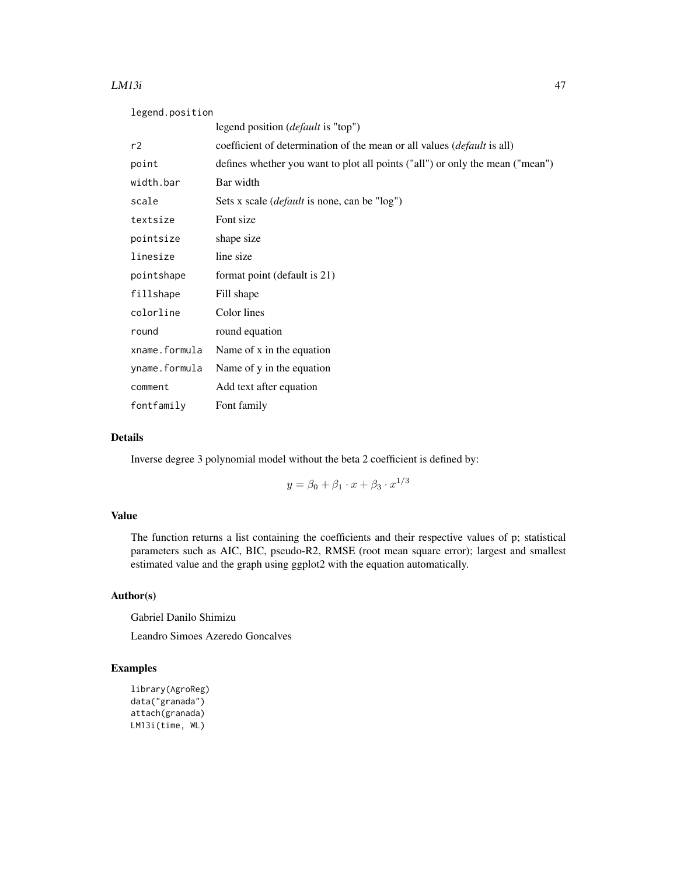#### $LM13i$  and the set of the set of the set of the set of the set of the set of the set of the set of the set of the set of the set of the set of the set of the set of the set of the set of the set of the set of the set of t

| legend.position |                                                                                 |  |
|-----------------|---------------------------------------------------------------------------------|--|
|                 | legend position ( <i>default</i> is "top")                                      |  |
| r2              | coefficient of determination of the mean or all values ( <i>default</i> is all) |  |
| point           | defines whether you want to plot all points ("all") or only the mean ("mean")   |  |
| width.bar       | Bar width                                                                       |  |
| scale           | Sets x scale ( <i>default</i> is none, can be "log")                            |  |
| textsize        | Font size                                                                       |  |
| pointsize       | shape size                                                                      |  |
| linesize        | line size                                                                       |  |
| pointshape      | format point (default is 21)                                                    |  |
| fillshape       | Fill shape                                                                      |  |
| colorline       | Color lines                                                                     |  |
| round           | round equation                                                                  |  |
| xname.formula   | Name of x in the equation                                                       |  |
| yname.formula   | Name of y in the equation                                                       |  |
| comment         | Add text after equation                                                         |  |
| fontfamily      | Font family                                                                     |  |

# Details

Inverse degree 3 polynomial model without the beta 2 coefficient is defined by:

$$
y=\beta_0+\beta_1\cdot x+\beta_3\cdot x^{1/3}
$$

# Value

The function returns a list containing the coefficients and their respective values of p; statistical parameters such as AIC, BIC, pseudo-R2, RMSE (root mean square error); largest and smallest estimated value and the graph using ggplot2 with the equation automatically.

# Author(s)

Gabriel Danilo Shimizu

Leandro Simoes Azeredo Goncalves

```
library(AgroReg)
data("granada")
attach(granada)
LM13i(time, WL)
```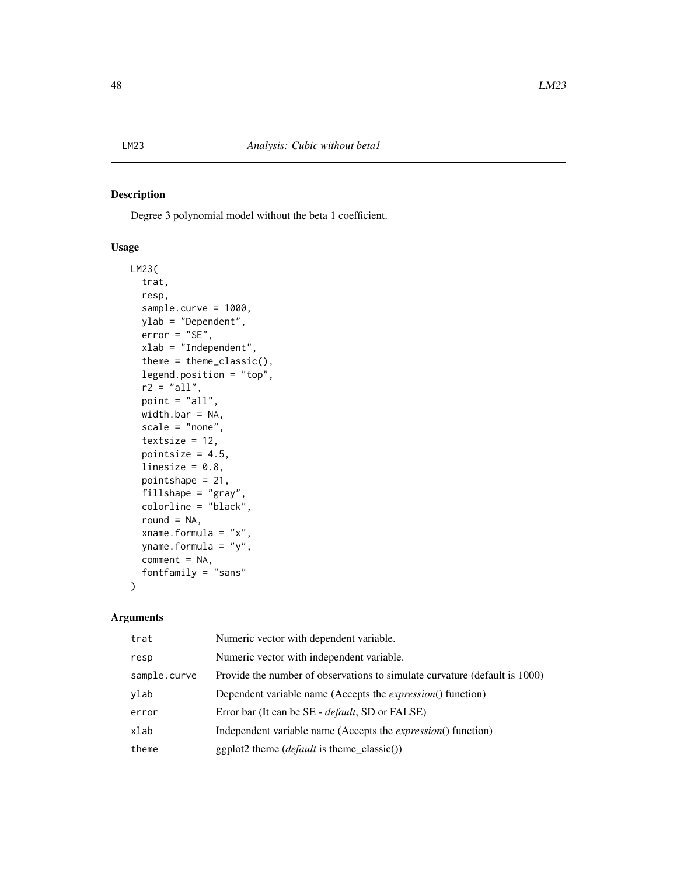Degree 3 polynomial model without the beta 1 coefficient.

## Usage

```
LM23(
  trat,
  resp,
  sample.curve = 1000,
  ylab = "Dependent",
  error = "SE",xlab = "Independent",
  theme = theme_classic(),
  legend.position = "top",
  r2 = "all",point = "all",width.bar = NA,
  scale = "none",
  textsize = 12,
  pointsize = 4.5,
  linesize = 0.8,
  pointshape = 21,
  fillshape = "gray",
  colorline = "black",
  round = NA,
  xname.formula = "x",
  yname.formula = "y",
  comment = NA,
  fontfamily = "sans"
)
```

| trat         | Numeric vector with dependent variable.                                    |
|--------------|----------------------------------------------------------------------------|
| resp         | Numeric vector with independent variable.                                  |
| sample.curve | Provide the number of observations to simulate curvature (default is 1000) |
| ylab         | Dependent variable name (Accepts the <i>expression</i> () function)        |
| error        | Error bar (It can be SE - <i>default</i> , SD or FALSE)                    |
| xlab         | Independent variable name (Accepts the <i>expression</i> () function)      |
| theme        | $ggplot2$ theme ( <i>default</i> is theme_classic())                       |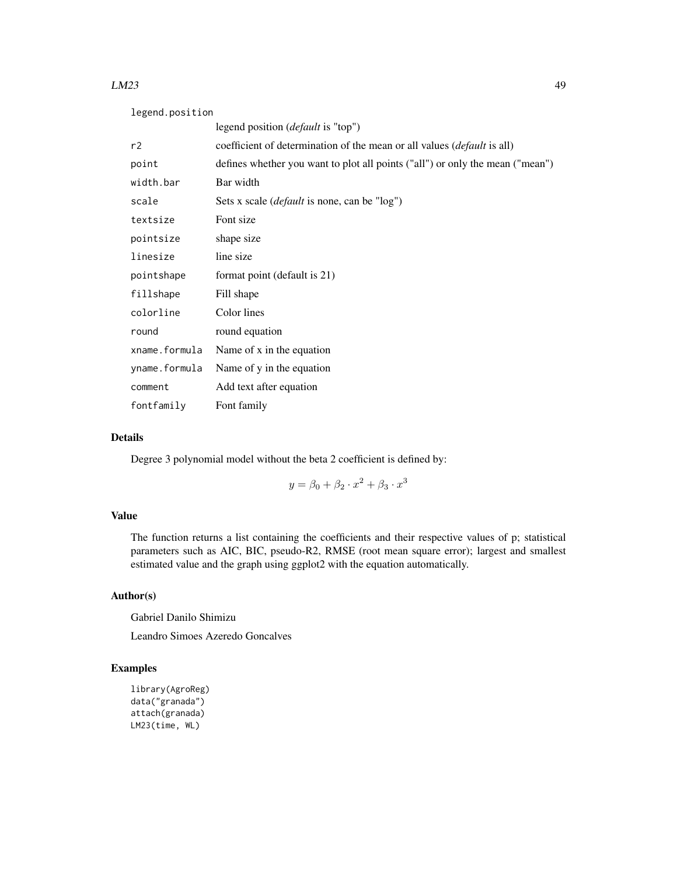#### $LM23$  and the contract of the contract of the contract of the contract of the contract of the contract of the contract of the contract of the contract of the contract of the contract of the contract of the contract of the

| legend.position |                                                                                 |  |
|-----------------|---------------------------------------------------------------------------------|--|
|                 | legend position ( <i>default</i> is "top")                                      |  |
| r2              | coefficient of determination of the mean or all values ( <i>default</i> is all) |  |
| point           | defines whether you want to plot all points ("all") or only the mean ("mean")   |  |
| width.bar       | Bar width                                                                       |  |
| scale           | Sets x scale ( <i>default</i> is none, can be "log")                            |  |
| textsize        | Font size                                                                       |  |
| pointsize       | shape size                                                                      |  |
| linesize        | line size                                                                       |  |
| pointshape      | format point (default is 21)                                                    |  |
| fillshape       | Fill shape                                                                      |  |
| colorline       | Color lines                                                                     |  |
| round           | round equation                                                                  |  |
| xname.formula   | Name of x in the equation                                                       |  |
| yname.formula   | Name of y in the equation                                                       |  |
| comment         | Add text after equation                                                         |  |
| fontfamily      | Font family                                                                     |  |

# Details

Degree 3 polynomial model without the beta 2 coefficient is defined by:

$$
y = \beta_0 + \beta_2 \cdot x^2 + \beta_3 \cdot x^3
$$

# Value

The function returns a list containing the coefficients and their respective values of p; statistical parameters such as AIC, BIC, pseudo-R2, RMSE (root mean square error); largest and smallest estimated value and the graph using ggplot2 with the equation automatically.

# Author(s)

Gabriel Danilo Shimizu

Leandro Simoes Azeredo Goncalves

```
library(AgroReg)
data("granada")
attach(granada)
LM23(time, WL)
```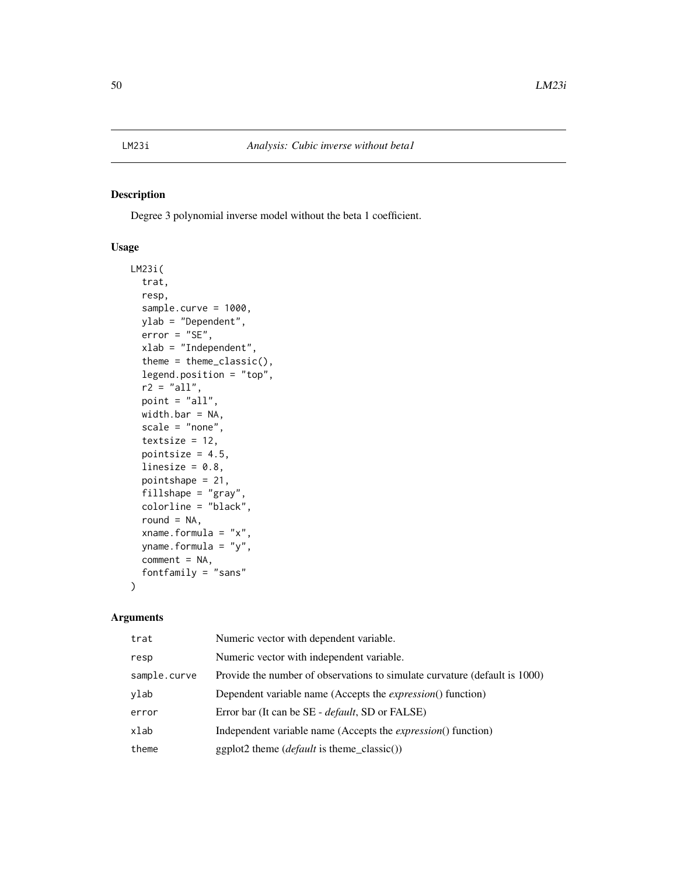Degree 3 polynomial inverse model without the beta 1 coefficient.

## Usage

```
LM23i(
  trat,
  resp,
  sample.curve = 1000,
  ylab = "Dependent",
  error = "SE",xlab = "Independent",
  theme = theme_classic(),
  legend.position = "top",
  r2 = "all",point = "all",width.bar = NA,
  scale = "none",
  textsize = 12,
  pointsize = 4.5,
  linesize = 0.8,
  pointshape = 21,
  fillshape = "gray",
  colorline = "black",
  round = NA,
  xname.formula = "x",
  yname.formula = "y",
  comment = NA,
  fontfamily = "sans"
)
```

| trat         | Numeric vector with dependent variable.                                    |
|--------------|----------------------------------------------------------------------------|
| resp         | Numeric vector with independent variable.                                  |
| sample.curve | Provide the number of observations to simulate curvature (default is 1000) |
| ylab         | Dependent variable name (Accepts the <i>expression</i> () function)        |
| error        | Error bar (It can be SE - <i>default</i> , SD or FALSE)                    |
| xlab         | Independent variable name (Accepts the <i>expression</i> () function)      |
| theme        | $ggplot2$ theme ( <i>default</i> is theme_classic())                       |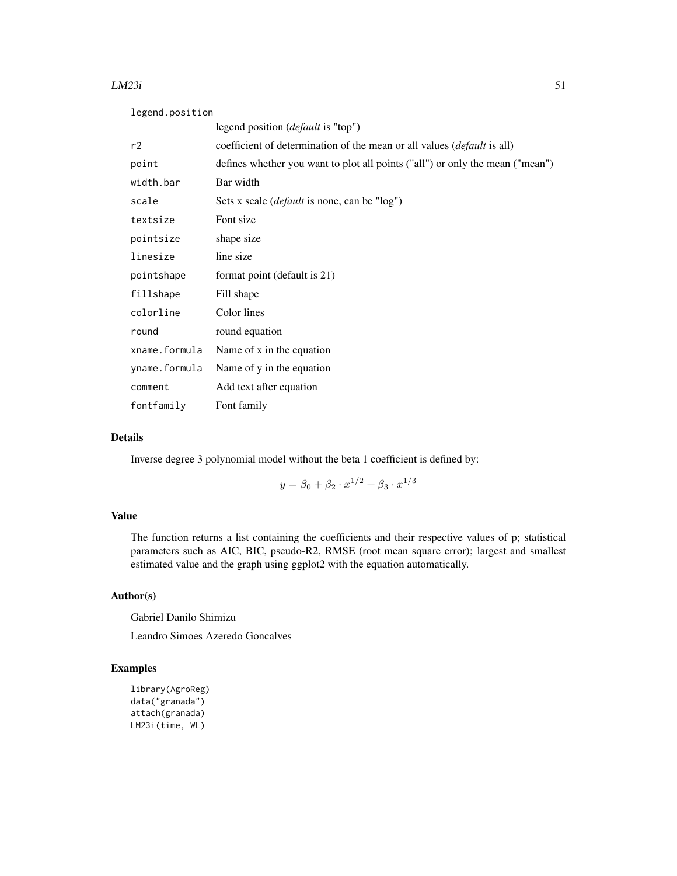#### $LM23i$  51

| legend.position |                                                                               |  |
|-----------------|-------------------------------------------------------------------------------|--|
|                 | legend position ( <i>default</i> is "top")                                    |  |
| r2              | coefficient of determination of the mean or all values (default is all)       |  |
| point           | defines whether you want to plot all points ("all") or only the mean ("mean") |  |
| width.bar       | Bar width                                                                     |  |
| scale           | Sets x scale ( <i>default</i> is none, can be "log")                          |  |
| textsize        | Font size                                                                     |  |
| pointsize       | shape size                                                                    |  |
| linesize        | line size                                                                     |  |
| pointshape      | format point (default is 21)                                                  |  |
| fillshape       | Fill shape                                                                    |  |
| colorline       | Color lines                                                                   |  |
| round           | round equation                                                                |  |
| xname.formula   | Name of x in the equation                                                     |  |
| yname.formula   | Name of y in the equation                                                     |  |
| comment         | Add text after equation                                                       |  |
| fontfamily      | Font family                                                                   |  |

# Details

Inverse degree 3 polynomial model without the beta 1 coefficient is defined by:

$$
y = \beta_0 + \beta_2 \cdot x^{1/2} + \beta_3 \cdot x^{1/3}
$$

# Value

The function returns a list containing the coefficients and their respective values of p; statistical parameters such as AIC, BIC, pseudo-R2, RMSE (root mean square error); largest and smallest estimated value and the graph using ggplot2 with the equation automatically.

# Author(s)

Gabriel Danilo Shimizu

Leandro Simoes Azeredo Goncalves

```
library(AgroReg)
data("granada")
attach(granada)
LM23i(time, WL)
```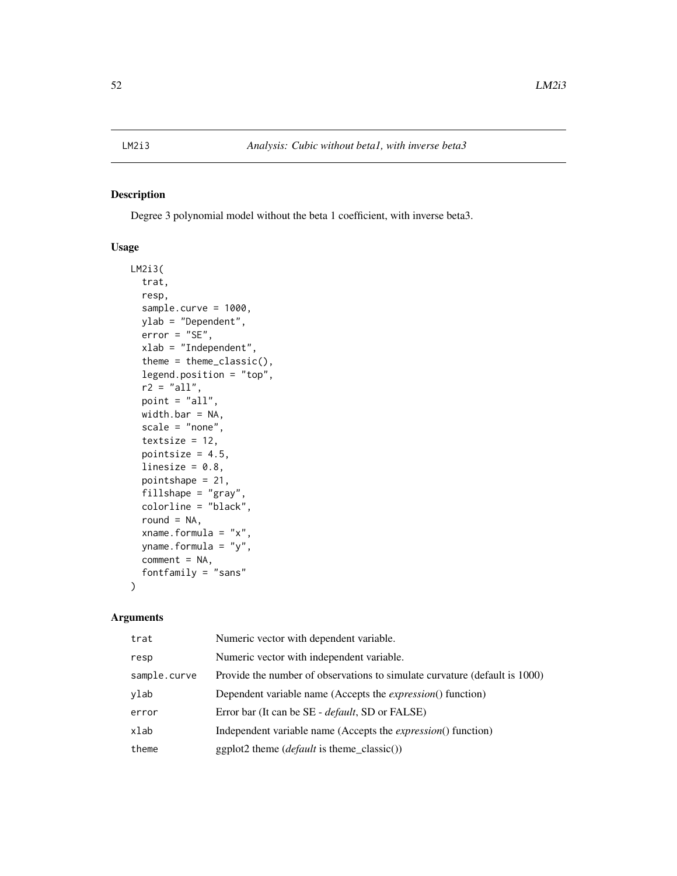Degree 3 polynomial model without the beta 1 coefficient, with inverse beta3.

## Usage

```
LM2i3(
  trat,
  resp,
  sample.curve = 1000,
  ylab = "Dependent",
  error = "SE",xlab = "Independent",
  theme = theme_classic(),
  legend.position = "top",
  r2 = "all",point = "all",
  width.bar = NA,
  scale = "none",
  textsize = 12,
  pointsize = 4.5,
  linesize = 0.8,
  pointshape = 21,
  fillshape = "gray",
  colorline = "black",
  round = NA,
  xname.formula = "x",
  yname.formula = "y",
  comment = NA,
  fontfamily = "sans"
)
```

| trat         | Numeric vector with dependent variable.                                    |
|--------------|----------------------------------------------------------------------------|
| resp         | Numeric vector with independent variable.                                  |
| sample.curve | Provide the number of observations to simulate curvature (default is 1000) |
| ylab         | Dependent variable name (Accepts the <i>expression</i> () function)        |
| error        | Error bar (It can be SE - <i>default</i> , SD or FALSE)                    |
| xlab         | Independent variable name (Accepts the <i>expression</i> () function)      |
| theme        | $ggplot2$ theme ( <i>default</i> is theme_classic())                       |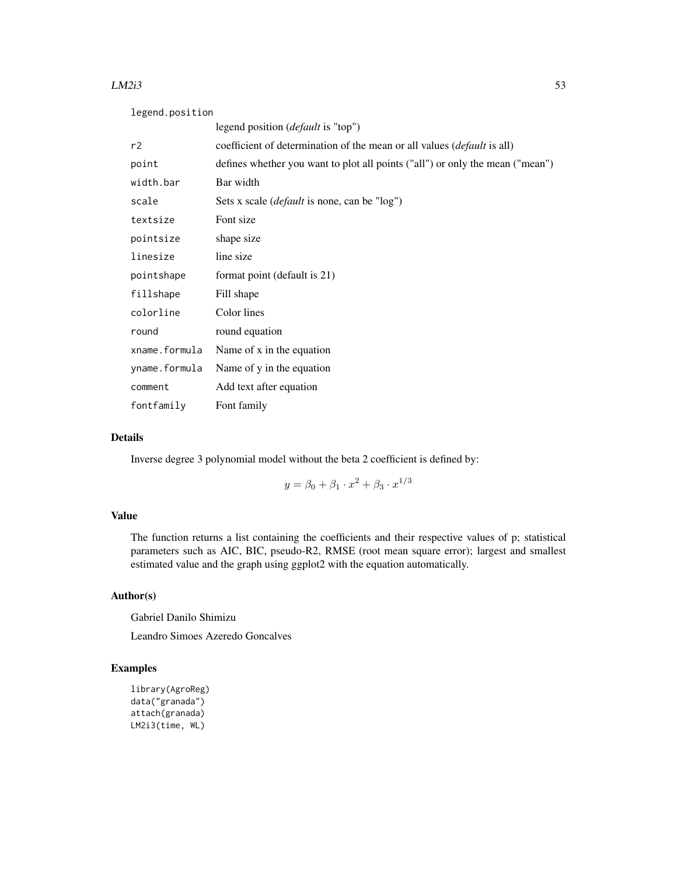#### $LM2i3$  53

| legend.position |                                                                                 |  |
|-----------------|---------------------------------------------------------------------------------|--|
|                 | legend position ( <i>default</i> is "top")                                      |  |
| r2              | coefficient of determination of the mean or all values ( <i>default</i> is all) |  |
| point           | defines whether you want to plot all points ("all") or only the mean ("mean")   |  |
| width.bar       | Bar width                                                                       |  |
| scale           | Sets x scale ( <i>default</i> is none, can be "log")                            |  |
| textsize        | Font size                                                                       |  |
| pointsize       | shape size                                                                      |  |
| linesize        | line size                                                                       |  |
| pointshape      | format point (default is 21)                                                    |  |
| fillshape       | Fill shape                                                                      |  |
| colorline       | Color lines                                                                     |  |
| round           | round equation                                                                  |  |
| xname.formula   | Name of x in the equation                                                       |  |
| yname.formula   | Name of y in the equation                                                       |  |
| comment         | Add text after equation                                                         |  |
| fontfamily      | Font family                                                                     |  |

# Details

Inverse degree 3 polynomial model without the beta 2 coefficient is defined by:

$$
y = \beta_0 + \beta_1 \cdot x^2 + \beta_3 \cdot x^{1/3}
$$

# Value

The function returns a list containing the coefficients and their respective values of p; statistical parameters such as AIC, BIC, pseudo-R2, RMSE (root mean square error); largest and smallest estimated value and the graph using ggplot2 with the equation automatically.

# Author(s)

Gabriel Danilo Shimizu

Leandro Simoes Azeredo Goncalves

```
library(AgroReg)
data("granada")
attach(granada)
LM2i3(time, WL)
```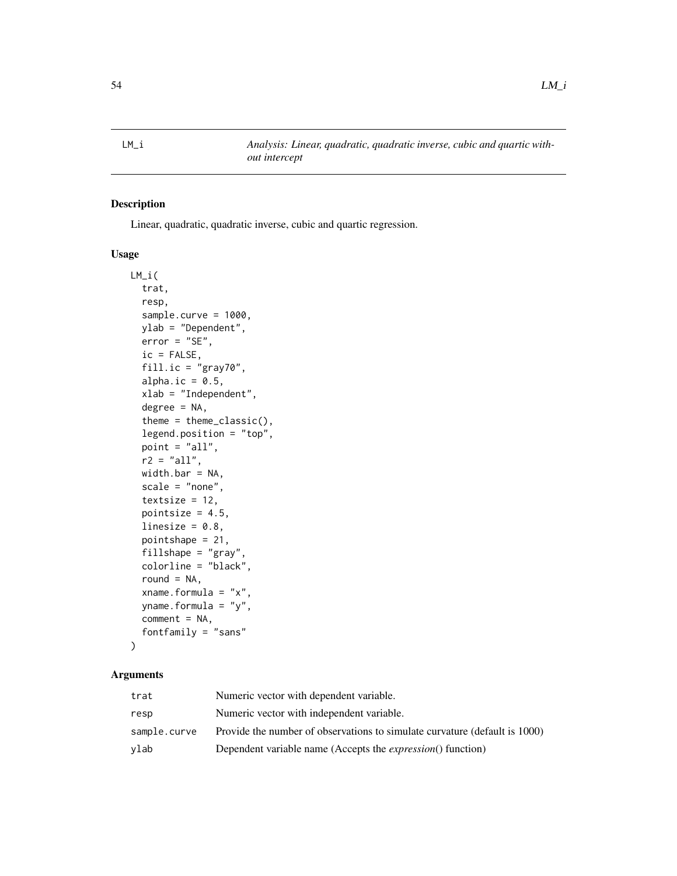Linear, quadratic, quadratic inverse, cubic and quartic regression.

# Usage

```
LM_i(
  trat,
  resp,
  sample.curve = 1000,
  ylab = "Dependent",
  error = "SE",ic = FALSE,
  fill.ic = "gray70",
  alpha.ic = 0.5,
  xlab = "Independent",
  degree = NA,
  theme = theme_classic(),
  legend.position = "top",
  point = "all",r2 = "all",width.bar = NA,
  scale = "none",
  textsize = 12,
  pointsize = 4.5,
  linesize = 0.8,
  pointshape = 21,
  fillshape = "gray",
  colorline = "black",
  round = NA,
  xname.formula = "x",
  yname.formula = "y",
  comment = NA,
  fontfamily = "sans"
)
```

| trat         | Numeric vector with dependent variable.                                    |
|--------------|----------------------------------------------------------------------------|
| resp         | Numeric vector with independent variable.                                  |
| sample.curve | Provide the number of observations to simulate curvature (default is 1000) |
| vlab         | Dependent variable name (Accepts the <i>expression</i> () function)        |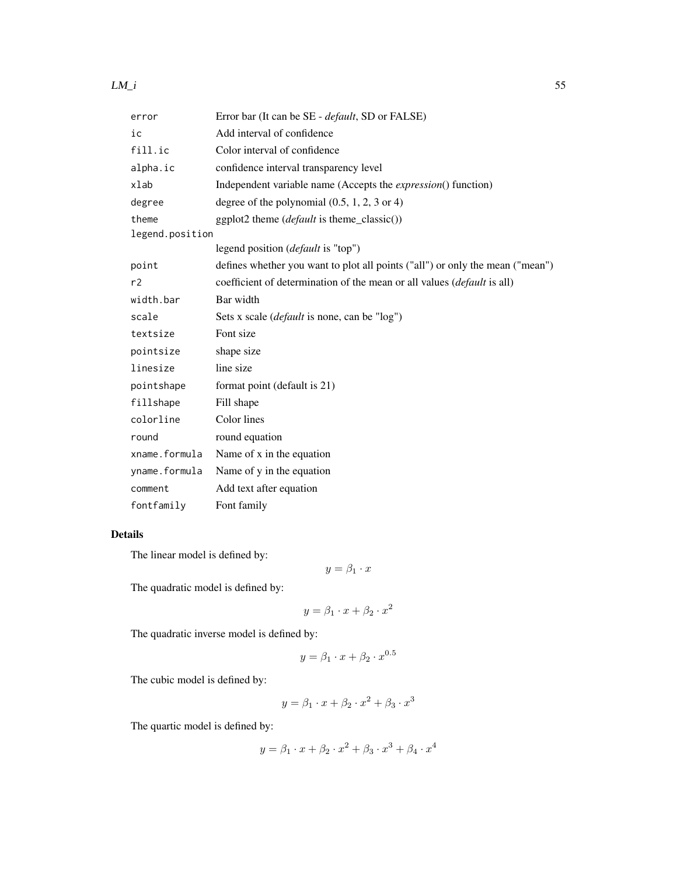## $LM_i$  55

| error           | Error bar (It can be SE - <i>default</i> , SD or FALSE)                         |
|-----------------|---------------------------------------------------------------------------------|
| ic              | Add interval of confidence                                                      |
| fill.ic         | Color interval of confidence                                                    |
| alpha.ic        | confidence interval transparency level                                          |
| xlab            | Independent variable name (Accepts the <i>expression</i> () function)           |
| degree          | degree of the polynomial $(0.5, 1, 2, 3 \text{ or } 4)$                         |
| theme           | ggplot2 theme (default is theme_classic())                                      |
| legend.position |                                                                                 |
|                 | legend position ( <i>default</i> is "top")                                      |
| point           | defines whether you want to plot all points ("all") or only the mean ("mean")   |
| r <sub>2</sub>  | coefficient of determination of the mean or all values ( <i>default</i> is all) |
| width.bar       | Bar width                                                                       |
| scale           | Sets x scale ( <i>default</i> is none, can be "log")                            |
| textsize        | Font size                                                                       |
| pointsize       | shape size                                                                      |
| linesize        | line size                                                                       |
| pointshape      | format point (default is 21)                                                    |
| fillshape       | Fill shape                                                                      |
| colorline       | Color lines                                                                     |
| round           | round equation                                                                  |
| xname.formula   | Name of x in the equation                                                       |
| yname.formula   | Name of y in the equation                                                       |
| comment         | Add text after equation                                                         |
| fontfamily      | Font family                                                                     |

# Details

The linear model is defined by:

$$
y = \beta_1 \cdot x
$$

The quadratic model is defined by:

$$
y = \beta_1 \cdot x + \beta_2 \cdot x^2
$$

The quadratic inverse model is defined by:

$$
y = \beta_1 \cdot x + \beta_2 \cdot x^{0.5}
$$

The cubic model is defined by:

$$
y = \beta_1 \cdot x + \beta_2 \cdot x^2 + \beta_3 \cdot x^3
$$

The quartic model is defined by:

$$
y = \beta_1 \cdot x + \beta_2 \cdot x^2 + \beta_3 \cdot x^3 + \beta_4 \cdot x^4
$$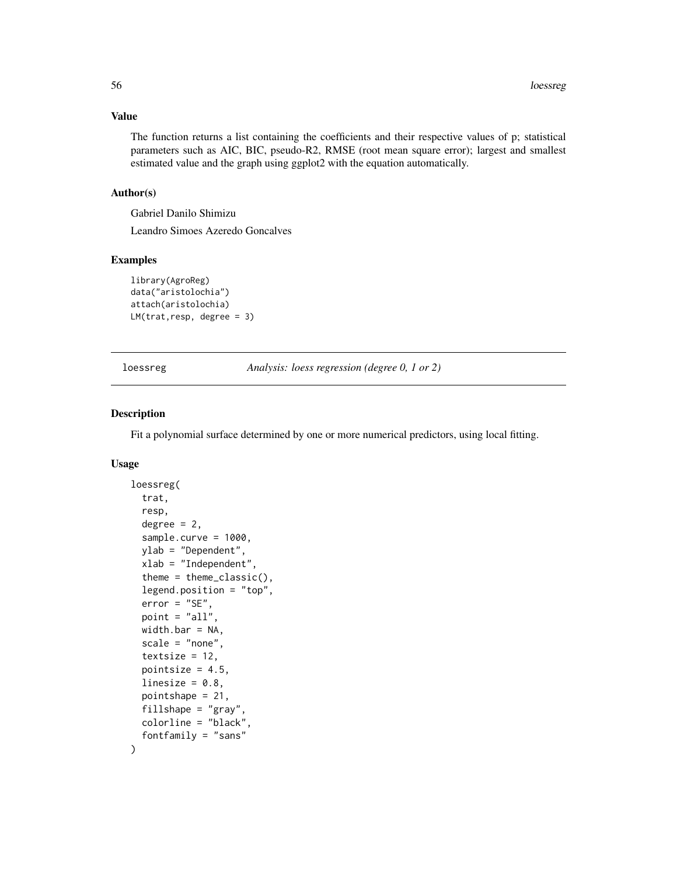# Value

The function returns a list containing the coefficients and their respective values of p; statistical parameters such as AIC, BIC, pseudo-R2, RMSE (root mean square error); largest and smallest estimated value and the graph using ggplot2 with the equation automatically.

## Author(s)

Gabriel Danilo Shimizu

Leandro Simoes Azeredo Goncalves

## Examples

```
library(AgroReg)
data("aristolochia")
attach(aristolochia)
LM(trat,resp, degree = 3)
```
loessreg *Analysis: loess regression (degree 0, 1 or 2)*

#### Description

Fit a polynomial surface determined by one or more numerical predictors, using local fitting.

## Usage

```
loessreg(
  trat,
  resp,
  degree = 2,
  sample.curve = 1000,
 ylab = "Dependent",
 xlab = "Independent",
  theme = theme_classic(),
  legend.position = "top",
  error = "SE",point = "all",width.bar = NA,
  scale = "none",
  textsize = 12,
  pointsize = 4.5,
  linesize = 0.8,
  pointshape = 21,
  fillshape = "gray",colorline = "black",
  fontfamily = "sans"
)
```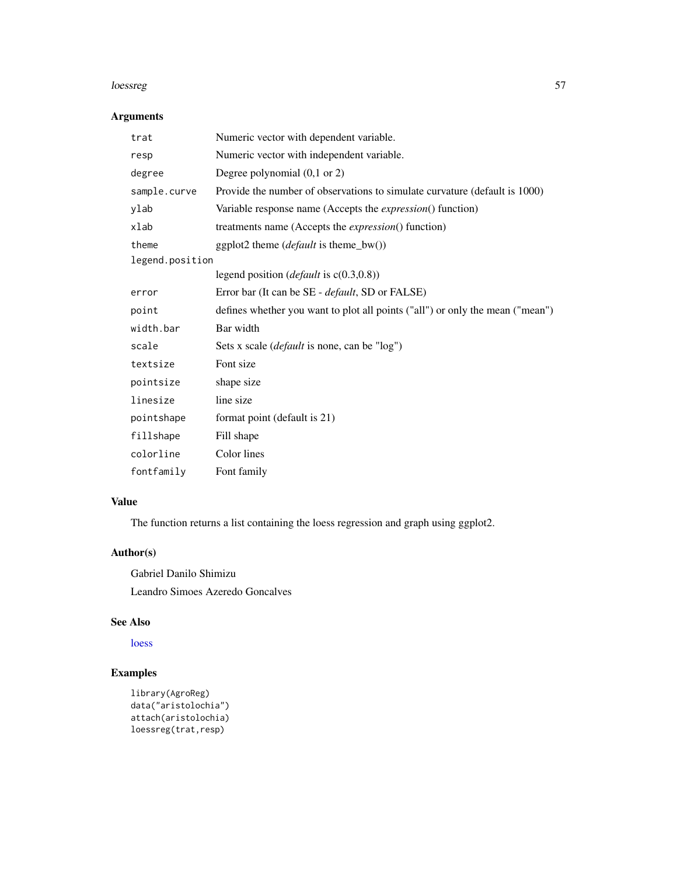#### loessreg 57 steep on the steep of the steep of the steep of the steep of the steep of the steep of the steep o

# Arguments

| trat            | Numeric vector with dependent variable.                                       |
|-----------------|-------------------------------------------------------------------------------|
| resp            | Numeric vector with independent variable.                                     |
| degree          | Degree polynomial (0,1 or 2)                                                  |
| sample.curve    | Provide the number of observations to simulate curvature (default is 1000)    |
| ylab            | Variable response name (Accepts the <i>expression</i> () function)            |
| xlab            | treatments name (Accepts the <i>expression</i> () function)                   |
| theme           | ggplot2 theme ( <i>default</i> is theme_bw())                                 |
| legend.position |                                                                               |
|                 | legend position ( <i>default</i> is $c(0.3,0.8)$ )                            |
| error           | Error bar (It can be SE - <i>default</i> , SD or FALSE)                       |
| point           | defines whether you want to plot all points ("all") or only the mean ("mean") |
| width.bar       | Bar width                                                                     |
| scale           | Sets x scale ( <i>default</i> is none, can be "log")                          |
| textsize        | Font size                                                                     |
| pointsize       | shape size                                                                    |
| linesize        | line size                                                                     |
| pointshape      | format point (default is 21)                                                  |
| fillshape       | Fill shape                                                                    |
| colorline       | Color lines                                                                   |
| fontfamily      | Font family                                                                   |

# Value

The function returns a list containing the loess regression and graph using ggplot2.

# Author(s)

Gabriel Danilo Shimizu Leandro Simoes Azeredo Goncalves

## See Also

[loess](#page-0-0)

```
library(AgroReg)
data("aristolochia")
attach(aristolochia)
loessreg(trat,resp)
```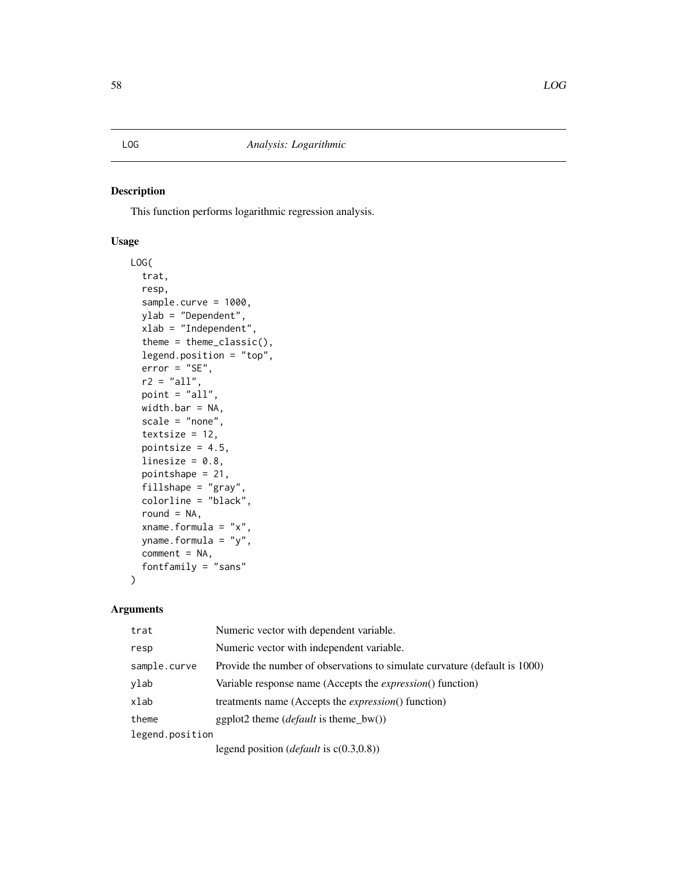This function performs logarithmic regression analysis.

## Usage

```
LOG(
  trat,
  resp,
  sample.curve = 1000,
  ylab = "Dependent",
  xlab = "Independent",
  theme = theme_classic(),
  legend.position = "top",
  error = "SE",
  r2 = "all",point = "all",
  width.bar = NA,
  scale = "none",
  textsize = 12,
  pointsize = 4.5,
  linesize = 0.8,
  pointshape = 21,
  fillshape = "gray",
  colorline = "black",
  round = NA,
  xname.formula = "x",yname.formula = "y",
  comment = NA,
  fontfamily = "sans"
)
```
# Arguments

| trat            | Numeric vector with dependent variable.                                    |
|-----------------|----------------------------------------------------------------------------|
| resp            | Numeric vector with independent variable.                                  |
| sample.curve    | Provide the number of observations to simulate curvature (default is 1000) |
| ylab            | Variable response name (Accepts the <i>expression</i> () function)         |
| xlab            | treatments name (Accepts the <i>expression</i> () function)                |
| theme           | ggplot2 theme ( <i>default</i> is theme_bw())                              |
| legend.position |                                                                            |
|                 | $logand$ nosition (default is $g(0, 2, 0, 0)$ )                            |

legend position (*default* is c(0.3,0.8))

# LOG *Analysis: Logarithmic*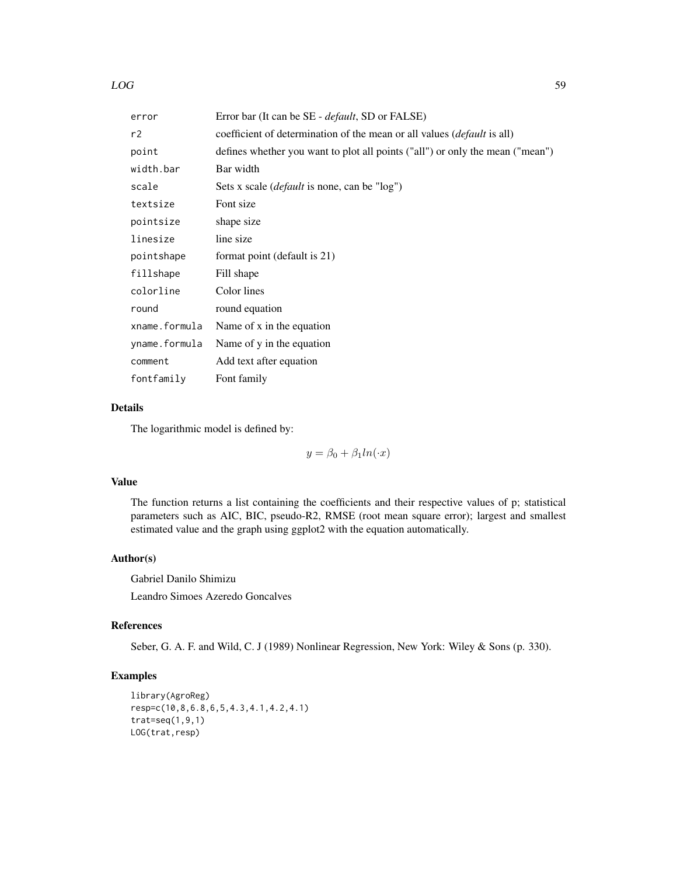| error         | Error bar (It can be SE - <i>default</i> , SD or FALSE)                        |
|---------------|--------------------------------------------------------------------------------|
| r2            | coefficient of determination of the mean or all values <i>(default is all)</i> |
| point         | defines whether you want to plot all points ("all") or only the mean ("mean")  |
| width.bar     | Bar width                                                                      |
| scale         | Sets x scale <i>(default</i> is none, can be "log")                            |
| textsize      | Font size                                                                      |
| pointsize     | shape size                                                                     |
| linesize      | line size                                                                      |
| pointshape    | format point (default is 21)                                                   |
| fillshape     | Fill shape                                                                     |
| colorline     | Color lines                                                                    |
| round         | round equation                                                                 |
| xname.formula | Name of x in the equation                                                      |
| yname.formula | Name of y in the equation                                                      |
| comment       | Add text after equation                                                        |
| fontfamily    | Font family                                                                    |

# Details

The logarithmic model is defined by:

 $y = \beta_0 + \beta_1 ln(x)$ 

# Value

The function returns a list containing the coefficients and their respective values of p; statistical parameters such as AIC, BIC, pseudo-R2, RMSE (root mean square error); largest and smallest estimated value and the graph using ggplot2 with the equation automatically.

## Author(s)

Gabriel Danilo Shimizu Leandro Simoes Azeredo Goncalves

## References

Seber, G. A. F. and Wild, C. J (1989) Nonlinear Regression, New York: Wiley & Sons (p. 330).

```
library(AgroReg)
resp=c(10,8,6.8,6,5,4.3,4.1,4.2,4.1)
trat=seq(1,9,1)
LOG(trat,resp)
```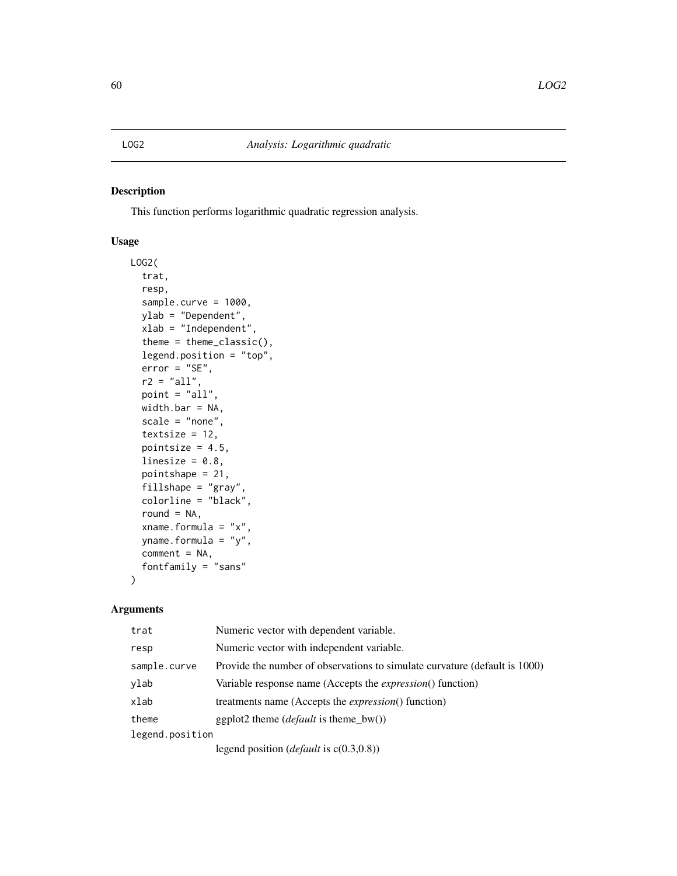This function performs logarithmic quadratic regression analysis.

## Usage

```
LOG2(
  trat,
  resp,
  sample.curve = 1000,
  ylab = "Dependent",
  xlab = "Independent",
  theme = theme_classic(),
  legend.position = "top",
  error = "SE",
  r2 = "all",point = "all",
  width.bar = NA,
  scale = "none",
  textsize = 12,
  pointsize = 4.5,
  linesize = 0.8,
  pointshape = 21,
  fillshape = "gray",
  colorline = "black",
  round = NA,
  xname.formula = "x",yname.formula = "y",
  comment = NA,
  fontfamily = "sans"
)
```

| trat            | Numeric vector with dependent variable.                                    |
|-----------------|----------------------------------------------------------------------------|
| resp            | Numeric vector with independent variable.                                  |
| sample.curve    | Provide the number of observations to simulate curvature (default is 1000) |
| ylab            | Variable response name (Accepts the <i>expression</i> () function)         |
| xlab            | treatments name (Accepts the <i>expression</i> () function)                |
| theme           | ggplot2 theme ( <i>default</i> is theme_bw())                              |
| legend.position |                                                                            |
|                 | legend position ( <i>default</i> is $c(0.3,0.8)$ )                         |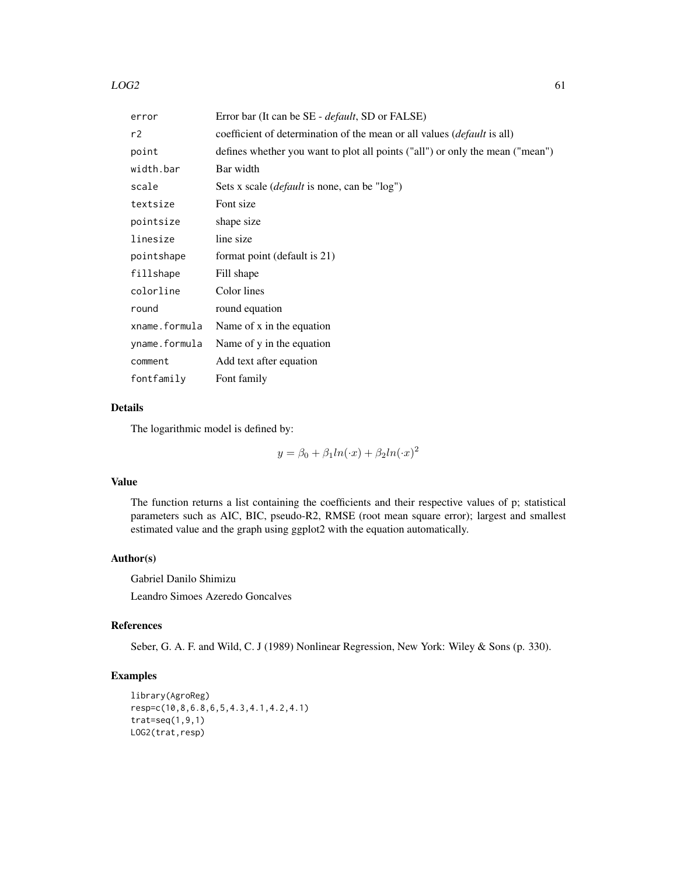## $LOG2$  61

| error         | Error bar (It can be SE - <i>default</i> , SD or FALSE)                         |
|---------------|---------------------------------------------------------------------------------|
| r2            | coefficient of determination of the mean or all values ( <i>default</i> is all) |
| point         | defines whether you want to plot all points ("all") or only the mean ("mean")   |
| width.bar     | Bar width                                                                       |
| scale         | Sets x scale ( <i>default</i> is none, can be "log")                            |
| textsize      | Font size                                                                       |
| pointsize     | shape size                                                                      |
| linesize      | line size                                                                       |
| pointshape    | format point (default is 21)                                                    |
| fillshape     | Fill shape                                                                      |
| colorline     | Color lines                                                                     |
| round         | round equation                                                                  |
| xname.formula | Name of x in the equation                                                       |
| yname.formula | Name of y in the equation                                                       |
| comment       | Add text after equation                                                         |
| fontfamily    | Font family                                                                     |

# Details

The logarithmic model is defined by:

 $y = \beta_0 + \beta_1 ln(\cdot x) + \beta_2 ln(\cdot x)^2$ 

# Value

The function returns a list containing the coefficients and their respective values of p; statistical parameters such as AIC, BIC, pseudo-R2, RMSE (root mean square error); largest and smallest estimated value and the graph using ggplot2 with the equation automatically.

## Author(s)

Gabriel Danilo Shimizu Leandro Simoes Azeredo Goncalves

## References

Seber, G. A. F. and Wild, C. J (1989) Nonlinear Regression, New York: Wiley & Sons (p. 330).

```
library(AgroReg)
resp=c(10,8,6.8,6,5,4.3,4.1,4.2,4.1)
trat=seq(1,9,1)
LOG2(trat,resp)
```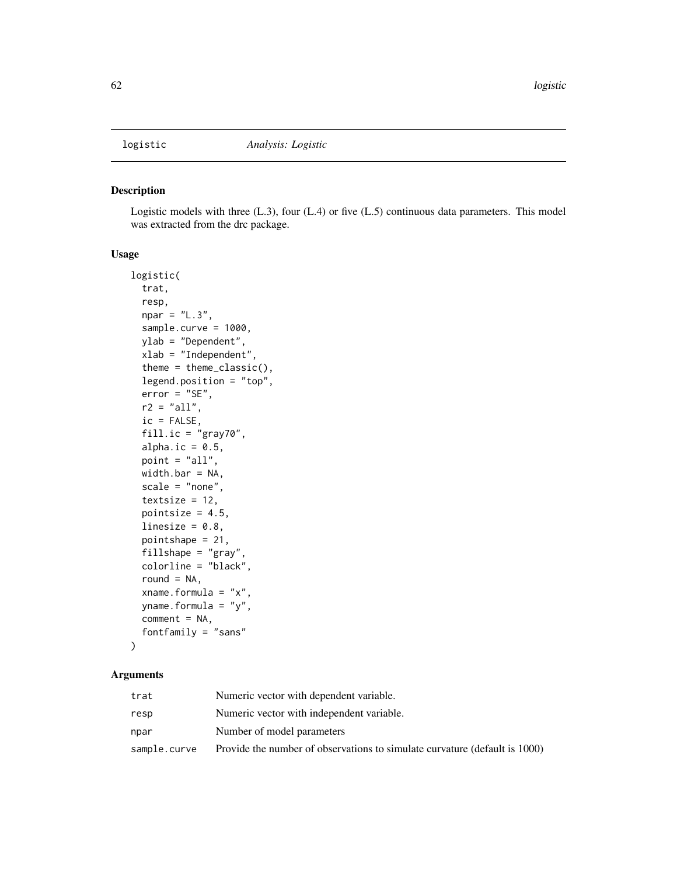Logistic models with three (L.3), four (L.4) or five (L.5) continuous data parameters. This model was extracted from the drc package.

# Usage

```
logistic(
  trat,
  resp,
  npar = "L.3",sample.curve = 1000,
 ylab = "Dependent",
  xlab = "Independent",
  theme = theme_classic(),
  legend.position = "top",
  error = "SE",r2 = "all",ic = FALSE,
  fill.ic = "gray70",
  alpha.ic = 0.5,
  point = "all",
 width.bar = NA,
  scale = "none",
  textsize = 12,pointsize = 4.5,
  linesize = 0.8,
  pointshape = 21,
  fillshape = "gray",
  colorline = "black",
  round = NA,
  xname.formula = "x",
  yname.formula = "y",
  comment = NA,
  fontfamily = "sans"
)
```

| trat         | Numeric vector with dependent variable.                                    |
|--------------|----------------------------------------------------------------------------|
| resp         | Numeric vector with independent variable.                                  |
| npar         | Number of model parameters                                                 |
| sample.curve | Provide the number of observations to simulate curvature (default is 1000) |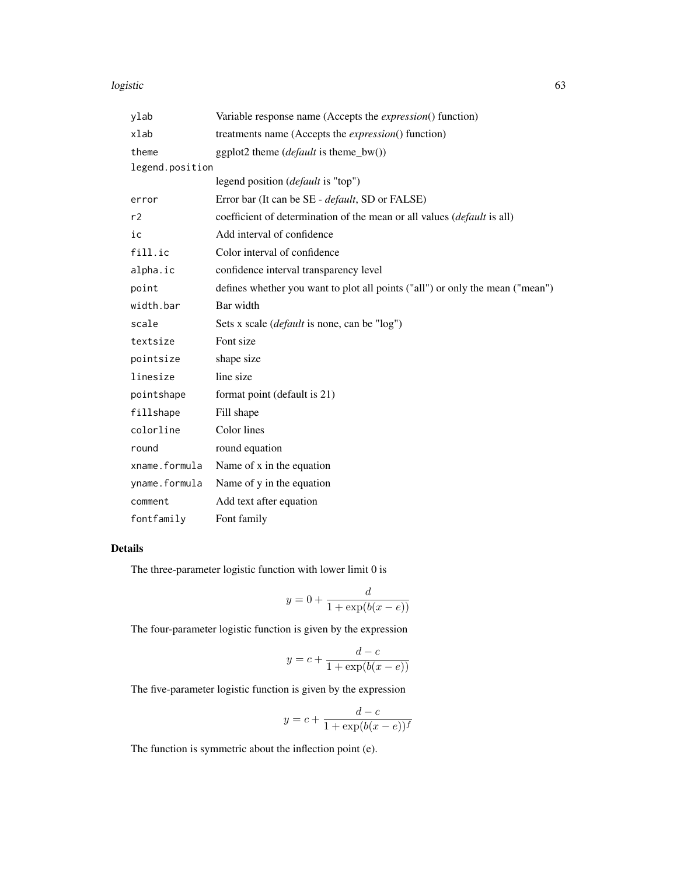## logistic 63

| ylab            | Variable response name (Accepts the <i>expression</i> () function)              |
|-----------------|---------------------------------------------------------------------------------|
| xlab            | treatments name (Accepts the <i>expression</i> () function)                     |
| theme           | ggplot2 theme $(default \text{ is theme_bw}))$                                  |
| legend.position |                                                                                 |
|                 | legend position ( <i>default</i> is "top")                                      |
| error           | Error bar (It can be SE - default, SD or FALSE)                                 |
| r2              | coefficient of determination of the mean or all values ( <i>default</i> is all) |
| ic              | Add interval of confidence                                                      |
| fill.ic         | Color interval of confidence                                                    |
| alpha.ic        | confidence interval transparency level                                          |
| point           | defines whether you want to plot all points ("all") or only the mean ("mean")   |
| width.bar       | Bar width                                                                       |
| scale           | Sets x scale (default is none, can be "log")                                    |
| textsize        | Font size                                                                       |
| pointsize       | shape size                                                                      |
| linesize        | line size                                                                       |
| pointshape      | format point (default is 21)                                                    |
| fillshape       | Fill shape                                                                      |
| colorline       | Color lines                                                                     |
| round           | round equation                                                                  |
| xname.formula   | Name of x in the equation                                                       |
| yname.formula   | Name of y in the equation                                                       |
| comment         | Add text after equation                                                         |
| fontfamily      | Font family                                                                     |

# Details

The three-parameter logistic function with lower limit 0 is

$$
y = 0 + \frac{d}{1 + \exp(b(x - e))}
$$

The four-parameter logistic function is given by the expression

$$
y = c + \frac{d - c}{1 + \exp(b(x - e))}
$$

The five-parameter logistic function is given by the expression

$$
y = c + \frac{d - c}{1 + \exp(b(x - e))^{f}}
$$

The function is symmetric about the inflection point (e).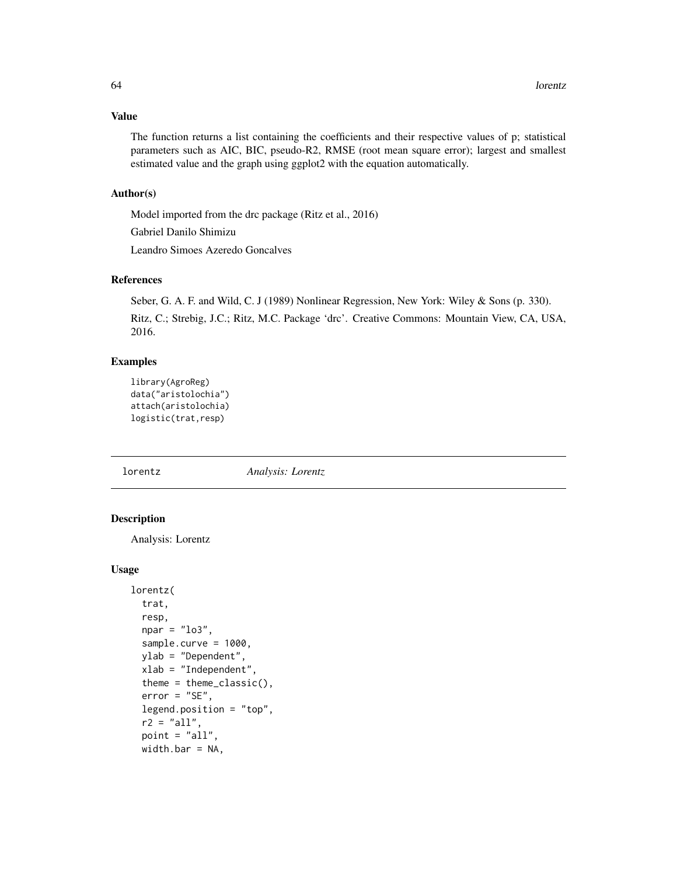# Value

The function returns a list containing the coefficients and their respective values of p; statistical parameters such as AIC, BIC, pseudo-R2, RMSE (root mean square error); largest and smallest estimated value and the graph using ggplot2 with the equation automatically.

## Author(s)

Model imported from the drc package (Ritz et al., 2016)

Gabriel Danilo Shimizu

Leandro Simoes Azeredo Goncalves

## References

Seber, G. A. F. and Wild, C. J (1989) Nonlinear Regression, New York: Wiley & Sons (p. 330).

Ritz, C.; Strebig, J.C.; Ritz, M.C. Package 'drc'. Creative Commons: Mountain View, CA, USA, 2016.

## Examples

```
library(AgroReg)
data("aristolochia")
attach(aristolochia)
logistic(trat,resp)
```
lorentz *Analysis: Lorentz*

## Description

Analysis: Lorentz

### Usage

```
lorentz(
  trat,
  resp,
  npar = "lo3",sample.curve = 1000,
 ylab = "Dependent",
 xlab = "Independent",
  theme = theme_classic(),
  error = "SE",legend.position = "top",
  r2 = "all",point = "all",
 width.bar = NA,
```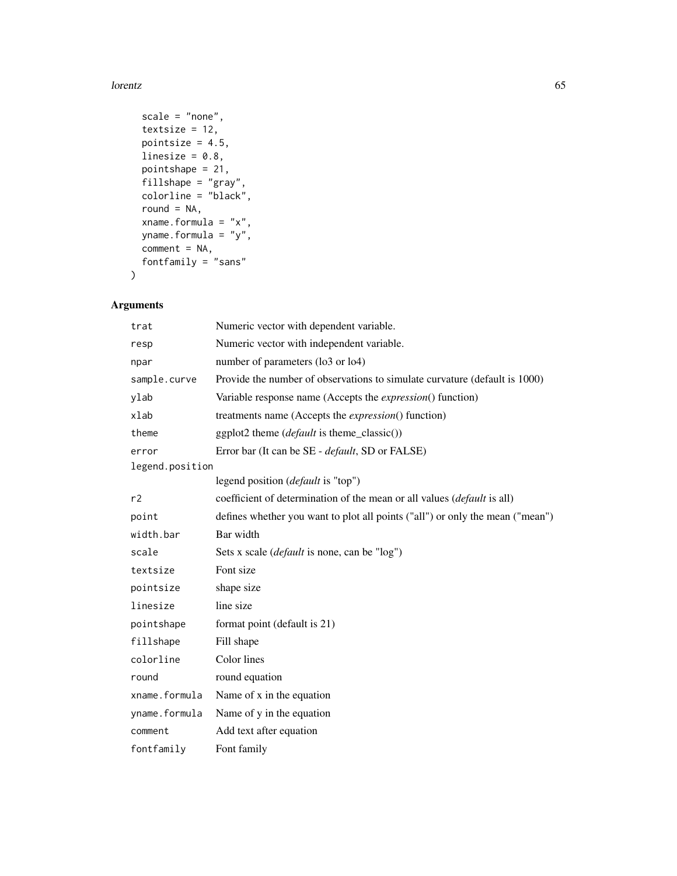#### lorentz and the contract of the contract of the contract of the contract of the contract of the contract of the contract of the contract of the contract of the contract of the contract of the contract of the contract of th

```
scale = "none",
 textsize = 12,
 pointsize = 4.5,
 linesize = 0.8,
 pointshape = 21,
 fillshape = "gray",
 colorline = "black",
 round = NA,
 xname.formula = "x",
 yname.formula = "y",
 comment = NA,
 fontfamily = "sans"
\mathcal{L}
```

| trat            | Numeric vector with dependent variable.                                       |
|-----------------|-------------------------------------------------------------------------------|
| resp            | Numeric vector with independent variable.                                     |
| npar            | number of parameters (lo3 or lo4)                                             |
| sample.curve    | Provide the number of observations to simulate curvature (default is 1000)    |
| ylab            | Variable response name (Accepts the <i>expression</i> () function)            |
| xlab            | treatments name (Accepts the <i>expression</i> () function)                   |
| theme           | ggplot2 theme ( <i>default</i> is theme_classic())                            |
| error           | Error bar (It can be SE - default, SD or FALSE)                               |
| legend.position |                                                                               |
|                 | legend position ( <i>default</i> is "top")                                    |
| r2              | coefficient of determination of the mean or all values (default is all)       |
| point           | defines whether you want to plot all points ("all") or only the mean ("mean") |
| width.bar       | Bar width                                                                     |
| scale           | Sets x scale ( <i>default</i> is none, can be "log")                          |
| textsize        | Font size                                                                     |
| pointsize       | shape size                                                                    |
| linesize        | line size                                                                     |
| pointshape      | format point (default is 21)                                                  |
| fillshape       | Fill shape                                                                    |
| colorline       | Color lines                                                                   |
| round           | round equation                                                                |
| xname.formula   | Name of x in the equation                                                     |
| yname.formula   | Name of y in the equation                                                     |
| comment         | Add text after equation                                                       |
| fontfamily      | Font family                                                                   |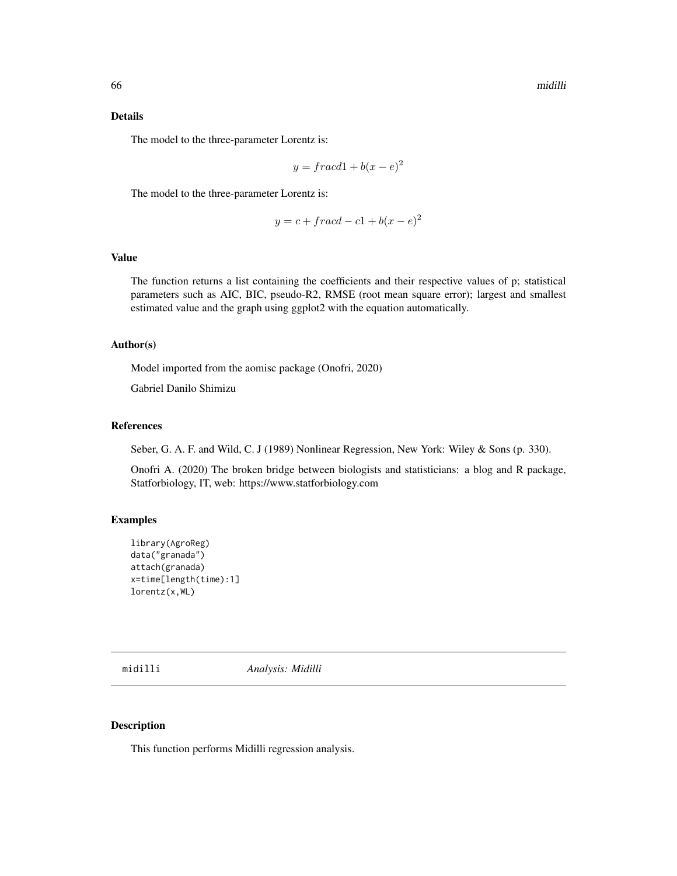## Details

The model to the three-parameter Lorentz is:

$$
y = \frac{f \cdot acd1 + b(x - e)^2}{2}
$$

The model to the three-parameter Lorentz is:

$$
y = c + \operatorname{fracd} - c1 + b(x - e)^2
$$

# Value

The function returns a list containing the coefficients and their respective values of p; statistical parameters such as AIC, BIC, pseudo-R2, RMSE (root mean square error); largest and smallest estimated value and the graph using ggplot2 with the equation automatically.

#### Author(s)

Model imported from the aomisc package (Onofri, 2020)

Gabriel Danilo Shimizu

# References

Seber, G. A. F. and Wild, C. J (1989) Nonlinear Regression, New York: Wiley & Sons (p. 330).

Onofri A. (2020) The broken bridge between biologists and statisticians: a blog and R package, Statforbiology, IT, web: https://www.statforbiology.com

## Examples

```
library(AgroReg)
data("granada")
attach(granada)
x=time[length(time):1]
lorentz(x,WL)
```
midilli *Analysis: Midilli*

## Description

This function performs Midilli regression analysis.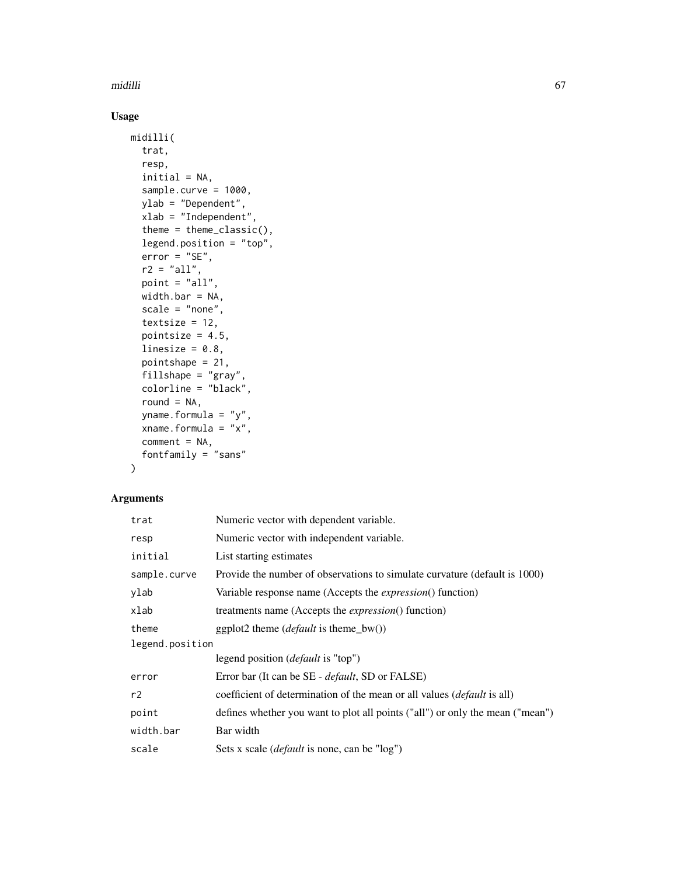midilli 67

# Usage

```
midilli(
  trat,
  resp,
  initial = NA,
  sample.curve = 1000,
  ylab = "Dependent",
  xlab = "Independent",
  theme = theme_classic(),
  legend.position = "top",
  error = "SE",r2 = "all",point = "all",
  width.bar = NA,
  scale = "none",
  textsize = 12,
  pointsize = 4.5,
  linesize = 0.8,
  pointshape = 21,
  fillshape = "gray",
  colorline = "black",
  round = NA,
  yname.formula = "y",
  xname.formula = "x",comment = NA,
  fontfamily = "sans"
\mathcal{L}
```

| trat            | Numeric vector with dependent variable.                                        |
|-----------------|--------------------------------------------------------------------------------|
| resp            | Numeric vector with independent variable.                                      |
| initial         | List starting estimates                                                        |
| sample.curve    | Provide the number of observations to simulate curvature (default is 1000)     |
| ylab            | Variable response name (Accepts the <i>expression</i> () function)             |
| xlab            | treatments name (Accepts the <i>expression</i> () function)                    |
| theme           | ggplot2 theme ( <i>default</i> is theme_bw())                                  |
| legend.position |                                                                                |
|                 | legend position ( <i>default</i> is "top")                                     |
| error           | Error bar (It can be SE - <i>default</i> , SD or FALSE)                        |
| r2              | coefficient of determination of the mean or all values <i>(default is all)</i> |
| point           | defines whether you want to plot all points ("all") or only the mean ("mean")  |
| width.bar       | Bar width                                                                      |
| scale           | Sets x scale ( <i>default</i> is none, can be "log")                           |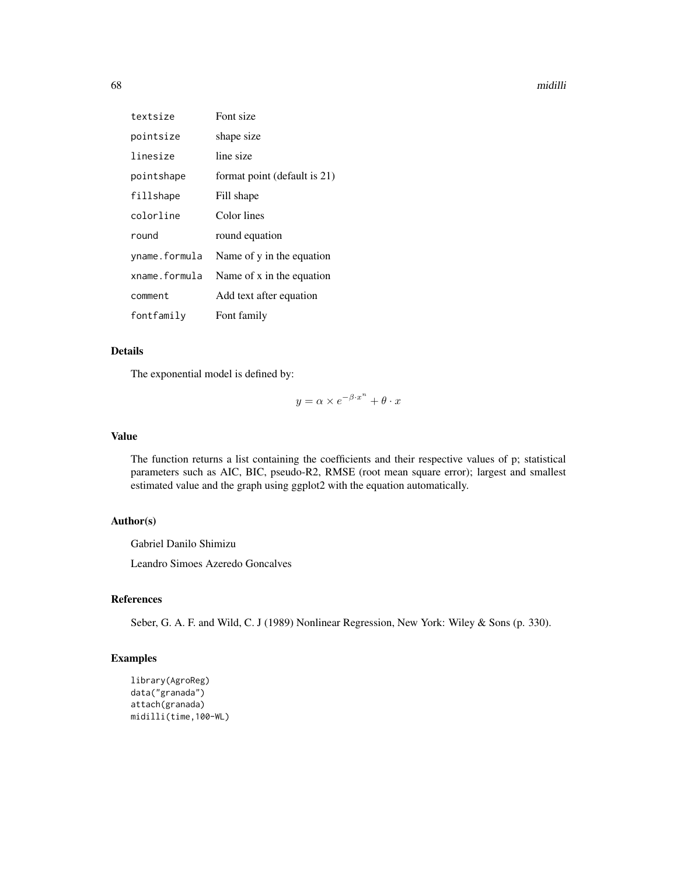#### 68 midilli

| textsize      | Font size                    |
|---------------|------------------------------|
| pointsize     | shape size                   |
| linesize      | line size                    |
| pointshape    | format point (default is 21) |
| fillshape     | Fill shape                   |
| colorline     | Color lines                  |
| round         | round equation               |
| yname.formula | Name of y in the equation    |
| xname.formula | Name of x in the equation    |
| comment       | Add text after equation      |
| fontfamily    | Font family                  |

# Details

The exponential model is defined by:

 $y = \alpha \times e^{-\beta \cdot x^n} + \theta \cdot x$ 

## Value

The function returns a list containing the coefficients and their respective values of p; statistical parameters such as AIC, BIC, pseudo-R2, RMSE (root mean square error); largest and smallest estimated value and the graph using ggplot2 with the equation automatically.

# Author(s)

Gabriel Danilo Shimizu

Leandro Simoes Azeredo Goncalves

# References

Seber, G. A. F. and Wild, C. J (1989) Nonlinear Regression, New York: Wiley & Sons (p. 330).

```
library(AgroReg)
data("granada")
attach(granada)
midilli(time,100-WL)
```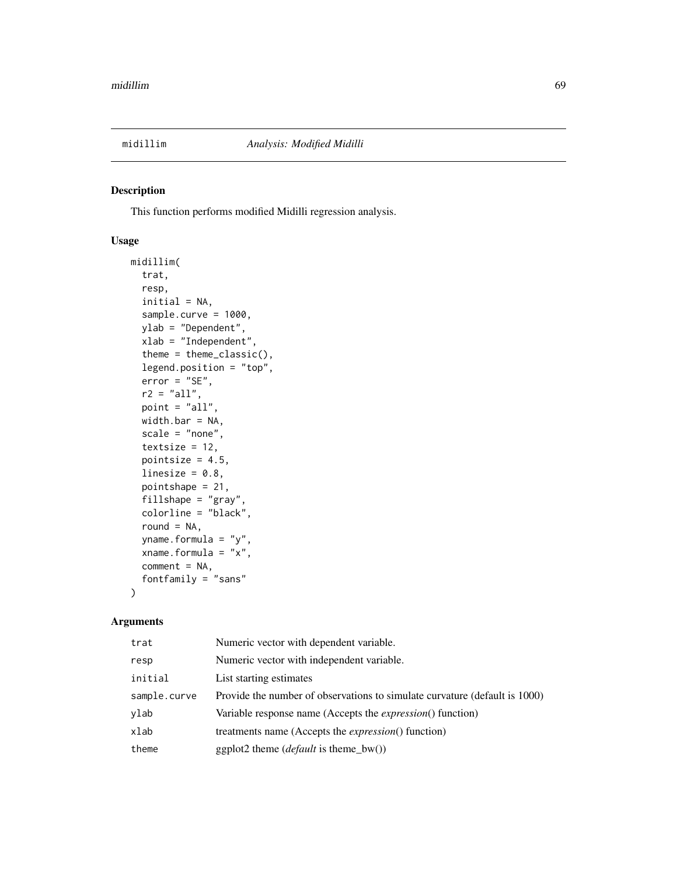This function performs modified Midilli regression analysis.

# Usage

```
midillim(
  trat,
  resp,
  initial = NA,
  sample.curve = 1000,
  ylab = "Dependent",
  xlab = "Independent",
  theme = theme_classic(),
  legend.position = "top",
  error = "SE",r2 = "all",point = "all",
 width.bar = NA,
  scale = "none",
  textsize = 12,
  pointsize = 4.5,
  linesize = 0.8,
  pointshape = 21,
  fillshape = "gray",
  colorline = "black",
  round = NA,
 yname.formula = "y",
  xname.formula = "x",
  comment = NA,
  fontfamily = "sans"
)
```

| trat         | Numeric vector with dependent variable.                                    |
|--------------|----------------------------------------------------------------------------|
| resp         | Numeric vector with independent variable.                                  |
| initial      | List starting estimates                                                    |
| sample.curve | Provide the number of observations to simulate curvature (default is 1000) |
| ylab         | Variable response name (Accepts the <i>expression</i> () function)         |
| xlab         | treatments name (Accepts the <i>expression</i> () function)                |
| theme        | ggplot2 theme $(default \text{ is } theme_bw())$                           |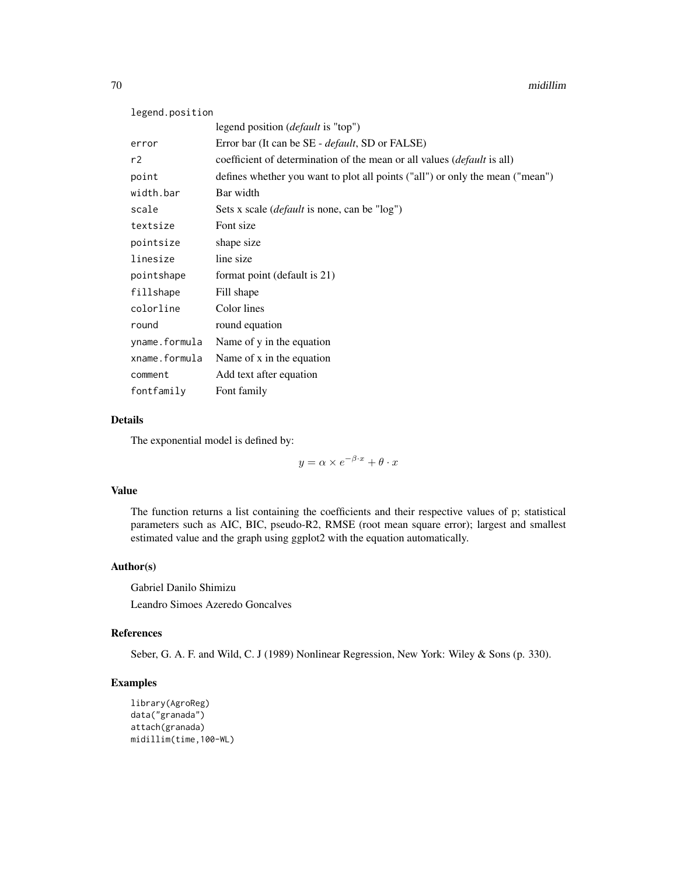| legend.position |                                                                                 |
|-----------------|---------------------------------------------------------------------------------|
|                 | legend position ( <i>default</i> is "top")                                      |
| error           | Error bar (It can be SE - <i>default</i> , SD or FALSE)                         |
| r2              | coefficient of determination of the mean or all values ( <i>default</i> is all) |
| point           | defines whether you want to plot all points ("all") or only the mean ("mean")   |
| width.bar       | Bar width                                                                       |
| scale           | Sets x scale ( <i>default</i> is none, can be "log")                            |
| textsize        | Font size                                                                       |
| pointsize       | shape size                                                                      |
| linesize        | line size                                                                       |
| pointshape      | format point (default is 21)                                                    |
| fillshape       | Fill shape                                                                      |
| colorline       | Color lines                                                                     |
| round           | round equation                                                                  |
| yname.formula   | Name of y in the equation                                                       |
| xname.formula   | Name of x in the equation                                                       |
| comment         | Add text after equation                                                         |
| fontfamily      | Font family                                                                     |

# Details

The exponential model is defined by:

 $y = \alpha \times e^{-\beta \cdot x} + \theta \cdot x$ 

## Value

The function returns a list containing the coefficients and their respective values of p; statistical parameters such as AIC, BIC, pseudo-R2, RMSE (root mean square error); largest and smallest estimated value and the graph using ggplot2 with the equation automatically.

# Author(s)

Gabriel Danilo Shimizu Leandro Simoes Azeredo Goncalves

# References

Seber, G. A. F. and Wild, C. J (1989) Nonlinear Regression, New York: Wiley & Sons (p. 330).

```
library(AgroReg)
data("granada")
attach(granada)
midillim(time,100-WL)
```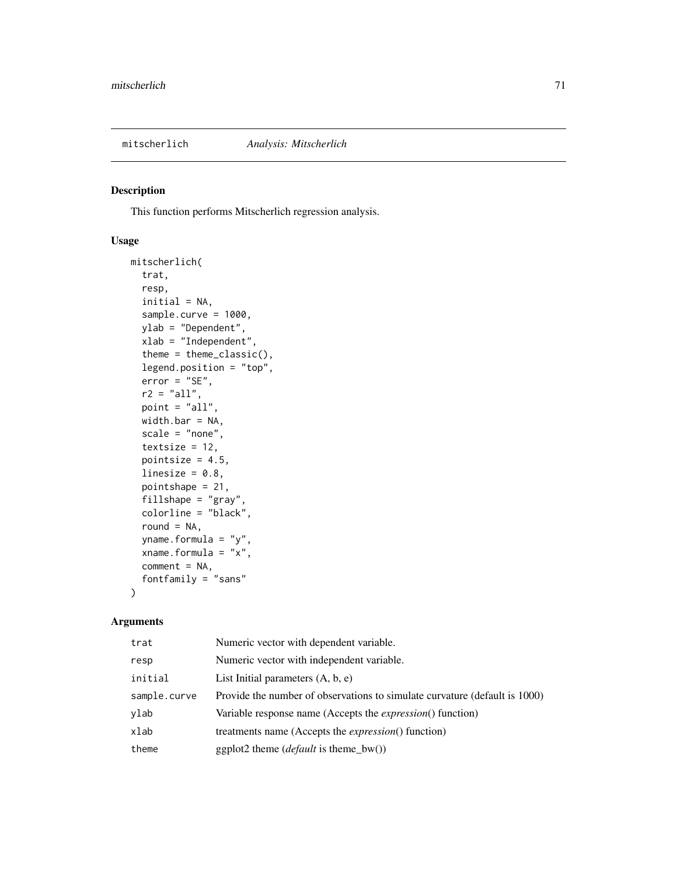This function performs Mitscherlich regression analysis.

# Usage

```
mitscherlich(
  trat,
  resp,
  initial = NA,
  sample.curve = 1000,
  ylab = "Dependent",
  xlab = "Independent",
  theme = theme_classic(),
  legend.position = "top",
  error = "SE",
  r2 = "all",point = "all",
 width.bar = NA,
  scale = "none",
  textsize = 12,
  pointsize = 4.5,
  linesize = 0.8,
  pointshape = 21,
  fillshape = "gray",
  colorline = "black",round = NA,
 yname.formula = "y",
  xname.formula = "x",
  comment = NA,
  fontfamily = "sans"
)
```

| trat         | Numeric vector with dependent variable.                                    |
|--------------|----------------------------------------------------------------------------|
| resp         | Numeric vector with independent variable.                                  |
| initial      | List Initial parameters $(A, b, e)$                                        |
| sample.curve | Provide the number of observations to simulate curvature (default is 1000) |
| ylab         | Variable response name (Accepts the <i>expression</i> () function)         |
| xlab         | treatments name (Accepts the <i>expression</i> () function)                |
| theme        | ggplot2 theme ( <i>default</i> is theme_bw())                              |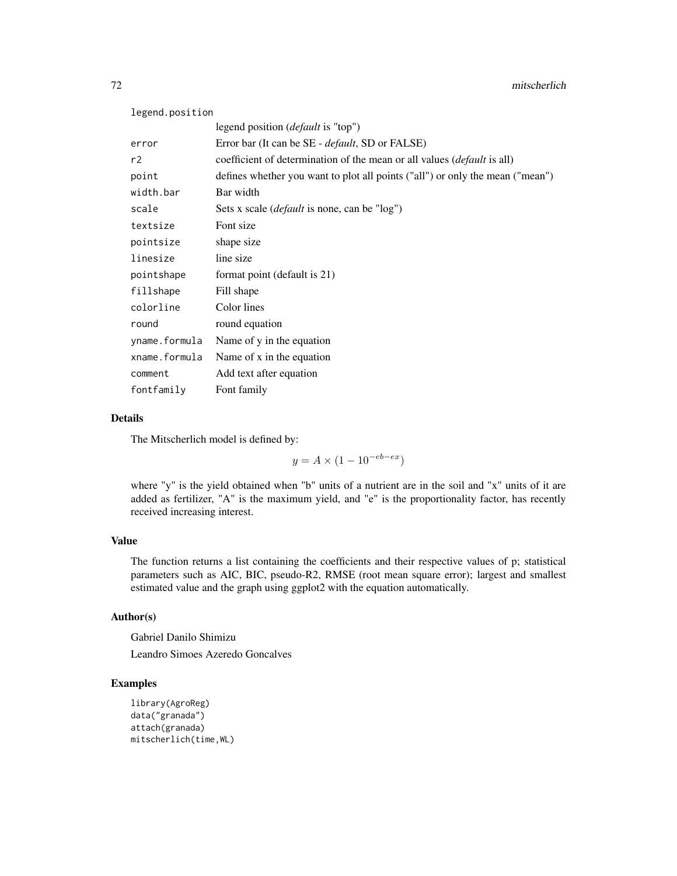| legend.position |                                                                                 |
|-----------------|---------------------------------------------------------------------------------|
|                 | legend position ( <i>default</i> is "top")                                      |
| error           | Error bar (It can be SE - <i>default</i> , SD or FALSE)                         |
| r2              | coefficient of determination of the mean or all values ( <i>default</i> is all) |
| point           | defines whether you want to plot all points ("all") or only the mean ("mean")   |
| width.bar       | Bar width                                                                       |
| scale           | Sets x scale ( <i>default</i> is none, can be "log")                            |
| textsize        | Font size                                                                       |
| pointsize       | shape size                                                                      |
| linesize        | line size                                                                       |
| pointshape      | format point (default is 21)                                                    |
| fillshape       | Fill shape                                                                      |
| colorline       | Color lines                                                                     |
| round           | round equation                                                                  |
| yname.formula   | Name of y in the equation                                                       |
| xname.formula   | Name of x in the equation                                                       |
| comment         | Add text after equation                                                         |
| fontfamily      | Font family                                                                     |

# Details

The Mitscherlich model is defined by:

 $y = A \times (1 - 10^{-eb - ex})$ 

where "y" is the yield obtained when "b" units of a nutrient are in the soil and "x" units of it are added as fertilizer, "A" is the maximum yield, and "e" is the proportionality factor, has recently received increasing interest.

## Value

The function returns a list containing the coefficients and their respective values of p; statistical parameters such as AIC, BIC, pseudo-R2, RMSE (root mean square error); largest and smallest estimated value and the graph using ggplot2 with the equation automatically.

# Author(s)

Gabriel Danilo Shimizu

Leandro Simoes Azeredo Goncalves

```
library(AgroReg)
data("granada")
attach(granada)
mitscherlich(time,WL)
```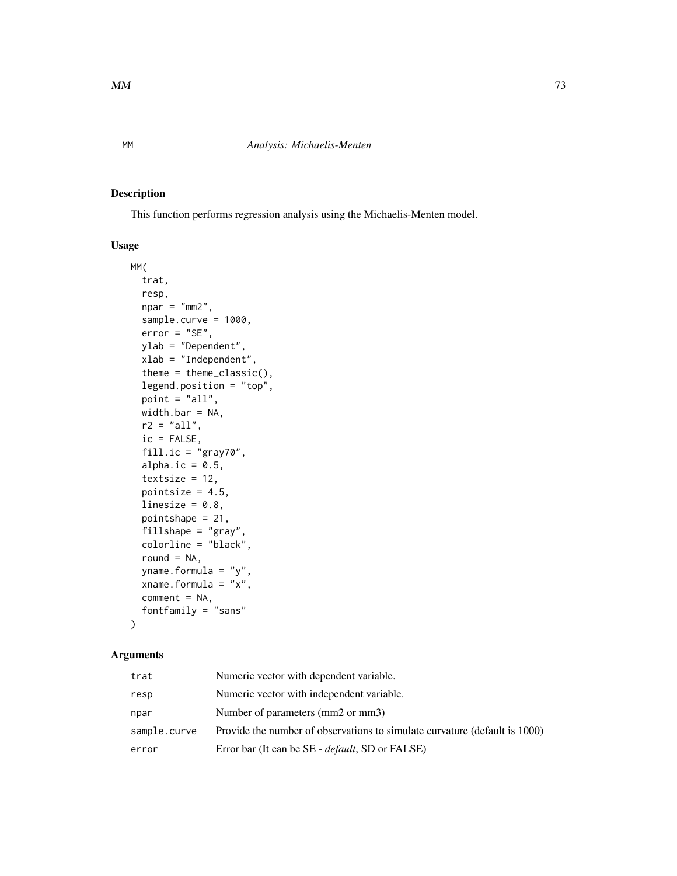This function performs regression analysis using the Michaelis-Menten model.

### Usage

```
MM(
  trat,
  resp,
  npar = "mm2",sample.curve = 1000,
  error = "SE",ylab = "Dependent",
  xlab = "Independent",
  theme = theme_classic(),
  legend.position = "top",
  point = "all",width.bar = NA,
  r2 = "all",ic = FALSE,
  fill.ic = "gray70",
  alpha.ic = 0.5,
  textsize = 12,
  pointsize = 4.5,
  linesize = 0.8,
  pointshape = 21,
  fillshape = "gray",
  colorline = "black",
  round = NA,
  yname.formula = "y",
  xname.formula = "x",
  comment = NA,
  fontfamily = "sans"
)
```

| trat         | Numeric vector with dependent variable.                                    |
|--------------|----------------------------------------------------------------------------|
| resp         | Numeric vector with independent variable.                                  |
| npar         | Number of parameters (mm2 or mm3)                                          |
| sample.curve | Provide the number of observations to simulate curvature (default is 1000) |
| error        | Error bar (It can be SE - <i>default</i> , SD or FALSE)                    |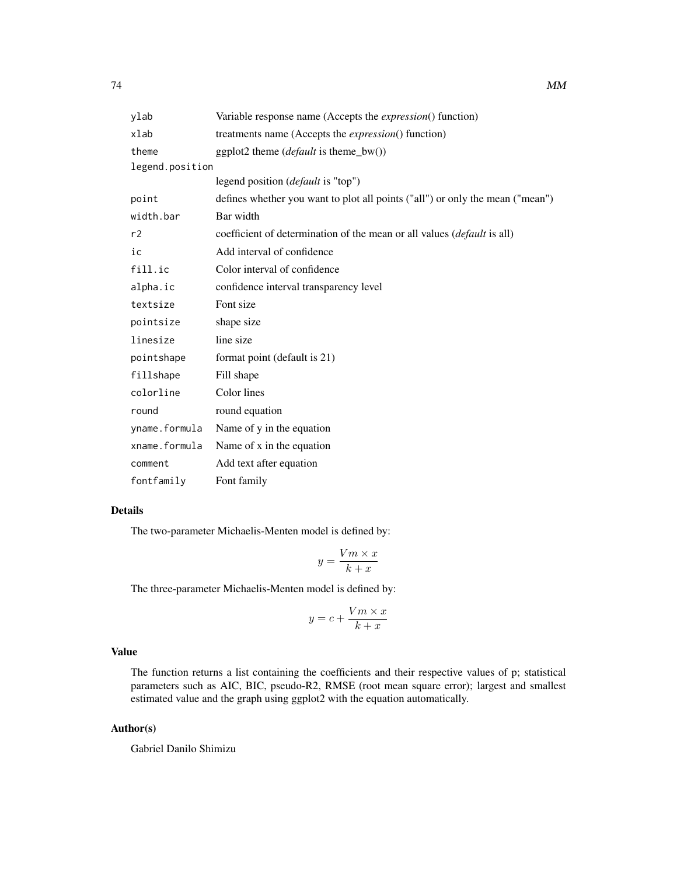| ylab            | Variable response name (Accepts the expression() function)                      |
|-----------------|---------------------------------------------------------------------------------|
| xlab            | treatments name (Accepts the <i>expression</i> () function)                     |
| theme           | ggplot2 theme $(default \text{ is } theme_bw())$                                |
| legend.position |                                                                                 |
|                 | legend position ( <i>default</i> is "top")                                      |
| point           | defines whether you want to plot all points ("all") or only the mean ("mean")   |
| width.bar       | Bar width                                                                       |
| r2              | coefficient of determination of the mean or all values ( <i>default</i> is all) |
| ic              | Add interval of confidence                                                      |
| fill.ic         | Color interval of confidence                                                    |
| alpha.ic        | confidence interval transparency level                                          |
| textsize        | Font size                                                                       |
| pointsize       | shape size                                                                      |
| linesize        | line size                                                                       |
| pointshape      | format point (default is 21)                                                    |
| fillshape       | Fill shape                                                                      |
| colorline       | Color lines                                                                     |
| round           | round equation                                                                  |
| yname.formula   | Name of y in the equation                                                       |
| xname.formula   | Name of x in the equation                                                       |
| comment         | Add text after equation                                                         |
| fontfamily      | Font family                                                                     |

# Details

The two-parameter Michaelis-Menten model is defined by:

$$
y = \frac{Vm \times x}{k + x}
$$

The three-parameter Michaelis-Menten model is defined by:

$$
y = c + \frac{Vm \times x}{k + x}
$$

# Value

The function returns a list containing the coefficients and their respective values of p; statistical parameters such as AIC, BIC, pseudo-R2, RMSE (root mean square error); largest and smallest estimated value and the graph using ggplot2 with the equation automatically.

# Author(s)

Gabriel Danilo Shimizu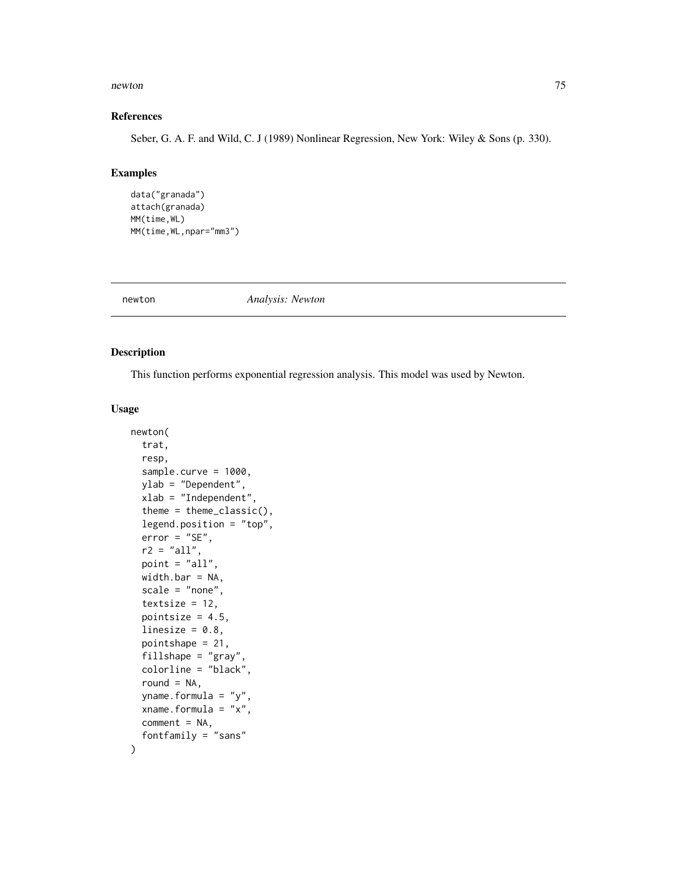#### newton 75

#### References

Seber, G. A. F. and Wild, C. J (1989) Nonlinear Regression, New York: Wiley & Sons (p. 330).

## Examples

```
data("granada")
attach(granada)
MM(time,WL)
MM(time,WL,npar="mm3")
```
newton *Analysis: Newton*

## Description

This function performs exponential regression analysis. This model was used by Newton.

#### Usage

```
newton(
  trat,
  resp,
  sample.curve = 1000,
  ylab = "Dependent",
  xlab = "Independent",
  theme = theme_classic(),
  legend.position = "top",
  error = "SE",
  r2 = "all",point = "all",width.bar = NA,
  scale = "none",
  textsize = 12,
  pointsize = 4.5,
  linesize = 0.8,
  pointshape = 21,
  fillshape = "gray",
  colorline = "black",
  round = NA,
  yname.formula = "y",
  xname.formula = "x",
  comment = NA,fontfamily = "sans"
```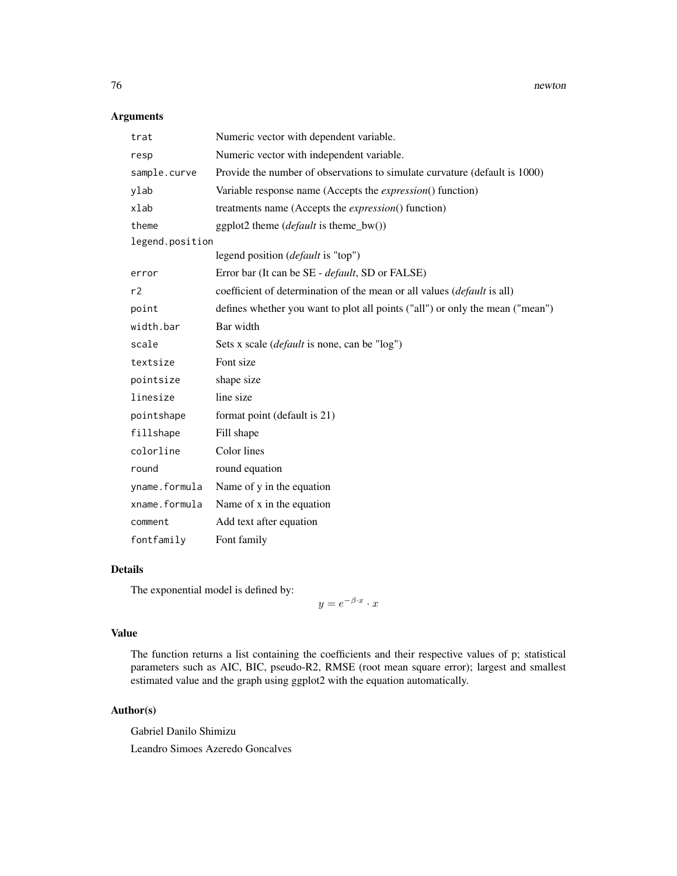## Arguments

| trat            | Numeric vector with dependent variable.                                       |
|-----------------|-------------------------------------------------------------------------------|
| resp            | Numeric vector with independent variable.                                     |
| sample.curve    | Provide the number of observations to simulate curvature (default is 1000)    |
| ylab            | Variable response name (Accepts the <i>expression</i> () function)            |
| xlab            | treatments name (Accepts the <i>expression</i> () function)                   |
| theme           | ggplot2 theme $(default \text{ is theme_bw}))$                                |
| legend.position |                                                                               |
|                 | legend position ( <i>default</i> is "top")                                    |
| error           | Error bar (It can be SE - <i>default</i> , SD or FALSE)                       |
| r2              | coefficient of determination of the mean or all values (default is all)       |
| point           | defines whether you want to plot all points ("all") or only the mean ("mean") |
| width.bar       | Bar width                                                                     |
| scale           | Sets x scale ( <i>default</i> is none, can be "log")                          |
| textsize        | Font size                                                                     |
| pointsize       | shape size                                                                    |
| linesize        | line size                                                                     |
| pointshape      | format point (default is 21)                                                  |
| fillshape       | Fill shape                                                                    |
| colorline       | Color lines                                                                   |
| round           | round equation                                                                |
| yname.formula   | Name of y in the equation                                                     |
| xname.formula   | Name of x in the equation                                                     |
| comment         | Add text after equation                                                       |
| fontfamily      | Font family                                                                   |

## Details

The exponential model is defined by:

 $y=e^{-\beta \cdot x} \cdot x$ 

## Value

The function returns a list containing the coefficients and their respective values of p; statistical parameters such as AIC, BIC, pseudo-R2, RMSE (root mean square error); largest and smallest estimated value and the graph using ggplot2 with the equation automatically.

# Author(s)

Gabriel Danilo Shimizu Leandro Simoes Azeredo Goncalves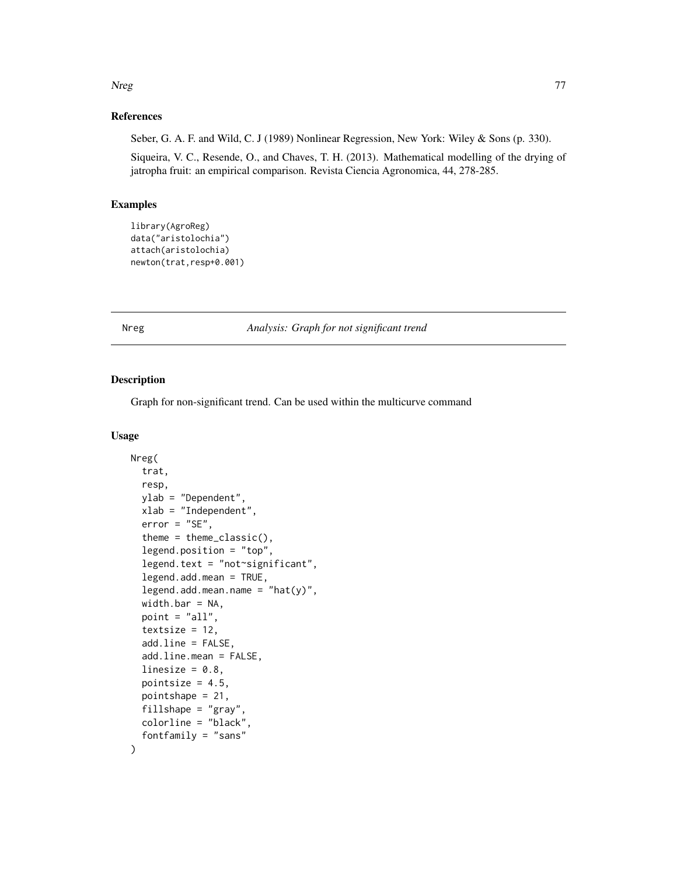#### Nreg 2008 - 2009 - 2009 - 2009 - 2009 - 2009 - 2009 - 2009 - 2009 - 2009 - 2009 - 2009 - 2009 - 2009 - 2009 - 2009 - 2009 - 2009 - 2009 - 2009 - 2009 - 2009 - 2009 - 2009 - 2009 - 2009 - 2009 - 2009 - 2009 - 2009 - 2009 -

# References

Seber, G. A. F. and Wild, C. J (1989) Nonlinear Regression, New York: Wiley & Sons (p. 330).

Siqueira, V. C., Resende, O., and Chaves, T. H. (2013). Mathematical modelling of the drying of jatropha fruit: an empirical comparison. Revista Ciencia Agronomica, 44, 278-285.

#### Examples

```
library(AgroReg)
data("aristolochia")
attach(aristolochia)
newton(trat,resp+0.001)
```
Nreg *Analysis: Graph for not significant trend*

#### Description

Graph for non-significant trend. Can be used within the multicurve command

#### Usage

```
Nreg(
  trat,
  resp,
 ylab = "Dependent",
  xlab = "Independent",
  error = "SE",theme = theme_classic(),
  legend.position = "top",
  legend.text = "not~significant",
  legend.add.mean = TRUE,
  legend.add_mean.name = "hat(y)",width.bar = NA,
 point = "all",
  textsize = 12,add.line = FALSE,
  add.line.mean = FALSE,
  linesize = 0.8,
  pointsize = 4.5,
 pointshape = 21,
  fillshape = "gray",colorline = "black",
  fontfamily = "sans"
)
```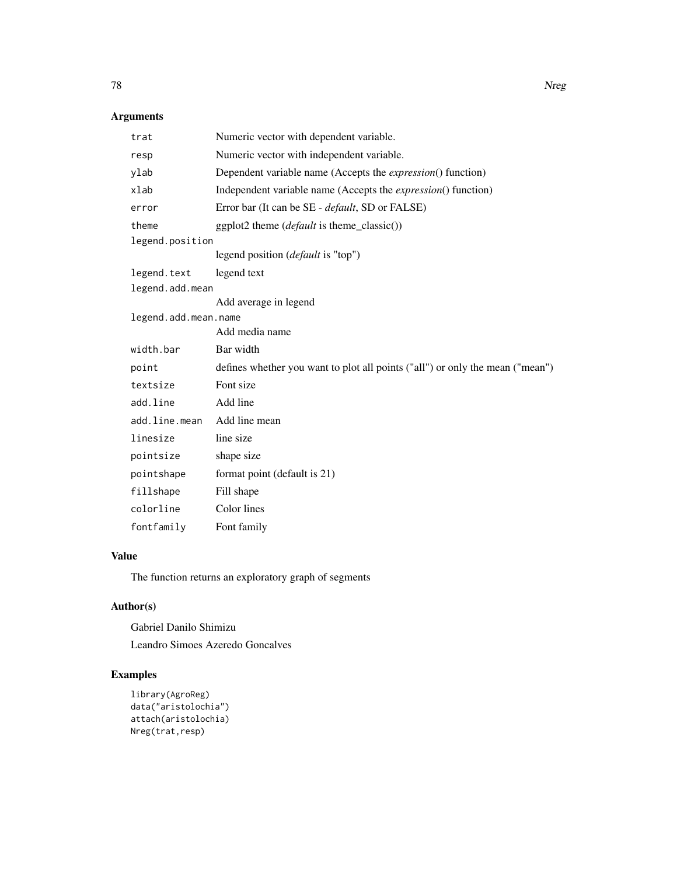# Arguments

| trat                 | Numeric vector with dependent variable.                                       |
|----------------------|-------------------------------------------------------------------------------|
| resp                 | Numeric vector with independent variable.                                     |
| ylab                 | Dependent variable name (Accepts the <i>expression</i> () function)           |
| xlab                 | Independent variable name (Accepts the <i>expression</i> () function)         |
| error                | Error bar (It can be SE - <i>default</i> , SD or FALSE)                       |
| theme                | ggplot2 theme (default is theme_classic())                                    |
| legend.position      |                                                                               |
|                      | legend position ( <i>default</i> is "top")                                    |
| legend.text          | legend text                                                                   |
| legend.add.mean      |                                                                               |
|                      | Add average in legend                                                         |
| legend.add.mean.name |                                                                               |
|                      | Add media name                                                                |
| width.bar            | Bar width                                                                     |
| point                | defines whether you want to plot all points ("all") or only the mean ("mean") |
| textsize             | Font size                                                                     |
| add.line             | Add line                                                                      |
| add.line.mean        | Add line mean                                                                 |
| linesize             | line size                                                                     |
| pointsize            | shape size                                                                    |
| pointshape           | format point (default is 21)                                                  |
| fillshape            | Fill shape                                                                    |
| colorline            | Color lines                                                                   |
| fontfamily           | Font family                                                                   |

# Value

The function returns an exploratory graph of segments

# Author(s)

Gabriel Danilo Shimizu Leandro Simoes Azeredo Goncalves

```
library(AgroReg)
data("aristolochia")
attach(aristolochia)
Nreg(trat,resp)
```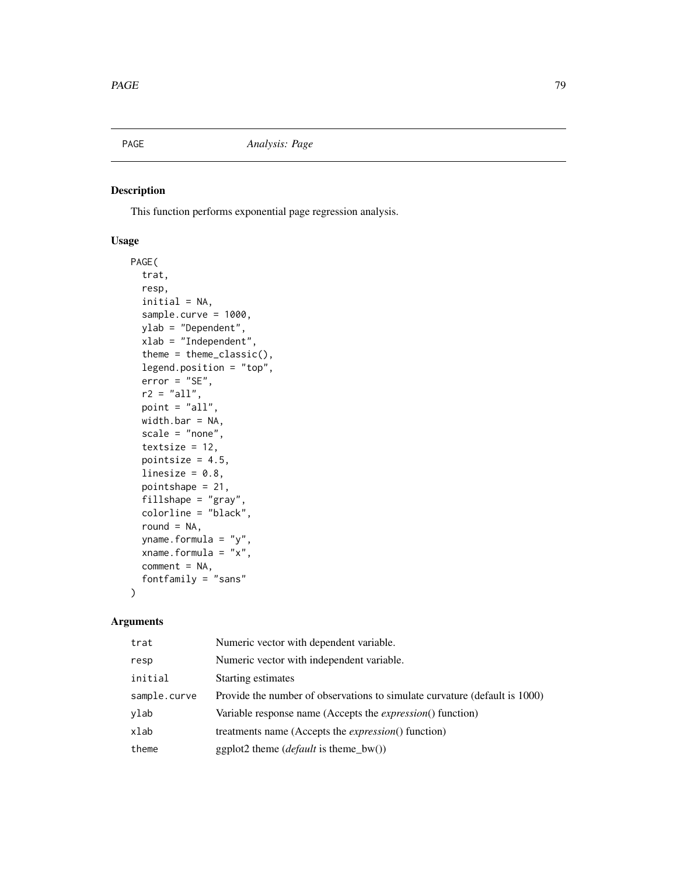This function performs exponential page regression analysis.

# Usage

```
PAGE(
  trat,
  resp,
  initial = NA,
  sample.curve = 1000,
 ylab = "Dependent",
  xlab = "Independent",
  theme = theme_classic(),
  legend.position = "top",
  error = "SE",
  r2 = "all",point = "all",
 width.bar = NA,
  scale = "none",
  textsize = 12,
  pointsize = 4.5,
  linesize = 0.8,
  pointshape = 21,
  fillshape = "gray",
  colorline = "black",
  round = NA,
 yname.formula = "y",
  xname.formula = "x",
  comment = NA,fontfamily = "sans"
)
```

| trat         | Numeric vector with dependent variable.                                    |
|--------------|----------------------------------------------------------------------------|
| resp         | Numeric vector with independent variable.                                  |
| initial      | Starting estimates                                                         |
| sample.curve | Provide the number of observations to simulate curvature (default is 1000) |
| ylab         | Variable response name (Accepts the <i>expression</i> () function)         |
| xlab         | treatments name (Accepts the <i>expression</i> () function)                |
| theme        | ggplot2 theme ( <i>default</i> is theme_bw())                              |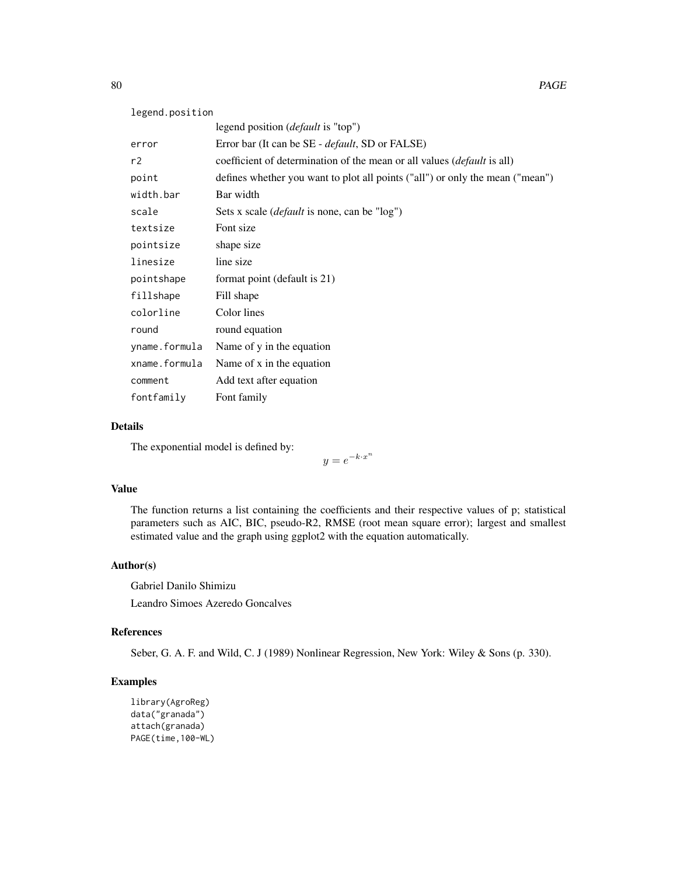| legend.position |                                                                                 |
|-----------------|---------------------------------------------------------------------------------|
|                 | legend position ( <i>default</i> is "top")                                      |
| error           | Error bar (It can be SE - <i>default</i> , SD or FALSE)                         |
| r2              | coefficient of determination of the mean or all values ( <i>default</i> is all) |
| point           | defines whether you want to plot all points ("all") or only the mean ("mean")   |
| width.bar       | Bar width                                                                       |
| scale           | Sets x scale ( <i>default</i> is none, can be "log")                            |
| textsize        | Font size                                                                       |
| pointsize       | shape size                                                                      |
| linesize        | line size                                                                       |
| pointshape      | format point (default is 21)                                                    |
| fillshape       | Fill shape                                                                      |
| colorline       | Color lines                                                                     |
| round           | round equation                                                                  |
| yname.formula   | Name of y in the equation                                                       |
| xname.formula   | Name of x in the equation                                                       |
| comment         | Add text after equation                                                         |
| fontfamily      | Font family                                                                     |

## Details

The exponential model is defined by:

 $y = e^{-k \cdot x^n}$ 

## Value

The function returns a list containing the coefficients and their respective values of p; statistical parameters such as AIC, BIC, pseudo-R2, RMSE (root mean square error); largest and smallest estimated value and the graph using ggplot2 with the equation automatically.

# Author(s)

Gabriel Danilo Shimizu

Leandro Simoes Azeredo Goncalves

## References

Seber, G. A. F. and Wild, C. J (1989) Nonlinear Regression, New York: Wiley & Sons (p. 330).

```
library(AgroReg)
data("granada")
attach(granada)
PAGE(time,100-WL)
```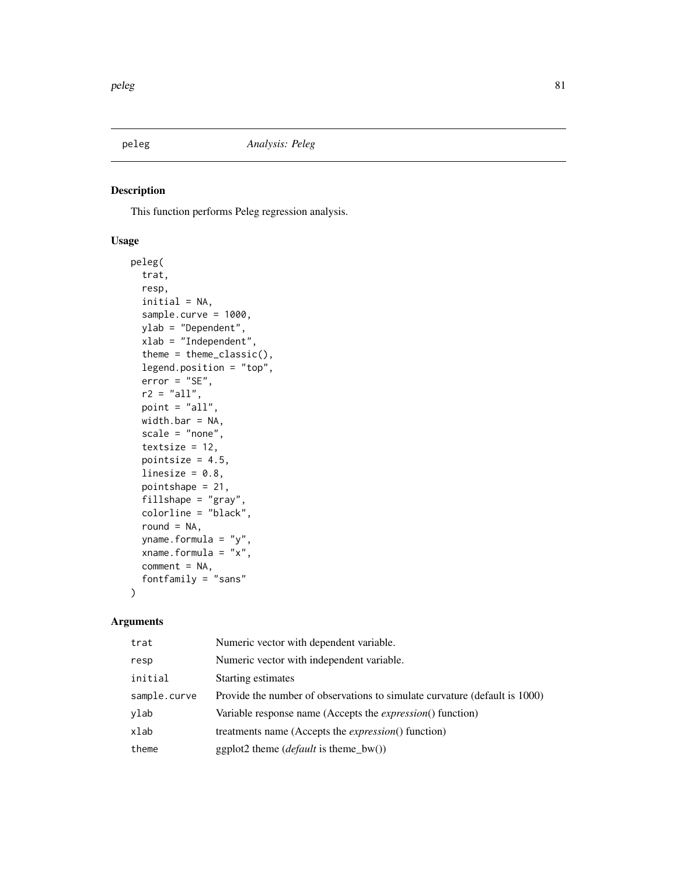This function performs Peleg regression analysis.

# Usage

```
peleg(
  trat,
  resp,
  initial = NA,
  sample.curve = 1000,
 ylab = "Dependent",
  xlab = "Independent",
  theme = theme_classic(),
  legend.position = "top",
  error = "SE",
  r2 = "all",point = "all",
 width.bar = NA,
  scale = "none",
  textsize = 12,
  pointsize = 4.5,
  linesize = 0.8,
  pointshape = 21,
  fillshape = "gray",
  colorline = "black",
  round = NA,
 yname.formula = "y",
  xname.formula = "x",
  comment = NA,fontfamily = "sans"
)
```

| trat         | Numeric vector with dependent variable.                                    |
|--------------|----------------------------------------------------------------------------|
| resp         | Numeric vector with independent variable.                                  |
| initial      | Starting estimates                                                         |
| sample.curve | Provide the number of observations to simulate curvature (default is 1000) |
| ylab         | Variable response name (Accepts the <i>expression</i> () function)         |
| xlab         | treatments name (Accepts the <i>expression</i> () function)                |
| theme        | ggplot2 theme ( <i>default</i> is theme_bw())                              |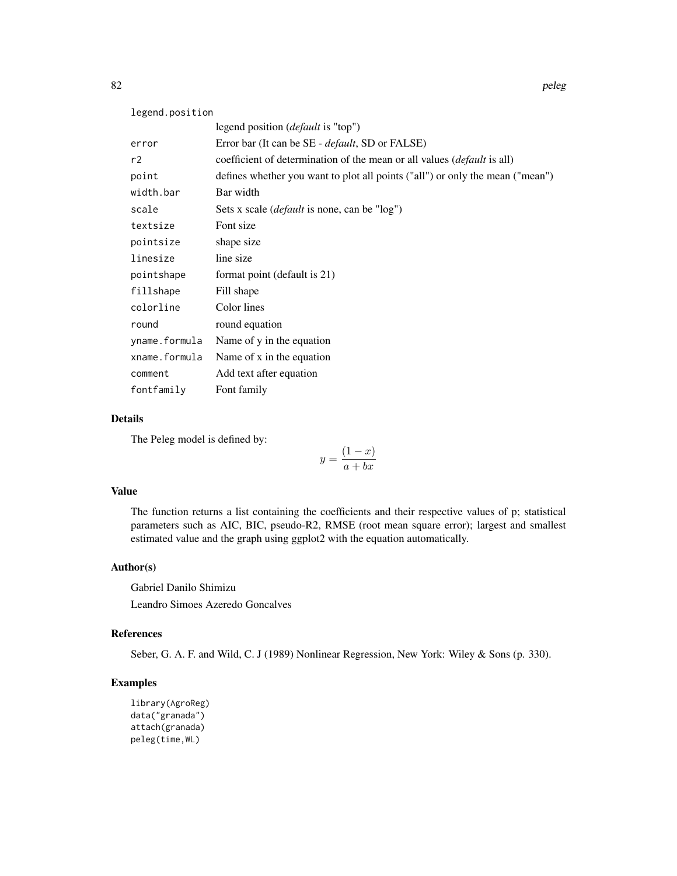| legend.position |                                                                               |  |
|-----------------|-------------------------------------------------------------------------------|--|
|                 | legend position <i>(default</i> is "top")                                     |  |
| error           | Error bar (It can be SE - <i>default</i> , SD or FALSE)                       |  |
| r2              | coefficient of determination of the mean or all values (default is all)       |  |
| point           | defines whether you want to plot all points ("all") or only the mean ("mean") |  |
| width.bar       | Bar width                                                                     |  |
| scale           | Sets x scale ( <i>default</i> is none, can be "log")                          |  |
| textsize        | Font size                                                                     |  |
| pointsize       | shape size                                                                    |  |
| linesize        | line size                                                                     |  |
| pointshape      | format point (default is 21)                                                  |  |
| fillshape       | Fill shape                                                                    |  |
| colorline       | Color lines                                                                   |  |
| round           | round equation                                                                |  |
| yname.formula   | Name of y in the equation                                                     |  |
| xname.formula   | Name of x in the equation                                                     |  |
| comment         | Add text after equation                                                       |  |
| fontfamily      | Font family                                                                   |  |

## Details

The Peleg model is defined by:

 $y = \frac{(1-x)}{1}$  $a + bx$ 

### Value

The function returns a list containing the coefficients and their respective values of p; statistical parameters such as AIC, BIC, pseudo-R2, RMSE (root mean square error); largest and smallest estimated value and the graph using ggplot2 with the equation automatically.

## Author(s)

Gabriel Danilo Shimizu Leandro Simoes Azeredo Goncalves

## References

Seber, G. A. F. and Wild, C. J (1989) Nonlinear Regression, New York: Wiley & Sons (p. 330).

```
library(AgroReg)
data("granada")
attach(granada)
peleg(time,WL)
```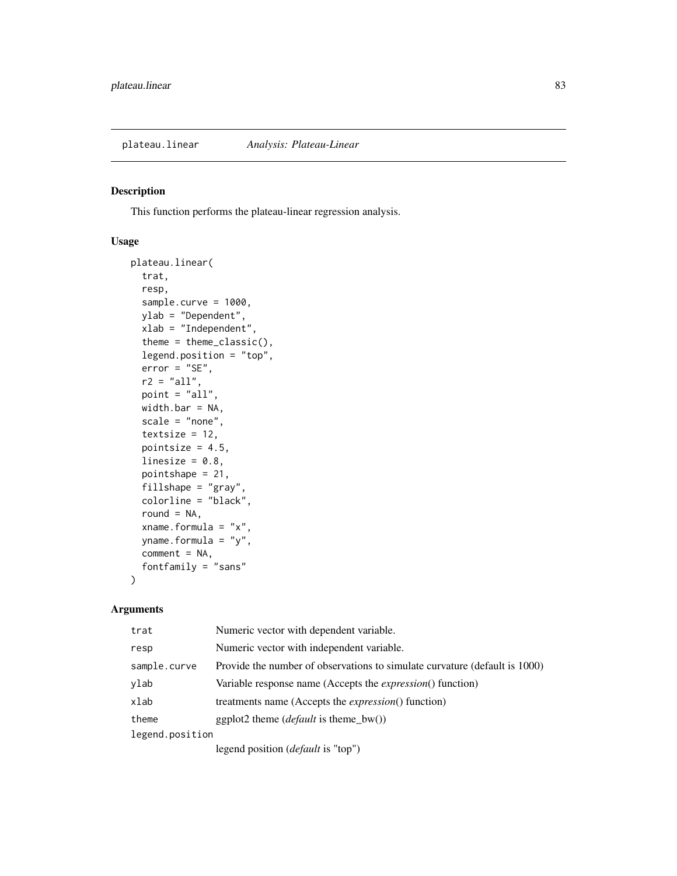This function performs the plateau-linear regression analysis.

## Usage

```
plateau.linear(
  trat,
  resp,
  sample.curve = 1000,
  ylab = "Dependent",
  xlab = "Independent",
  theme = theme_classic(),
  legend.position = "top",
  error = "SE",r2 = "all",point = "all",
 width.bar = NA,
  scale = "none",
  textsize = 12,
 pointsize = 4.5,
  linesize = 0.8,
  pointshape = 21,
  fillshape = "gray",
  colorline = "black",
  round = NA,
  xname.formula = "x",
  yname.formula = "y",
  comment = NA,fontfamily = "sans"
)
```

| trat            | Numeric vector with dependent variable.                                    |  |
|-----------------|----------------------------------------------------------------------------|--|
| resp            | Numeric vector with independent variable.                                  |  |
| sample.curve    | Provide the number of observations to simulate curvature (default is 1000) |  |
| ylab            | Variable response name (Accepts the <i>expression</i> () function)         |  |
| xlab            | treatments name (Accepts the <i>expression</i> () function)                |  |
| theme           | ggplot2 theme ( <i>default</i> is theme_bw())                              |  |
| legend.position |                                                                            |  |
|                 | legend position ( <i>default</i> is "top")                                 |  |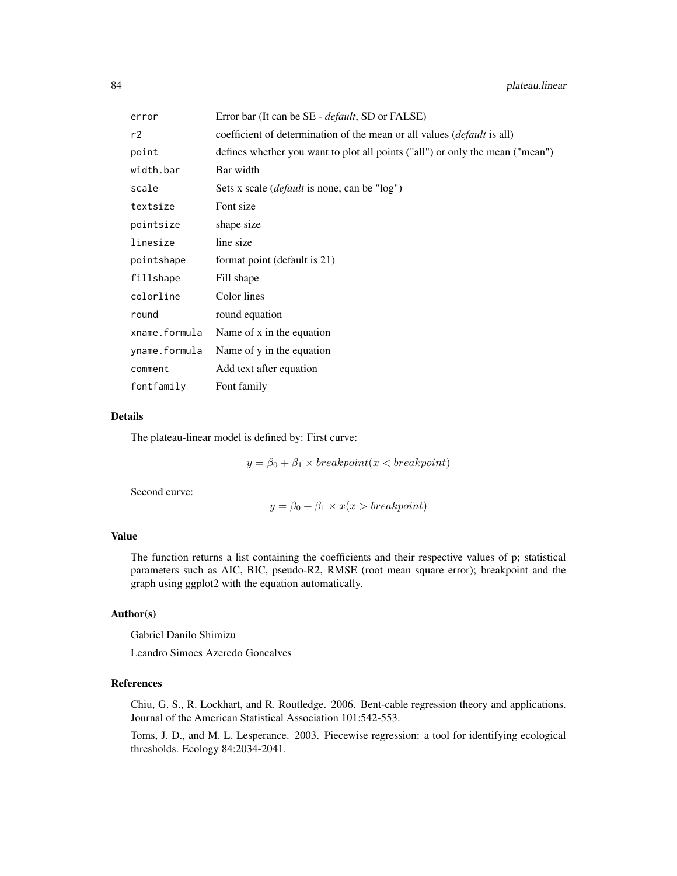| error         | Error bar (It can be SE - <i>default</i> , SD or FALSE)                        |
|---------------|--------------------------------------------------------------------------------|
| r2            | coefficient of determination of the mean or all values <i>(default is all)</i> |
| point         | defines whether you want to plot all points ("all") or only the mean ("mean")  |
| width.bar     | Bar width                                                                      |
| scale         | Sets x scale ( <i>default</i> is none, can be "log")                           |
| textsize      | Font size                                                                      |
| pointsize     | shape size                                                                     |
| linesize      | line size                                                                      |
| pointshape    | format point (default is 21)                                                   |
| fillshape     | Fill shape                                                                     |
| colorline     | Color lines                                                                    |
| round         | round equation                                                                 |
| xname.formula | Name of x in the equation                                                      |
| yname.formula | Name of y in the equation                                                      |
| comment       | Add text after equation                                                        |
| fontfamily    | Font family                                                                    |

#### Details

The plateau-linear model is defined by: First curve:

 $y = \beta_0 + \beta_1 \times \text{breakpoint}(x < \text{breakpoint})$ 

Second curve:

$$
y = \beta_0 + \beta_1 \times x(x > breakpoint)
$$

## Value

The function returns a list containing the coefficients and their respective values of p; statistical parameters such as AIC, BIC, pseudo-R2, RMSE (root mean square error); breakpoint and the graph using ggplot2 with the equation automatically.

## Author(s)

Gabriel Danilo Shimizu

Leandro Simoes Azeredo Goncalves

## References

Chiu, G. S., R. Lockhart, and R. Routledge. 2006. Bent-cable regression theory and applications. Journal of the American Statistical Association 101:542-553.

Toms, J. D., and M. L. Lesperance. 2003. Piecewise regression: a tool for identifying ecological thresholds. Ecology 84:2034-2041.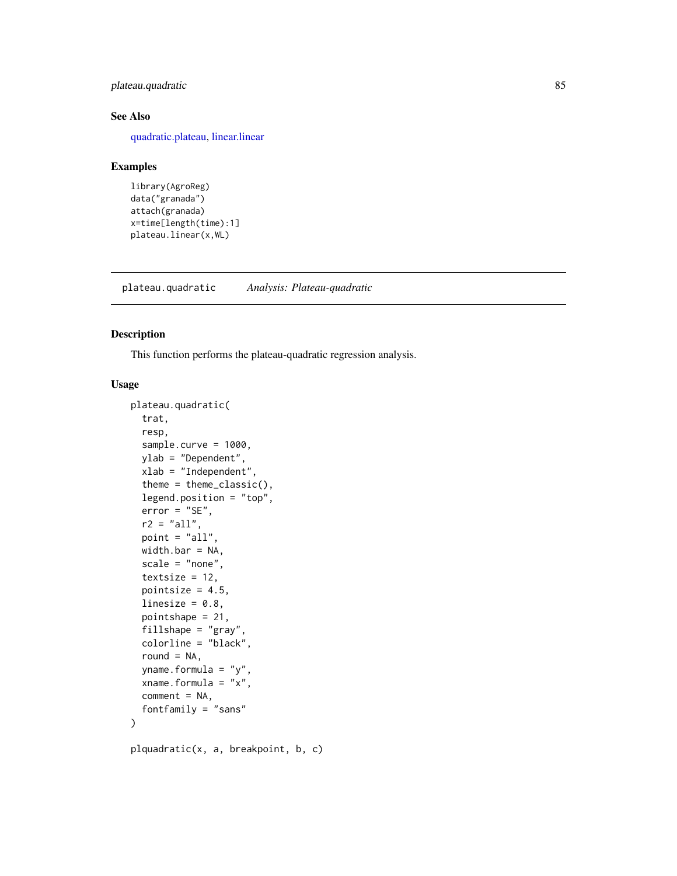## plateau.quadratic 85

## See Also

[quadratic.plateau,](#page-90-0) [linear.linear](#page-33-0)

#### Examples

```
library(AgroReg)
data("granada")
attach(granada)
x=time[length(time):1]
plateau.linear(x,WL)
```
plateau.quadratic *Analysis: Plateau-quadratic*

## Description

This function performs the plateau-quadratic regression analysis.

## Usage

```
plateau.quadratic(
  trat,
  resp,
  sample.curve = 1000,
  ylab = "Dependent",
  xlab = "Independent",
  theme = theme_classic(),
  legend.position = "top",
  error = "SE",r2 = "all",point = "all",
  width.bar = NA,
  scale = "none",
  textsize = 12,pointsize = 4.5,
  linesize = 0.8,
  pointshape = 21,
  fillshape = "gray",
  colorline = "black",
  round = NA,
  yname.formula = "y",
  xname.formula = "x",comment = NA,
  fontfamily = "sans"
)
```
plquadratic(x, a, breakpoint, b, c)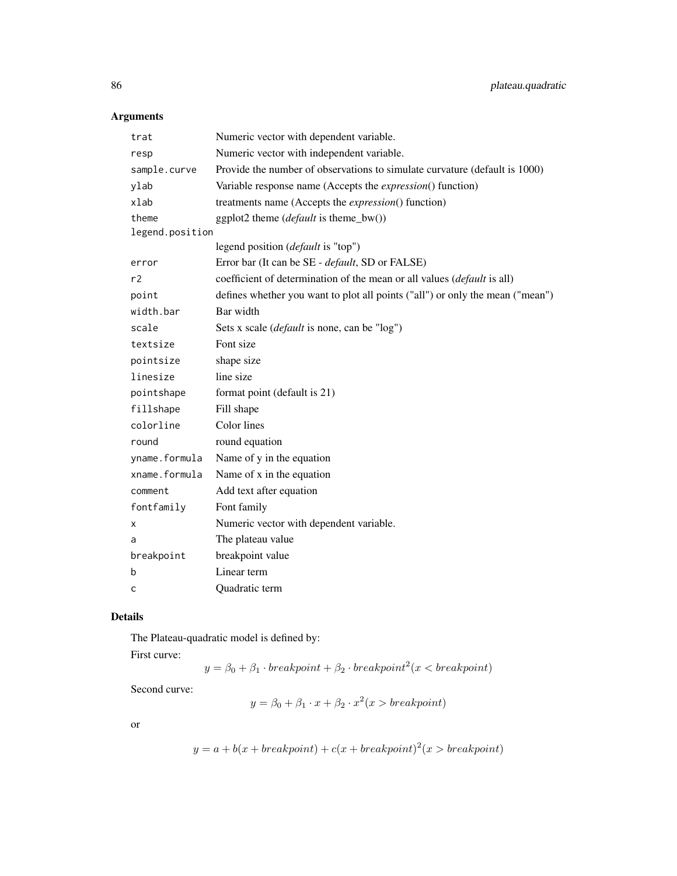# Arguments

| trat            | Numeric vector with dependent variable.                                       |
|-----------------|-------------------------------------------------------------------------------|
| resp            | Numeric vector with independent variable.                                     |
| sample.curve    | Provide the number of observations to simulate curvature (default is 1000)    |
| ylab            | Variable response name (Accepts the <i>expression</i> () function)            |
| xlab            | treatments name (Accepts the <i>expression</i> () function)                   |
| theme           | ggplot2 theme ( <i>default</i> is theme_bw())                                 |
| legend.position |                                                                               |
|                 | legend position ( <i>default</i> is "top")                                    |
| error           | Error bar (It can be SE - default, SD or FALSE)                               |
| r2              | coefficient of determination of the mean or all values (default is all)       |
| point           | defines whether you want to plot all points ("all") or only the mean ("mean") |
| width.bar       | Bar width                                                                     |
| scale           | Sets x scale ( <i>default</i> is none, can be "log")                          |
| textsize        | Font size                                                                     |
| pointsize       | shape size                                                                    |
| linesize        | line size                                                                     |
| pointshape      | format point (default is 21)                                                  |
| fillshape       | Fill shape                                                                    |
| colorline       | Color lines                                                                   |
| round           | round equation                                                                |
| yname.formula   | Name of y in the equation                                                     |
| xname.formula   | Name of x in the equation                                                     |
| comment         | Add text after equation                                                       |
| fontfamily      | Font family                                                                   |
| х               | Numeric vector with dependent variable.                                       |
| a               | The plateau value                                                             |
| breakpoint      | breakpoint value                                                              |
| b               | Linear term                                                                   |
| C               | Quadratic term                                                                |

## Details

The Plateau-quadratic model is defined by:

First curve:

 $y = \beta_0 + \beta_1 \cdot \text{breakpoint} + \beta_2 \cdot \text{breakpoint}^2 (x < \text{breakpoint})$ 

Second curve:

 $y = \beta_0 + \beta_1 \cdot x + \beta_2 \cdot x^2(x > breakpoint)$ 

or

$$
y = a + b(x + breakpoint) + c(x + breakpoint)^2(x > breakpoint)
$$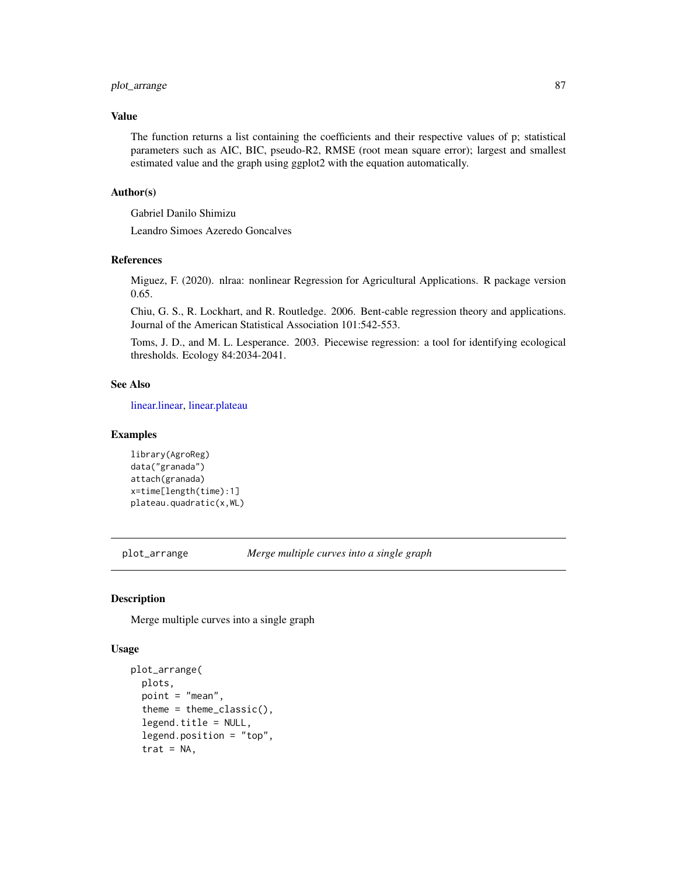## plot\_arrange 87

## Value

The function returns a list containing the coefficients and their respective values of p; statistical parameters such as AIC, BIC, pseudo-R2, RMSE (root mean square error); largest and smallest estimated value and the graph using ggplot2 with the equation automatically.

#### Author(s)

Gabriel Danilo Shimizu

Leandro Simoes Azeredo Goncalves

#### References

Miguez, F. (2020). nlraa: nonlinear Regression for Agricultural Applications. R package version 0.65.

Chiu, G. S., R. Lockhart, and R. Routledge. 2006. Bent-cable regression theory and applications. Journal of the American Statistical Association 101:542-553.

Toms, J. D., and M. L. Lesperance. 2003. Piecewise regression: a tool for identifying ecological thresholds. Ecology 84:2034-2041.

#### See Also

[linear.linear,](#page-33-0) [linear.plateau](#page-36-0)

#### Examples

```
library(AgroReg)
data("granada")
attach(granada)
x=time[length(time):1]
plateau.quadratic(x,WL)
```
plot\_arrange *Merge multiple curves into a single graph*

#### Description

Merge multiple curves into a single graph

#### Usage

```
plot_arrange(
 plots,
  point = "mean",
  theme = theme_classic(),
  legend.title = NULL,
  legend.position = "top",
  trat = NA,
```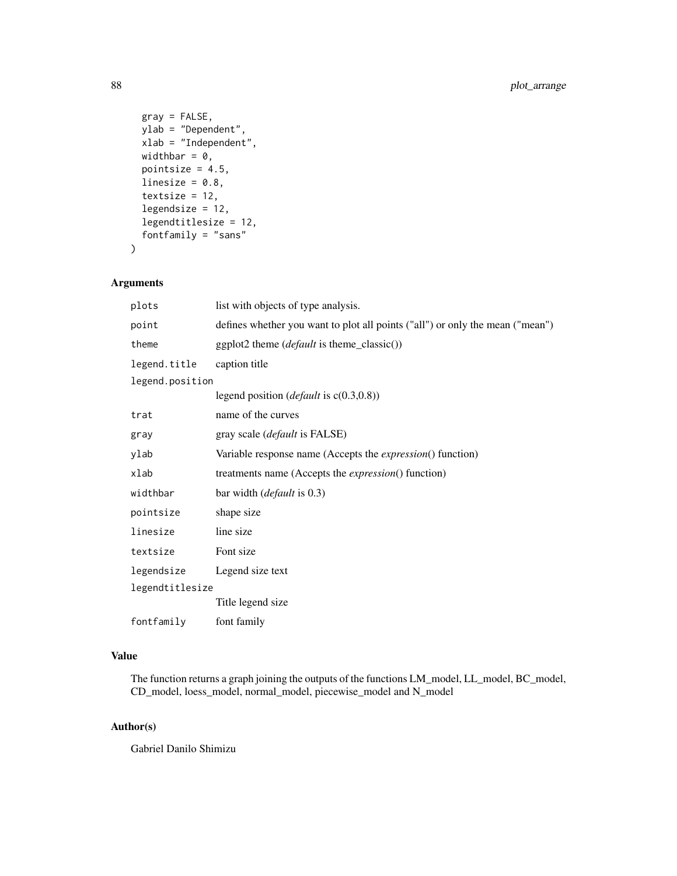```
gray = FALSE,
 ylab = "Dependent",
 xlab = "Independent",
 widthbar = 0,
 pointsize = 4.5,
 linesize = 0.8,
  textsize = 12,
  legendsize = 12,
 legendtitlesize = 12,
  fontfamily = "sans"
)
```
## Arguments

| plots           | list with objects of type analysis.                                           |
|-----------------|-------------------------------------------------------------------------------|
| point           | defines whether you want to plot all points ("all") or only the mean ("mean") |
| theme           | ggplot2 theme ( <i>default</i> is theme_classic())                            |
| legend.title    | caption title                                                                 |
| legend.position |                                                                               |
|                 | legend position ( <i>default</i> is $c(0.3,0.8)$ )                            |
| trat            | name of the curves                                                            |
| gray            | gray scale ( <i>default</i> is FALSE)                                         |
| ylab            | Variable response name (Accepts the <i>expression</i> () function)            |
| xlab            | treatments name (Accepts the <i>expression</i> () function)                   |
| widthbar        | bar width ( <i>default</i> is 0.3)                                            |
| pointsize       | shape size                                                                    |
| linesize        | line size                                                                     |
| textsize        | Font size                                                                     |
| legendsize      | Legend size text                                                              |
| legendtitlesize |                                                                               |
|                 | Title legend size                                                             |
| fontfamily      | font family                                                                   |

## Value

The function returns a graph joining the outputs of the functions LM\_model, LL\_model, BC\_model, CD\_model, loess\_model, normal\_model, piecewise\_model and N\_model

## Author(s)

Gabriel Danilo Shimizu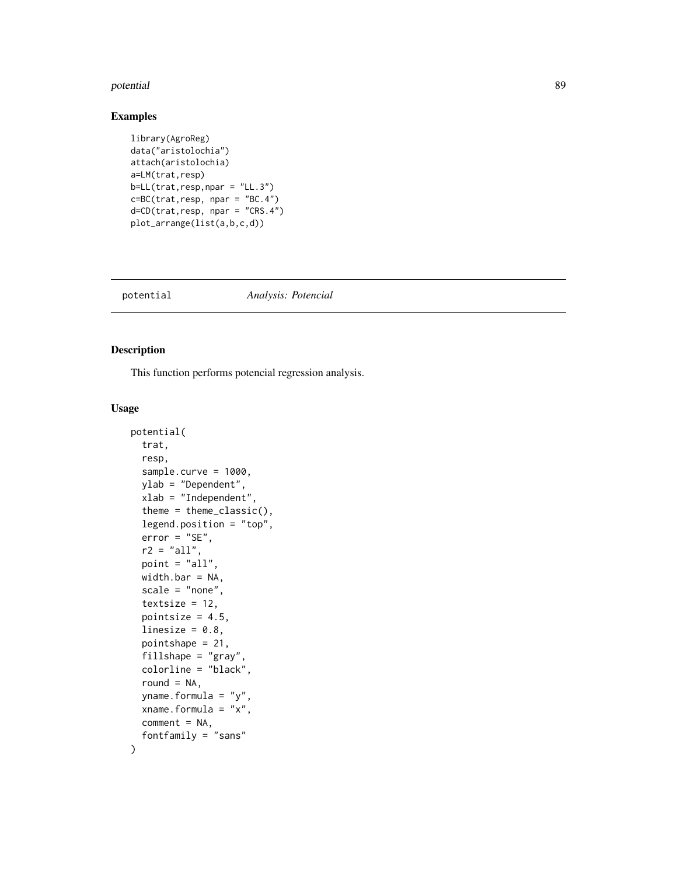#### potential and the second second second second second second second second second second second second second s

## Examples

```
library(AgroReg)
data("aristolochia")
attach(aristolochia)
a=LM(trat,resp)
b=LL(trat,resp, npar = "LL.3")c=BC(trat,resp, npar = "BC.4")
d=CD(trat,resp, npar = "CRS.4")
plot_arrange(list(a,b,c,d))
```
#### potential *Analysis: Potencial*

#### Description

This function performs potencial regression analysis.

#### Usage

```
potential(
  trat,
  resp,
  sample.curve = 1000,
  ylab = "Dependent",
  xlab = "Independent",
  theme = theme_classic(),
  legend.position = "top",
  error = "SE",
  r2 = "all",point = "all",width.bar = NA,
  scale = "none",
  textsize = 12,
  pointsize = 4.5,
  linesize = 0.8,
  pointshape = 21,
  fillshape = "gray",
  colorline = "black",
  round = NA,
  yname.formula = "y",
  xname.formula = "x",
  comment = NA,fontfamily = "sans"
\mathcal{E}
```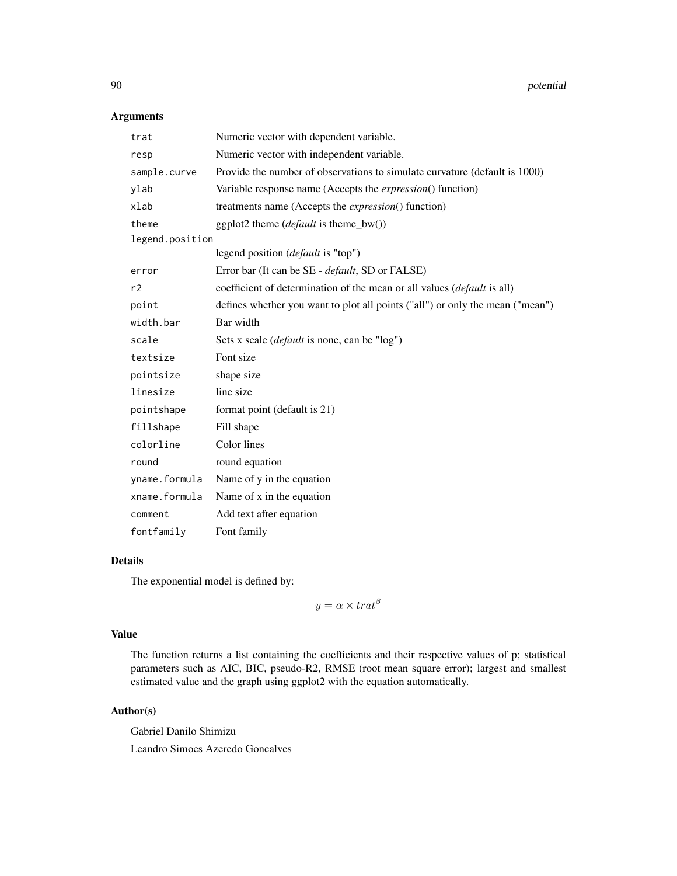## Arguments

| trat            | Numeric vector with dependent variable.                                       |
|-----------------|-------------------------------------------------------------------------------|
| resp            | Numeric vector with independent variable.                                     |
| sample.curve    | Provide the number of observations to simulate curvature (default is 1000)    |
| ylab            | Variable response name (Accepts the <i>expression</i> () function)            |
| xlab            | treatments name (Accepts the <i>expression</i> () function)                   |
| theme           | ggplot2 theme (default is theme_bw())                                         |
| legend.position |                                                                               |
|                 | legend position ( <i>default</i> is "top")                                    |
| error           | Error bar (It can be SE - default, SD or FALSE)                               |
| r2              | coefficient of determination of the mean or all values (default is all)       |
| point           | defines whether you want to plot all points ("all") or only the mean ("mean") |
| width.bar       | Bar width                                                                     |
| scale           | Sets x scale (default is none, can be "log")                                  |
| textsize        | Font size                                                                     |
| pointsize       | shape size                                                                    |
| linesize        | line size                                                                     |
| pointshape      | format point (default is 21)                                                  |
| fillshape       | Fill shape                                                                    |
| colorline       | Color lines                                                                   |
| round           | round equation                                                                |
| yname.formula   | Name of y in the equation                                                     |
| xname.formula   | Name of x in the equation                                                     |
| comment         | Add text after equation                                                       |
| fontfamily      | Font family                                                                   |

# Details

The exponential model is defined by:

 $y = \alpha \times \text{trat}^{\beta}$ 

## Value

The function returns a list containing the coefficients and their respective values of p; statistical parameters such as AIC, BIC, pseudo-R2, RMSE (root mean square error); largest and smallest estimated value and the graph using ggplot2 with the equation automatically.

# Author(s)

Gabriel Danilo Shimizu Leandro Simoes Azeredo Goncalves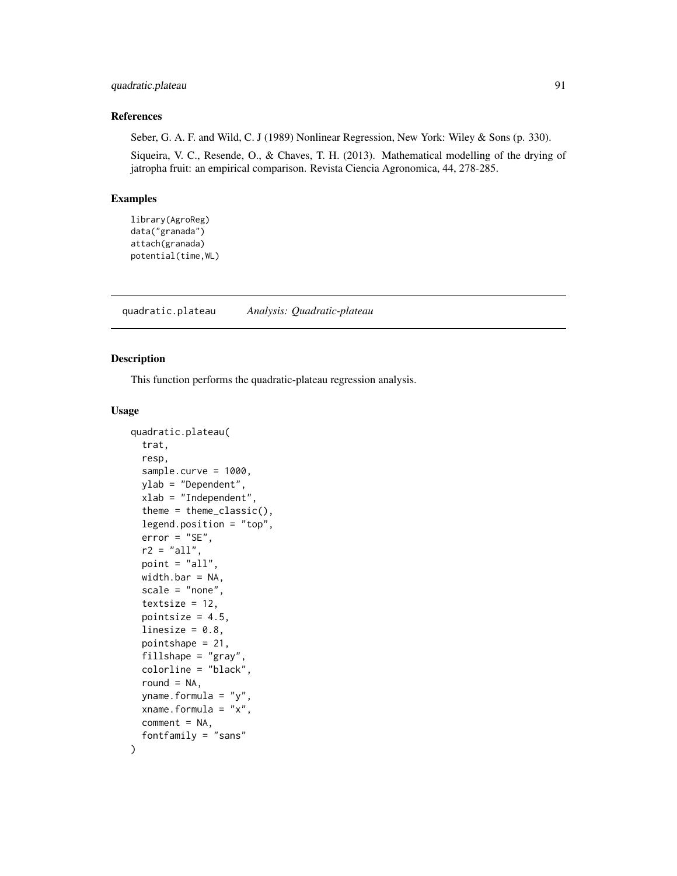## quadratic.plateau 91

#### References

Seber, G. A. F. and Wild, C. J (1989) Nonlinear Regression, New York: Wiley & Sons (p. 330).

Siqueira, V. C., Resende, O., & Chaves, T. H. (2013). Mathematical modelling of the drying of jatropha fruit: an empirical comparison. Revista Ciencia Agronomica, 44, 278-285.

#### Examples

```
library(AgroReg)
data("granada")
attach(granada)
potential(time,WL)
```
<span id="page-90-0"></span>quadratic.plateau *Analysis: Quadratic-plateau*

## Description

This function performs the quadratic-plateau regression analysis.

#### Usage

```
quadratic.plateau(
  trat,
  resp,
  sample.curve = 1000,
 ylab = "Dependent",
  xlab = "Independent",
  theme = theme_classic(),
  legend.position = "top",
  error = "SE",
  r2 = "all",point = "all",width.bar = NA,
  scale = "none",
  textsize = 12,
 pointsize = 4.5,
  linesize = 0.8,
  pointshape = 21,
  fillshape = "gray"colorline = "black",
  round = NA,
 yname.formula = "y",
  xname.formula = "x",
  comment = NA,fontfamily = "sans"
```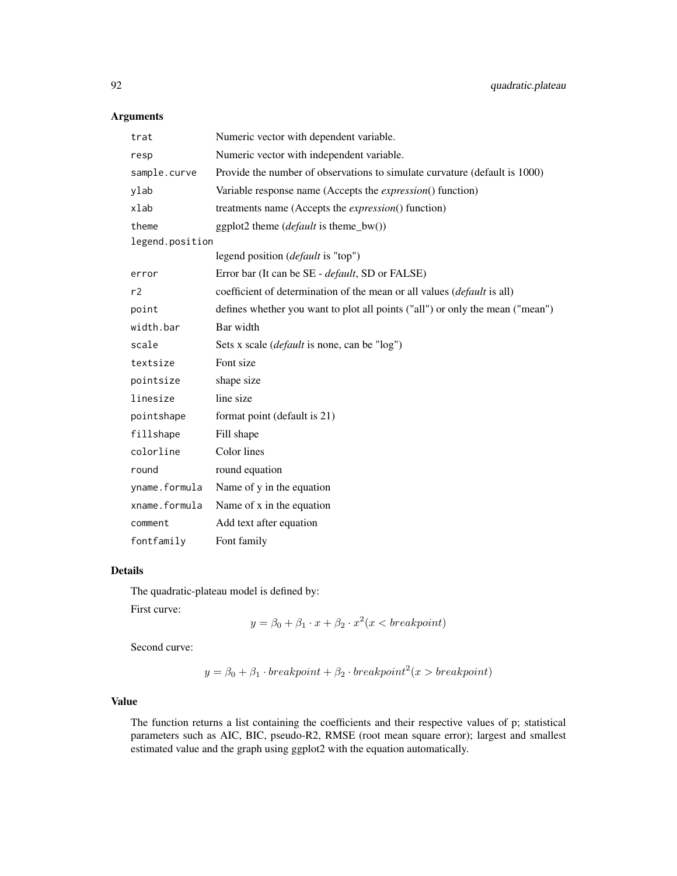# Arguments

| trat            | Numeric vector with dependent variable.                                       |
|-----------------|-------------------------------------------------------------------------------|
| resp            | Numeric vector with independent variable.                                     |
| sample.curve    | Provide the number of observations to simulate curvature (default is 1000)    |
| ylab            | Variable response name (Accepts the <i>expression</i> () function)            |
| xlab            | treatments name (Accepts the expression() function)                           |
| theme           | ggplot2 theme $(default \text{ is theme_bw}))$                                |
| legend.position |                                                                               |
|                 | legend position ( <i>default</i> is "top")                                    |
| error           | Error bar (It can be SE - <i>default</i> , SD or FALSE)                       |
| r2              | coefficient of determination of the mean or all values (default is all)       |
| point           | defines whether you want to plot all points ("all") or only the mean ("mean") |
| width.bar       | Bar width                                                                     |
| scale           | Sets x scale ( <i>default</i> is none, can be "log")                          |
| textsize        | Font size                                                                     |
| pointsize       | shape size                                                                    |
| linesize        | line size                                                                     |
| pointshape      | format point (default is 21)                                                  |
| fillshape       | Fill shape                                                                    |
| colorline       | Color lines                                                                   |
| round           | round equation                                                                |
| yname.formula   | Name of y in the equation                                                     |
| xname.formula   | Name of x in the equation                                                     |
| comment         | Add text after equation                                                       |
| fontfamily      | Font family                                                                   |

#### Details

The quadratic-plateau model is defined by:

First curve:

$$
y = \beta_0 + \beta_1 \cdot x + \beta_2 \cdot x^2 (x < \text{breakpoint})
$$

Second curve:

$$
y = \beta_0 + \beta_1 \cdot \text{breakpoint} + \beta_2 \cdot \text{breakpoint}^2(x > \text{breakpoint})
$$

## Value

The function returns a list containing the coefficients and their respective values of p; statistical parameters such as AIC, BIC, pseudo-R2, RMSE (root mean square error); largest and smallest estimated value and the graph using ggplot2 with the equation automatically.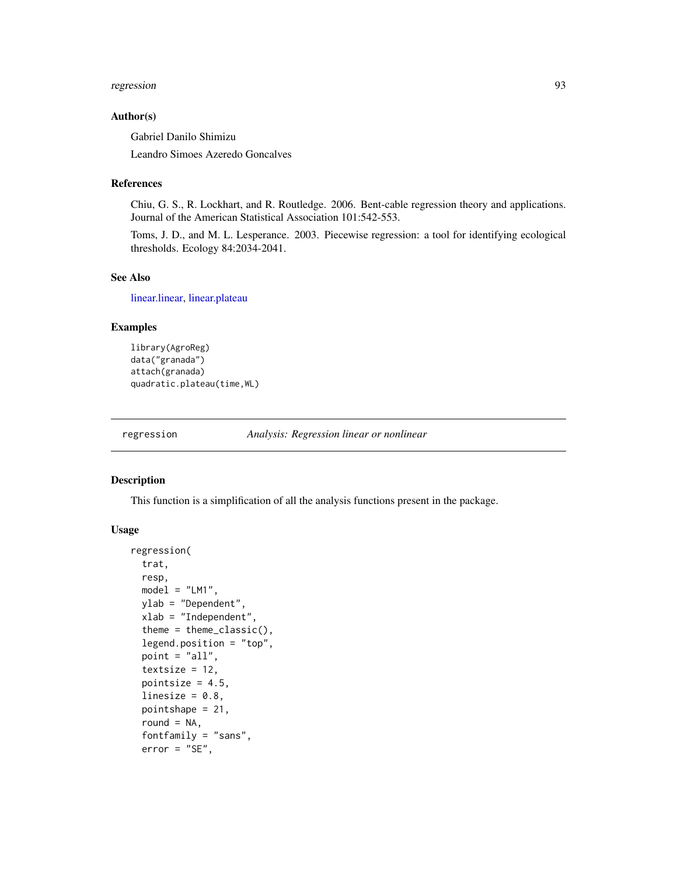#### regression and the contract of the contract of the contract of the contract of the contract of the contract of

#### Author(s)

Gabriel Danilo Shimizu

Leandro Simoes Azeredo Goncalves

#### References

Chiu, G. S., R. Lockhart, and R. Routledge. 2006. Bent-cable regression theory and applications. Journal of the American Statistical Association 101:542-553.

Toms, J. D., and M. L. Lesperance. 2003. Piecewise regression: a tool for identifying ecological thresholds. Ecology 84:2034-2041.

#### See Also

[linear.linear,](#page-33-0) [linear.plateau](#page-36-0)

### Examples

```
library(AgroReg)
data("granada")
attach(granada)
quadratic.plateau(time,WL)
```
regression *Analysis: Regression linear or nonlinear*

#### Description

This function is a simplification of all the analysis functions present in the package.

#### Usage

```
regression(
  trat,
  resp,
 model = "LM1",ylab = "Dependent",
 xlab = "Independent",
  theme = theme_classic(),
  legend.position = "top",
 point = "all",
  textsize = 12,pointsize = 4.5,
  linesize = 0.8,
 pointshape = 21,
  round = NA,
  fontfamily = "sans",
  error = "SE",
```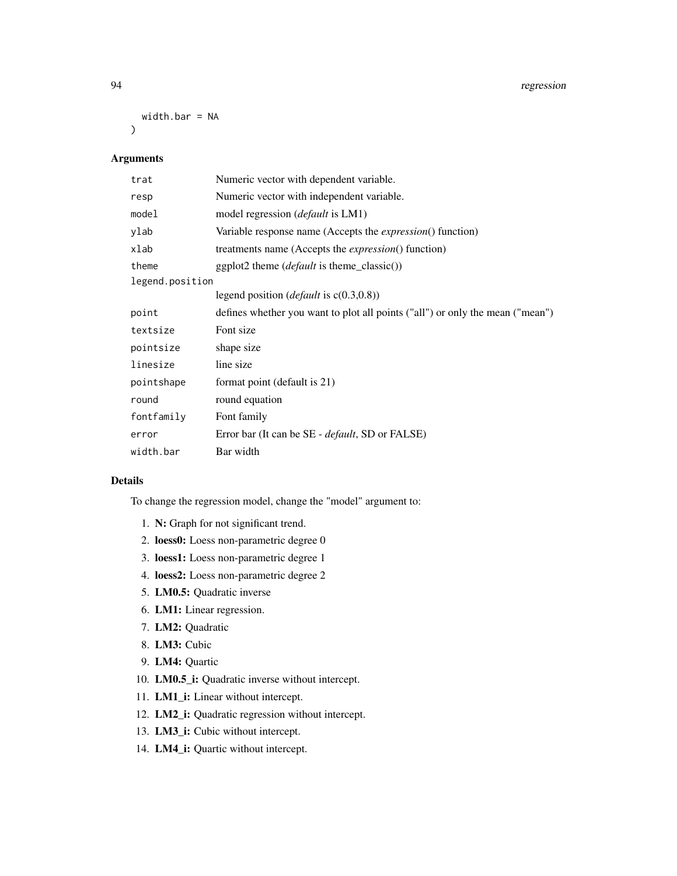width.bar = NA

 $\mathcal{L}$ 

# Arguments

| trat            | Numeric vector with dependent variable.                                       |
|-----------------|-------------------------------------------------------------------------------|
| resp            | Numeric vector with independent variable.                                     |
| model           | model regression ( <i>default</i> is LM1)                                     |
| ylab            | Variable response name (Accepts the <i>expression</i> () function)            |
| xlab            | treatments name (Accepts the <i>expression</i> () function)                   |
| theme           | $ggplot2$ theme ( <i>default</i> is theme_classic())                          |
| legend.position |                                                                               |
|                 | legend position ( <i>default</i> is $c(0.3,0.8)$ )                            |
| point           | defines whether you want to plot all points ("all") or only the mean ("mean") |
| textsize        | Font size                                                                     |
| pointsize       | shape size                                                                    |
| linesize        | line size                                                                     |
| pointshape      | format point (default is 21)                                                  |
| round           | round equation                                                                |
| fontfamily      | Font family                                                                   |
| error           | Error bar (It can be SE - <i>default</i> , SD or FALSE)                       |
| width.bar       | Bar width                                                                     |

# Details

To change the regression model, change the "model" argument to:

- 1. N: Graph for not significant trend.
- 2. loess0: Loess non-parametric degree 0
- 3. loess1: Loess non-parametric degree 1
- 4. loess2: Loess non-parametric degree 2
- 5. LM0.5: Quadratic inverse
- 6. LM1: Linear regression.
- 7. LM2: Quadratic
- 8. LM3: Cubic
- 9. LM4: Quartic
- 10. LM0.5\_i: Quadratic inverse without intercept.
- 11. **LM1\_i:** Linear without intercept.
- 12. LM2\_i: Quadratic regression without intercept.
- 13. LM3\_i: Cubic without intercept.
- 14. LM4\_i: Quartic without intercept.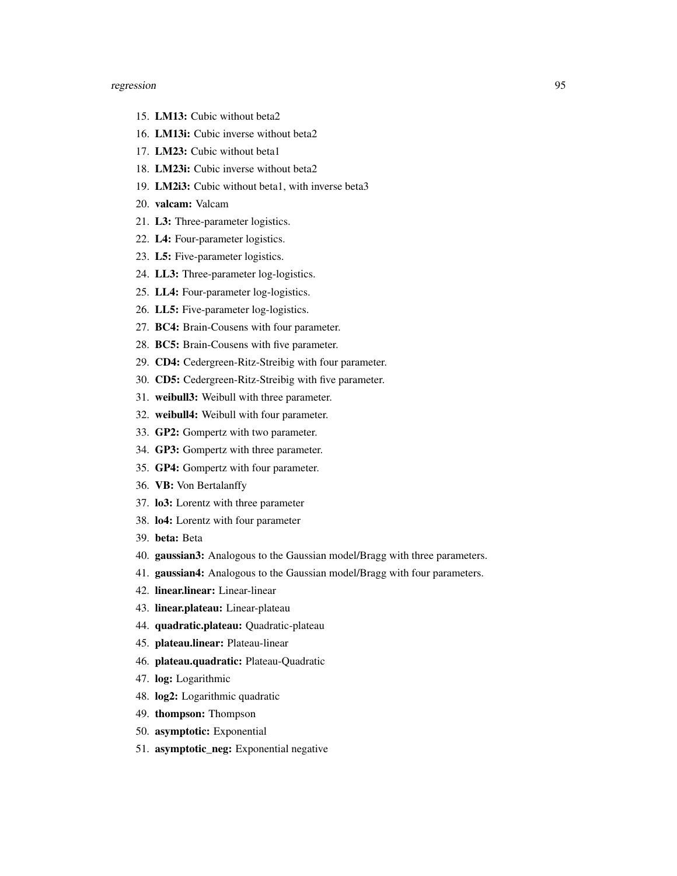- 15. LM13: Cubic without beta2
- 16. LM13i: Cubic inverse without beta2
- 17. LM23: Cubic without beta1
- 18. LM23i: Cubic inverse without beta2
- 19. LM2i3: Cubic without beta1, with inverse beta3
- 20. valcam: Valcam
- 21. L3: Three-parameter logistics.
- 22. L4: Four-parameter logistics.
- 23. L5: Five-parameter logistics.
- 24. LL3: Three-parameter log-logistics.
- 25. LL4: Four-parameter log-logistics.
- 26. LL5: Five-parameter log-logistics.
- 27. BC4: Brain-Cousens with four parameter.
- 28. BC5: Brain-Cousens with five parameter.
- 29. CD4: Cedergreen-Ritz-Streibig with four parameter.
- 30. CD5: Cedergreen-Ritz-Streibig with five parameter.
- 31. weibull3: Weibull with three parameter.
- 32. weibull4: Weibull with four parameter.
- 33. GP2: Gompertz with two parameter.
- 34. GP3: Gompertz with three parameter.
- 35. GP4: Gompertz with four parameter.
- 36. VB: Von Bertalanffy
- 37. lo3: Lorentz with three parameter
- 38. lo4: Lorentz with four parameter
- 39. beta: Beta
- 40. gaussian3: Analogous to the Gaussian model/Bragg with three parameters.
- 41. gaussian4: Analogous to the Gaussian model/Bragg with four parameters.
- 42. linear.linear: Linear-linear
- 43. linear.plateau: Linear-plateau
- 44. quadratic.plateau: Quadratic-plateau
- 45. plateau.linear: Plateau-linear
- 46. plateau.quadratic: Plateau-Quadratic
- 47. log: Logarithmic
- 48. log2: Logarithmic quadratic
- 49. thompson: Thompson
- 50. asymptotic: Exponential
- 51. asymptotic\_neg: Exponential negative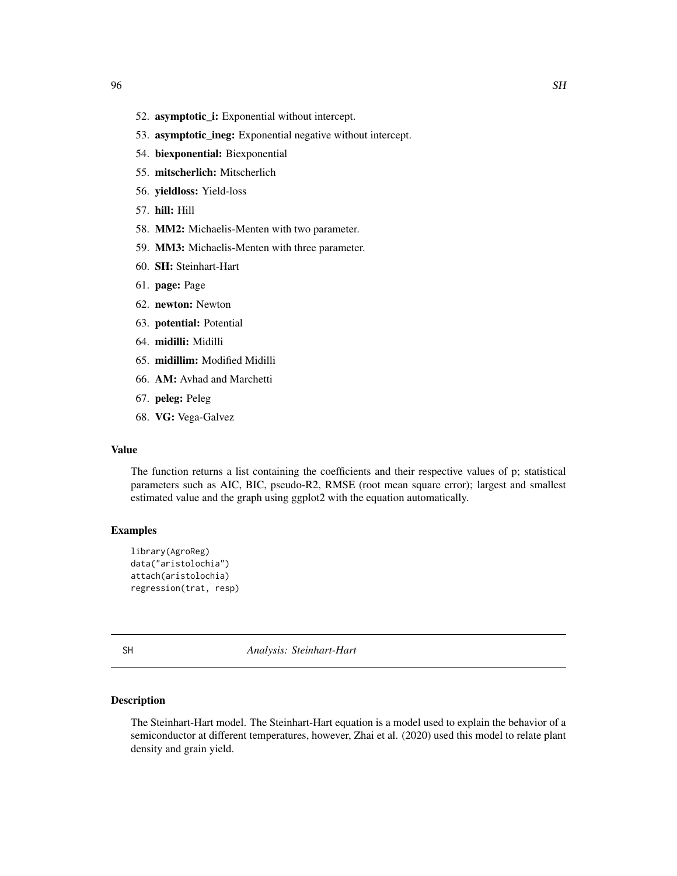- 52. asymptotic\_i: Exponential without intercept.
- 53. asymptotic\_ineg: Exponential negative without intercept.
- 54. biexponential: Biexponential
- 55. mitscherlich: Mitscherlich
- 56. yieldloss: Yield-loss
- 57. hill: Hill
- 58. MM2: Michaelis-Menten with two parameter.
- 59. MM3: Michaelis-Menten with three parameter.
- 60. SH: Steinhart-Hart
- 61. page: Page
- 62. newton: Newton
- 63. potential: Potential
- 64. midilli: Midilli
- 65. midillim: Modified Midilli
- 66. AM: Avhad and Marchetti
- 67. peleg: Peleg
- 68. VG: Vega-Galvez

## Value

The function returns a list containing the coefficients and their respective values of p; statistical parameters such as AIC, BIC, pseudo-R2, RMSE (root mean square error); largest and smallest estimated value and the graph using ggplot2 with the equation automatically.

#### Examples

```
library(AgroReg)
data("aristolochia")
attach(aristolochia)
regression(trat, resp)
```
SH *Analysis: Steinhart-Hart*

#### Description

The Steinhart-Hart model. The Steinhart-Hart equation is a model used to explain the behavior of a semiconductor at different temperatures, however, Zhai et al. (2020) used this model to relate plant density and grain yield.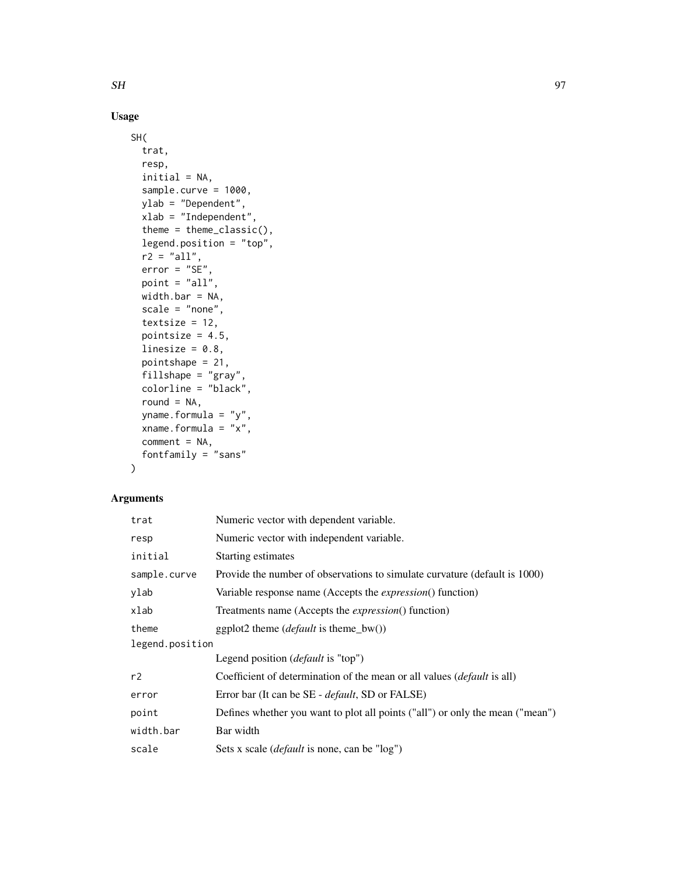# Usage

```
SH(
  trat,
  resp,
  initial = NA,
  sample.curve = 1000,
 ylab = "Dependent",
  xlab = "Independent",
  theme = theme_classic(),
  legend.position = "top",
 r2 = "all",error = "SE",point = "all",width.bar = NA,
  scale = "none",
  textsize = 12,
 pointsize = 4.5,
  linesize = 0.8,
  pointshape = 21,
  fillshape = "gray",
  colorline = "black",
  round = NA,
 yname.formula = "y",
  xname.formula = "x",comment = NA,
  fontfamily = "sans"
\mathcal{L}
```
# Arguments

| trat            | Numeric vector with dependent variable.                                        |  |
|-----------------|--------------------------------------------------------------------------------|--|
| resp            | Numeric vector with independent variable.                                      |  |
| initial         | Starting estimates                                                             |  |
| sample.curve    | Provide the number of observations to simulate curvature (default is 1000)     |  |
| ylab            | Variable response name (Accepts the <i>expression</i> () function)             |  |
| xlab            | Treatments name (Accepts the <i>expression</i> () function)                    |  |
| theme           | ggplot2 theme ( <i>default</i> is theme_bw())                                  |  |
| legend.position |                                                                                |  |
|                 | Legend position ( <i>default</i> is "top")                                     |  |
| r2              | Coefficient of determination of the mean or all values <i>(default is all)</i> |  |
| error           | Error bar (It can be SE - <i>default</i> , SD or FALSE)                        |  |
| point           | Defines whether you want to plot all points ("all") or only the mean ("mean")  |  |
| width.bar       | Bar width                                                                      |  |
| scale           | Sets x scale ( <i>default</i> is none, can be "log")                           |  |

 $SH$  97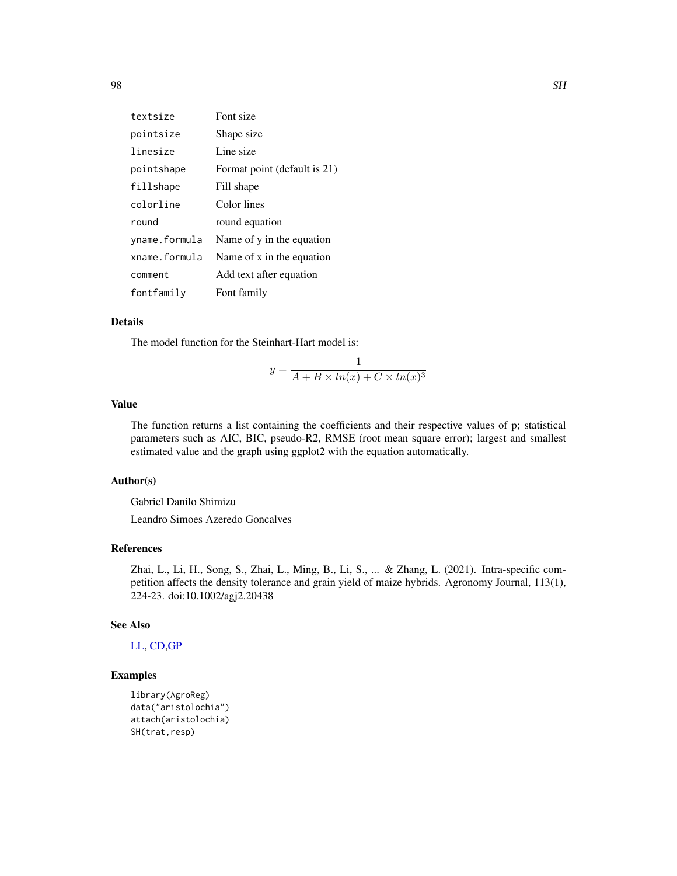| textsize      | Font size                    |
|---------------|------------------------------|
| pointsize     | Shape size                   |
| linesize      | Line size                    |
| pointshape    | Format point (default is 21) |
| fillshape     | Fill shape                   |
| colorline     | Color lines                  |
| round         | round equation               |
| yname.formula | Name of y in the equation    |
| xname.formula | Name of x in the equation    |
| comment       | Add text after equation      |
| fontfamily    | Font family                  |

## Details

The model function for the Steinhart-Hart model is:

$$
y = \frac{1}{A + B \times ln(x) + C \times ln(x)^3}
$$

## Value

The function returns a list containing the coefficients and their respective values of p; statistical parameters such as AIC, BIC, pseudo-R2, RMSE (root mean square error); largest and smallest estimated value and the graph using ggplot2 with the equation automatically.

## Author(s)

Gabriel Danilo Shimizu

Leandro Simoes Azeredo Goncalves

## References

Zhai, L., Li, H., Song, S., Zhai, L., Ming, B., Li, S., ... & Zhang, L. (2021). Intra-specific competition affects the density tolerance and grain yield of maize hybrids. Agronomy Journal, 113(1), 224-23. doi:10.1002/agj2.20438

#### See Also

# [LL,](#page-38-0) [CD](#page-19-0)[,GP](#page-28-0)

```
library(AgroReg)
data("aristolochia")
attach(aristolochia)
SH(trat,resp)
```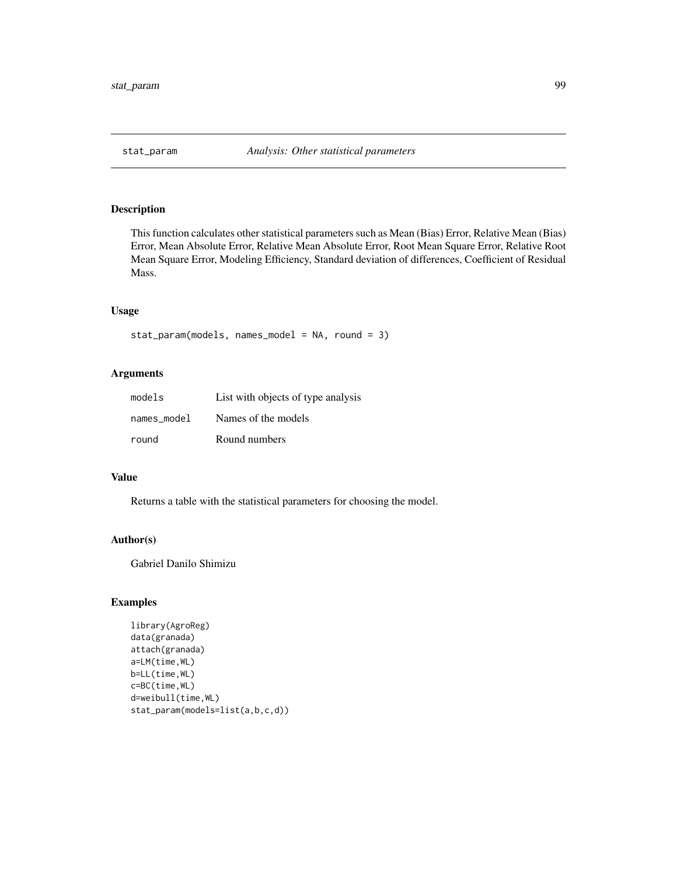This function calculates other statistical parameters such as Mean (Bias) Error, Relative Mean (Bias) Error, Mean Absolute Error, Relative Mean Absolute Error, Root Mean Square Error, Relative Root Mean Square Error, Modeling Efficiency, Standard deviation of differences, Coefficient of Residual Mass.

#### Usage

```
stat_param(models, names_model = NA, round = 3)
```
#### Arguments

| models      | List with objects of type analysis |
|-------------|------------------------------------|
| names model | Names of the models                |
| round       | Round numbers                      |

# Value

Returns a table with the statistical parameters for choosing the model.

#### Author(s)

Gabriel Danilo Shimizu

```
library(AgroReg)
data(granada)
attach(granada)
a=LM(time,WL)
b=LL(time,WL)
c=BC(time,WL)
d=weibull(time,WL)
stat_param(models=list(a,b,c,d))
```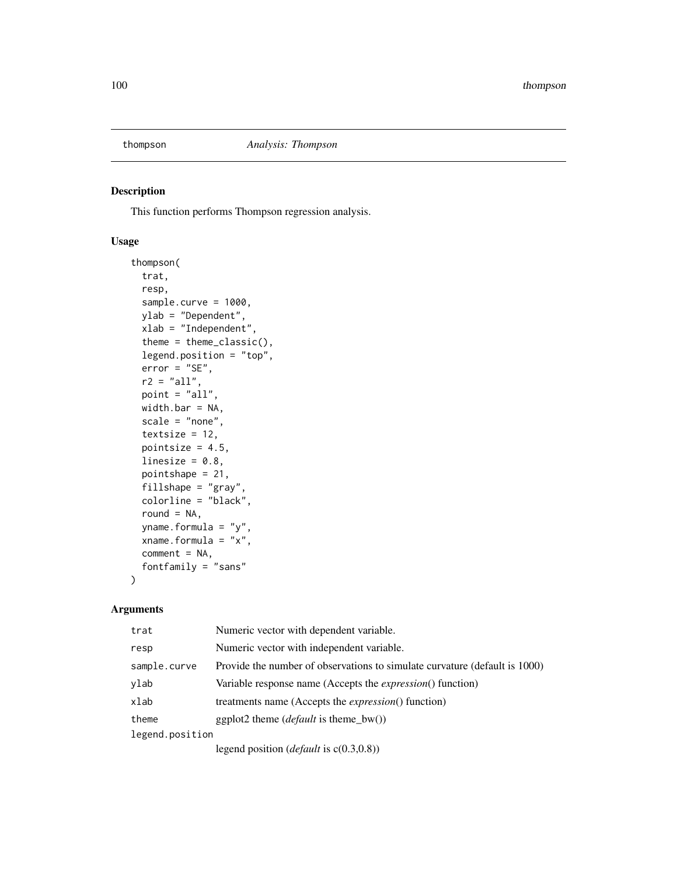This function performs Thompson regression analysis.

#### Usage

```
thompson(
  trat,
 resp,
  sample.curve = 1000,
 ylab = "Dependent",
 xlab = "Independent",
  theme = theme_classic(),
 legend.position = "top",
 error = "SE",r2 = "all",point = "all",
 width.bar = NA,
 scale = "none",
 textsize = 12,
 pointsize = 4.5,
 linesize = 0.8,
 pointshape = 21,
  fillshape = "gray",
  colorline = "black",
  round = NA,
 yname.formula = "y",
 xname.formula = "x",
 comment = NA,fontfamily = "sans"
)
```

| trat            | Numeric vector with dependent variable.                                    |
|-----------------|----------------------------------------------------------------------------|
| resp            | Numeric vector with independent variable.                                  |
| sample.curve    | Provide the number of observations to simulate curvature (default is 1000) |
| ylab            | Variable response name (Accepts the <i>expression</i> () function)         |
| xlab            | treatments name (Accepts the <i>expression</i> () function)                |
| theme           | ggplot2 theme ( <i>default</i> is theme_bw())                              |
| legend.position |                                                                            |
|                 | legend position ( <i>default</i> is $c(0.3,0.8)$ )                         |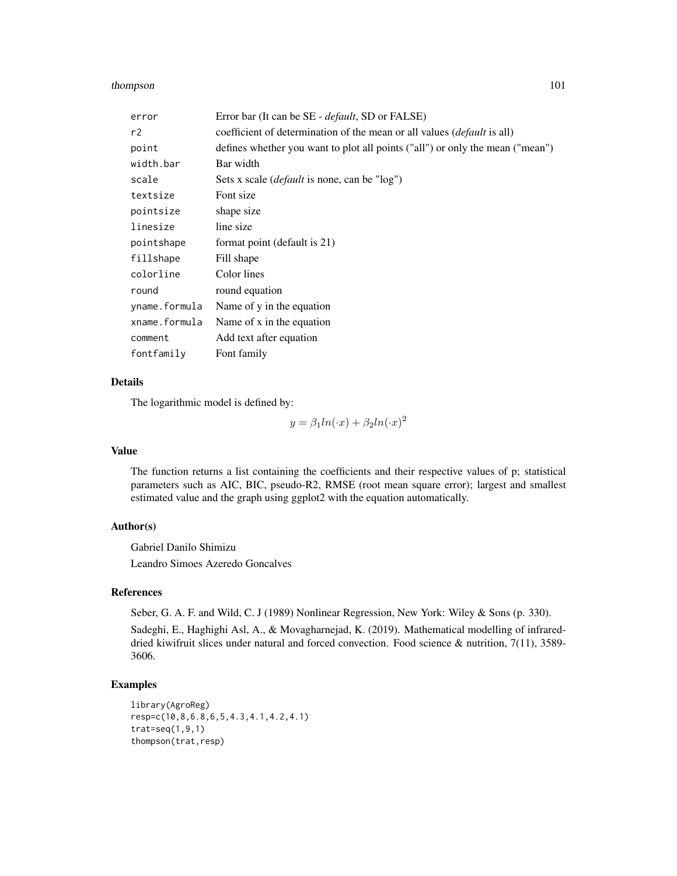#### thompson 101

| error         | Error bar (It can be SE - <i>default</i> , SD or FALSE)                        |
|---------------|--------------------------------------------------------------------------------|
| r2            | coefficient of determination of the mean or all values <i>(default is all)</i> |
| point         | defines whether you want to plot all points ("all") or only the mean ("mean")  |
| width.bar     | Bar width                                                                      |
| scale         | Sets x scale <i>(default</i> is none, can be "log")                            |
| textsize      | Font size                                                                      |
| pointsize     | shape size                                                                     |
| linesize      | line size                                                                      |
| pointshape    | format point (default is 21)                                                   |
| fillshape     | Fill shape                                                                     |
| colorline     | Color lines                                                                    |
| round         | round equation                                                                 |
| yname.formula | Name of y in the equation                                                      |
| xname.formula | Name of x in the equation                                                      |
| comment       | Add text after equation                                                        |
| fontfamily    | Font family                                                                    |

## Details

The logarithmic model is defined by:

$$
y = \beta_1 ln(\cdot x) + \beta_2 ln(\cdot x)^2
$$

## Value

The function returns a list containing the coefficients and their respective values of p; statistical parameters such as AIC, BIC, pseudo-R2, RMSE (root mean square error); largest and smallest estimated value and the graph using ggplot2 with the equation automatically.

# Author(s)

Gabriel Danilo Shimizu

Leandro Simoes Azeredo Goncalves

#### References

Seber, G. A. F. and Wild, C. J (1989) Nonlinear Regression, New York: Wiley & Sons (p. 330).

Sadeghi, E., Haghighi Asl, A., & Movagharnejad, K. (2019). Mathematical modelling of infrareddried kiwifruit slices under natural and forced convection. Food science & nutrition, 7(11), 3589- 3606.

```
library(AgroReg)
resp=c(10,8,6.8,6,5,4.3,4.1,4.2,4.1)
trat=seq(1,9,1)
thompson(trat,resp)
```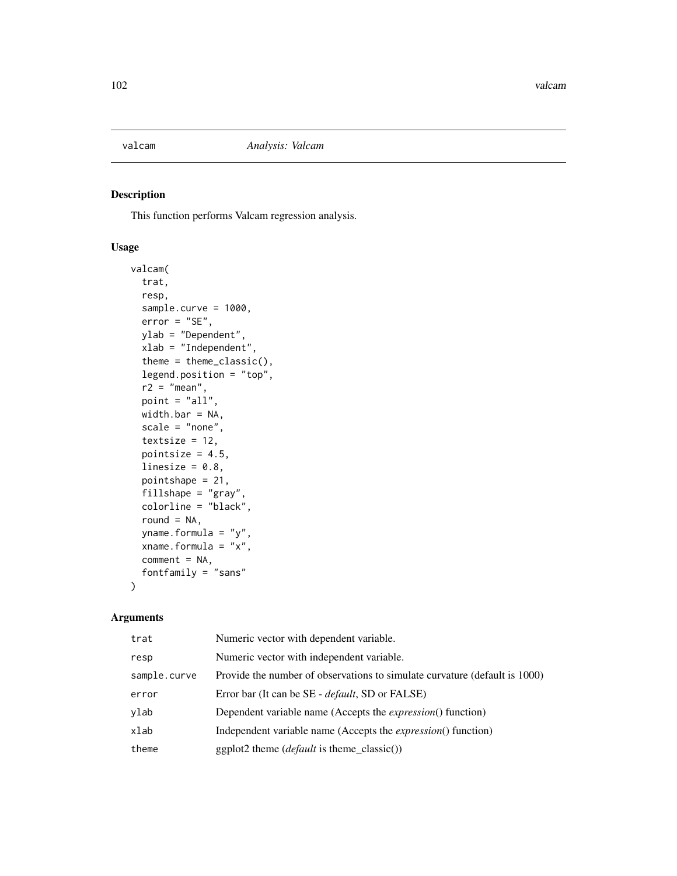This function performs Valcam regression analysis.

## Usage

```
valcam(
  trat,
  resp,
  sample.curve = 1000,
  error = "SE",
  ylab = "Dependent",
 xlab = "Independent",
  theme = theme_classic(),
  legend.position = "top",
  r2 = "mean",point = "all",
 width.bar = NA,
  scale = "none",
  textsize = 12,
  pointsize = 4.5,
  linesize = 0.8,
  pointshape = 21,
  fillshape = "gray",
  colorline = "black",
  round = NA,
  yname.formula = "y",
  xname.formula = "x",
  comment = NA,
  fontfamily = "sans"
)
```

| trat         | Numeric vector with dependent variable.                                    |
|--------------|----------------------------------------------------------------------------|
| resp         | Numeric vector with independent variable.                                  |
| sample.curve | Provide the number of observations to simulate curvature (default is 1000) |
| error        | Error bar (It can be SE - <i>default</i> , SD or FALSE)                    |
| ylab         | Dependent variable name (Accepts the <i>expression</i> () function)        |
| xlab         | Independent variable name (Accepts the <i>expression</i> () function)      |
| theme        | $ggplot2$ theme ( <i>default</i> is theme_classic())                       |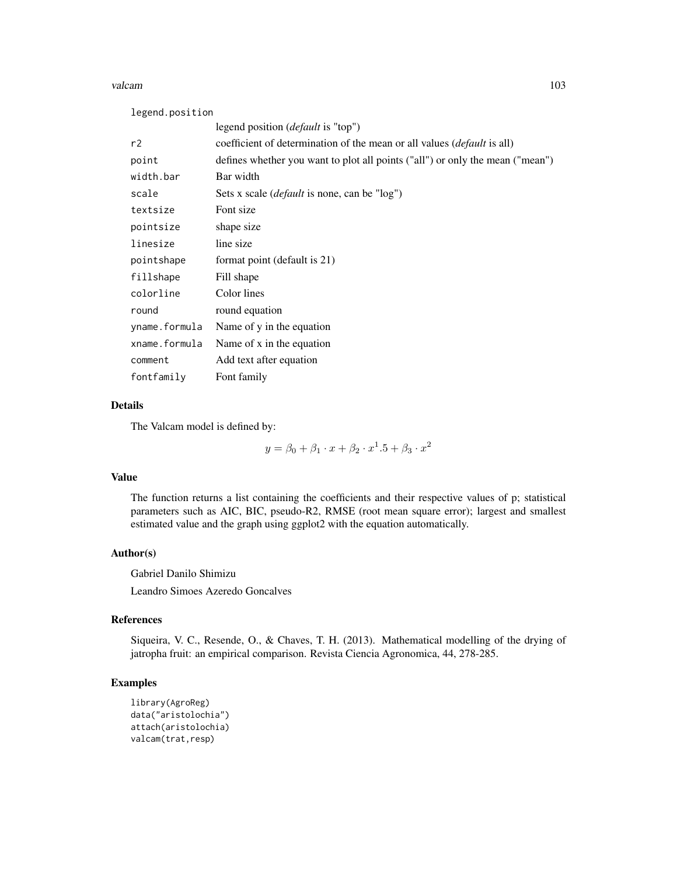#### valcam and the state of the state of the state of the state of the state of the state of the state of the state of the state of the state of the state of the state of the state of the state of the state of the state of the

legend.position

|               | legend position ( <i>default</i> is "top")                                     |
|---------------|--------------------------------------------------------------------------------|
| r2            | coefficient of determination of the mean or all values <i>(default is all)</i> |
| point         | defines whether you want to plot all points ("all") or only the mean ("mean")  |
| width.bar     | Bar width                                                                      |
| scale         | Sets x scale ( <i>default</i> is none, can be "log")                           |
| textsize      | Font size                                                                      |
| pointsize     | shape size                                                                     |
| linesize      | line size                                                                      |
| pointshape    | format point (default is 21)                                                   |
| fillshape     | Fill shape                                                                     |
| colorline     | Color lines                                                                    |
| round         | round equation                                                                 |
| yname.formula | Name of y in the equation                                                      |
| xname.formula | Name of x in the equation                                                      |
| comment       | Add text after equation                                                        |
| fontfamily    | Font family                                                                    |

## Details

The Valcam model is defined by:

 $y = \beta_0 + \beta_1 \cdot x + \beta_2 \cdot x^1 \cdot 5 + \beta_3 \cdot x^2$ 

#### Value

The function returns a list containing the coefficients and their respective values of p; statistical parameters such as AIC, BIC, pseudo-R2, RMSE (root mean square error); largest and smallest estimated value and the graph using ggplot2 with the equation automatically.

## Author(s)

Gabriel Danilo Shimizu Leandro Simoes Azeredo Goncalves

# References

Siqueira, V. C., Resende, O., & Chaves, T. H. (2013). Mathematical modelling of the drying of jatropha fruit: an empirical comparison. Revista Ciencia Agronomica, 44, 278-285.

```
library(AgroReg)
data("aristolochia")
attach(aristolochia)
valcam(trat,resp)
```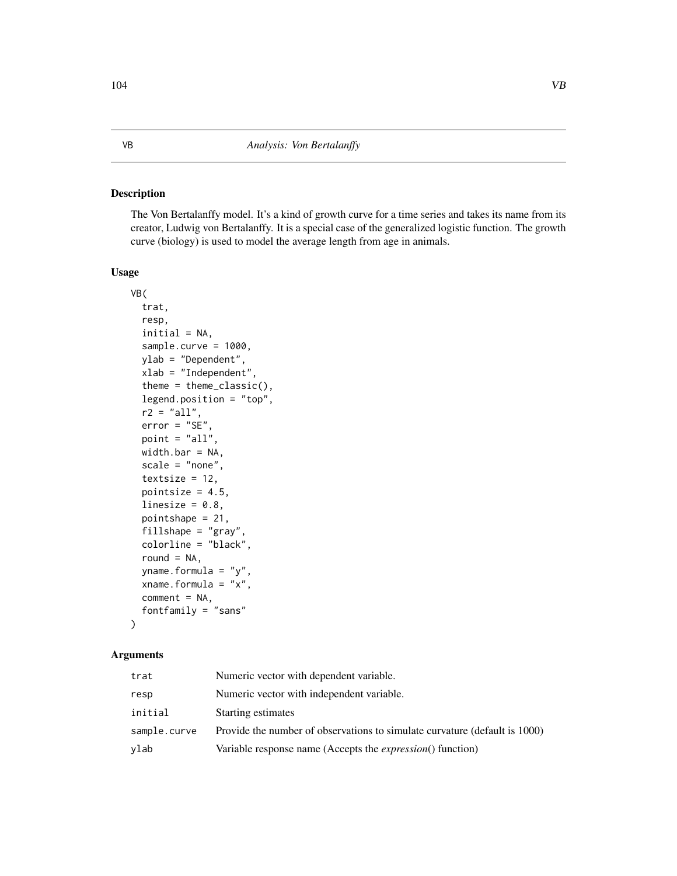The Von Bertalanffy model. It's a kind of growth curve for a time series and takes its name from its creator, Ludwig von Bertalanffy. It is a special case of the generalized logistic function. The growth curve (biology) is used to model the average length from age in animals.

#### Usage

```
VB(
  trat,
  resp,
  initial = NA,
  sample.curve = 1000,
  ylab = "Dependent",
  xlab = "Independent",
  theme = theme_classic(),
  legend.position = "top",
  r2 = "all",error = "SE",point = "all",width.bar = NA,
  scale = "none",
  textsize = 12,pointsize = 4.5,
  linesize = 0.8,
  pointshape = 21,
  fillshape = "gray",
  colorline = "black",
  round = NA,
  yname.formula = "y",
  xname.formula = "x",
  comment = NA,fontfamily = "sans"
```
## Arguments

)

| trat         | Numeric vector with dependent variable.                                    |
|--------------|----------------------------------------------------------------------------|
| resp         | Numeric vector with independent variable.                                  |
| initial      | Starting estimates                                                         |
| sample.curve | Provide the number of observations to simulate curvature (default is 1000) |
| ylab         | Variable response name (Accepts the <i>expression</i> () function)         |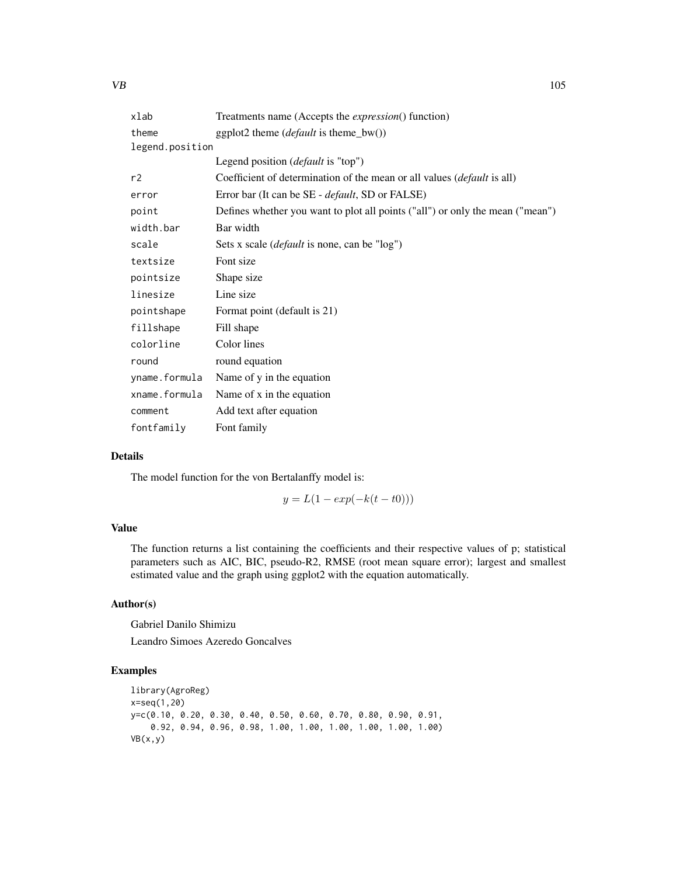| xlab            | Treatments name (Accepts the <i>expression</i> () function)                     |
|-----------------|---------------------------------------------------------------------------------|
| theme           | ggplot2 theme $(default \text{ is theme_bw}))$                                  |
| legend.position |                                                                                 |
|                 | Legend position ( <i>default</i> is "top")                                      |
| r2              | Coefficient of determination of the mean or all values ( <i>default</i> is all) |
| error           | Error bar (It can be SE - <i>default</i> , SD or FALSE)                         |
| point           | Defines whether you want to plot all points ("all") or only the mean ("mean")   |
| width.bar       | Bar width                                                                       |
| scale           | Sets x scale ( <i>default</i> is none, can be "log")                            |
| textsize        | Font size                                                                       |
| pointsize       | Shape size                                                                      |
| linesize        | Line size                                                                       |
| pointshape      | Format point (default is 21)                                                    |
| fillshape       | Fill shape                                                                      |
| colorline       | Color lines                                                                     |
| round           | round equation                                                                  |
| yname.formula   | Name of y in the equation                                                       |
| xname.formula   | Name of x in the equation                                                       |
| comment         | Add text after equation                                                         |
| fontfamily      | Font family                                                                     |

## Details

The model function for the von Bertalanffy model is:

$$
y = L(1 - exp(-k(t - t0)))
$$

## Value

The function returns a list containing the coefficients and their respective values of p; statistical parameters such as AIC, BIC, pseudo-R2, RMSE (root mean square error); largest and smallest estimated value and the graph using ggplot2 with the equation automatically.

## Author(s)

Gabriel Danilo Shimizu

Leandro Simoes Azeredo Goncalves

```
library(AgroReg)
x=seq(1,20)
y=c(0.10, 0.20, 0.30, 0.40, 0.50, 0.60, 0.70, 0.80, 0.90, 0.91,
   0.92, 0.94, 0.96, 0.98, 1.00, 1.00, 1.00, 1.00, 1.00, 1.00)
VB(x,y)
```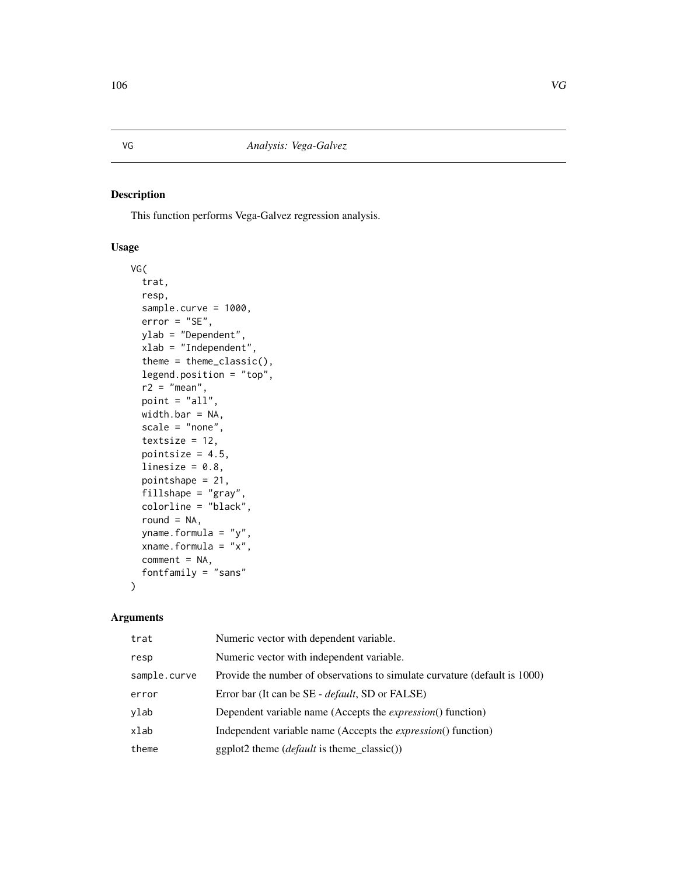This function performs Vega-Galvez regression analysis.

## Usage

```
VG(
  trat,
  resp,
  sample.curve = 1000,
  error = "SE",
 ylab = "Dependent",
 xlab = "Independent",
  theme = theme_classic(),
  legend.position = "top",
  r2 = "mean",point = "all",
 width.bar = NA,
  scale = "none",
  textsize = 12,
  pointsize = 4.5,
  linesize = 0.8,
  pointshape = 21,
  fillshape = "gray",
  colorline = "black",
  round = NA,
  yname.formula = "y",
  xname.formula = "x",
  comment = NA,fontfamily = "sans"
)
```

| trat         | Numeric vector with dependent variable.                                    |
|--------------|----------------------------------------------------------------------------|
| resp         | Numeric vector with independent variable.                                  |
| sample.curve | Provide the number of observations to simulate curvature (default is 1000) |
| error        | Error bar (It can be SE - <i>default</i> , SD or FALSE)                    |
| ylab         | Dependent variable name (Accepts the <i>expression</i> () function)        |
| xlab         | Independent variable name (Accepts the <i>expression</i> () function)      |
| theme        | $ggplot2$ theme ( <i>default</i> is theme_classic())                       |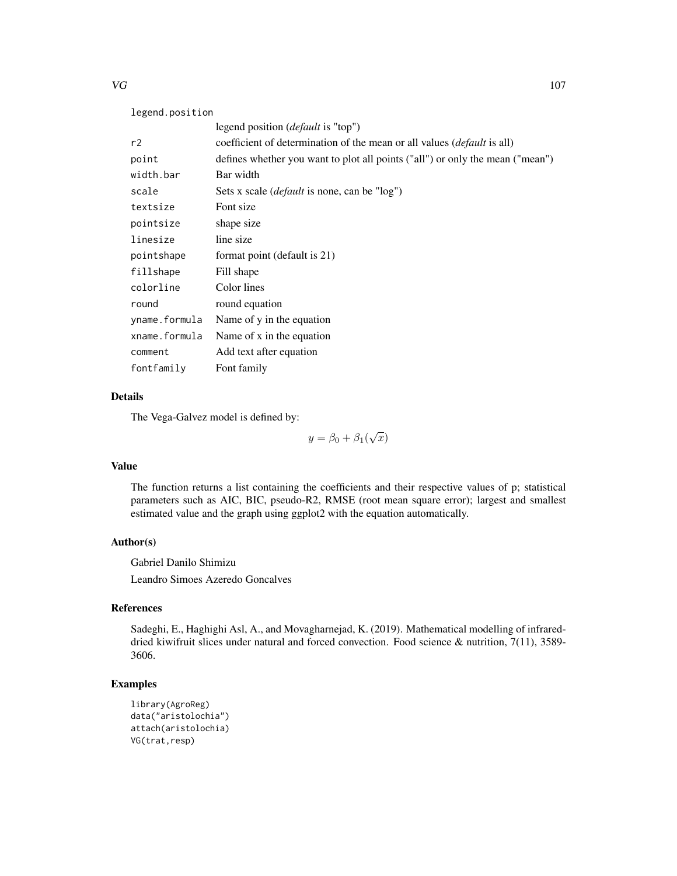## legend.position

|               | legend position ( <i>default</i> is "top")                                     |
|---------------|--------------------------------------------------------------------------------|
| r2            | coefficient of determination of the mean or all values <i>(default is all)</i> |
| point         | defines whether you want to plot all points ("all") or only the mean ("mean")  |
| width.bar     | Bar width                                                                      |
| scale         | Sets x scale <i>(default</i> is none, can be "log")                            |
| textsize      | Font size                                                                      |
| pointsize     | shape size                                                                     |
| linesize      | line size                                                                      |
| pointshape    | format point (default is 21)                                                   |
| fillshape     | Fill shape                                                                     |
| colorline     | Color lines                                                                    |
| round         | round equation                                                                 |
| yname.formula | Name of y in the equation                                                      |
| xname.formula | Name of x in the equation                                                      |
| comment       | Add text after equation                                                        |
| fontfamily    | Font family                                                                    |

## Details

The Vega-Galvez model is defined by:

 $y = \beta_0 + \beta_1(\sqrt{x})$ 

## Value

The function returns a list containing the coefficients and their respective values of p; statistical parameters such as AIC, BIC, pseudo-R2, RMSE (root mean square error); largest and smallest estimated value and the graph using ggplot2 with the equation automatically.

#### Author(s)

Gabriel Danilo Shimizu Leandro Simoes Azeredo Goncalves

# References

Sadeghi, E., Haghighi Asl, A., and Movagharnejad, K. (2019). Mathematical modelling of infrareddried kiwifruit slices under natural and forced convection. Food science & nutrition, 7(11), 3589- 3606.

```
library(AgroReg)
data("aristolochia")
attach(aristolochia)
VG(trat,resp)
```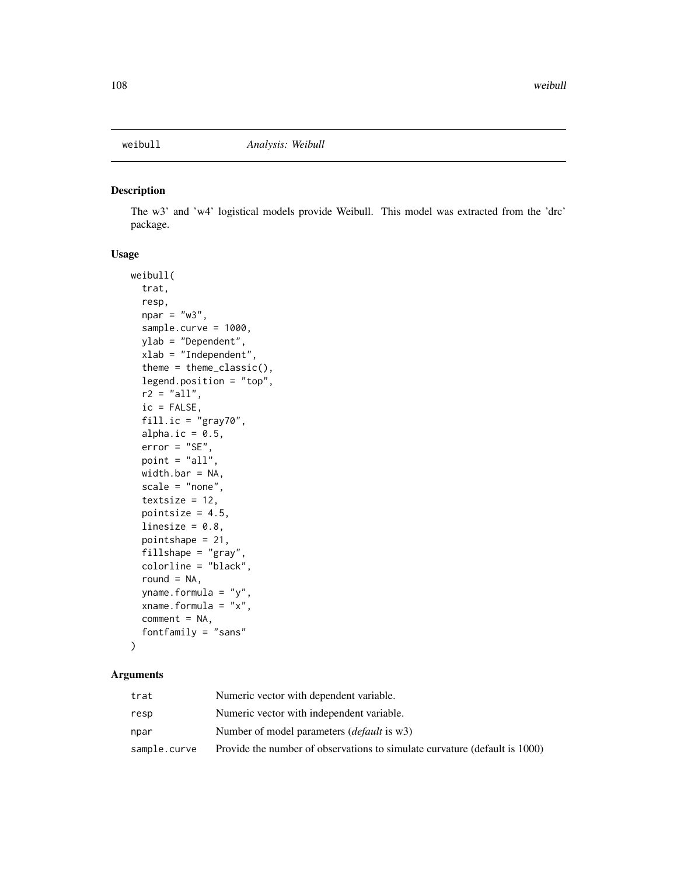The w3' and 'w4' logistical models provide Weibull. This model was extracted from the 'drc' package.

## Usage

```
weibull(
  trat,
  resp,
  npar = "w3",sample.curve = 1000,
 ylab = "Dependent",
  xlab = "Independent",
  theme = theme_classic(),
  legend.position = "top",
  r2 = "all",ic = FALSE,
  fill.ic = "gray70",
  alpha.ic = 0.5,
  error = "SE",point = "all",width.bar = NA,
  scale = "none",
  textsize = 12,
  pointsize = 4.5,
  linesize = 0.8,
  pointshape = 21,
  fillshape = "gray",
  colorline = "black",
  round = NA,
  yname.formula = "y",
  xname.formula = "x",comment = NA,
  fontfamily = "sans"
)
```

| trat         | Numeric vector with dependent variable.                                    |
|--------------|----------------------------------------------------------------------------|
| resp         | Numeric vector with independent variable.                                  |
| npar         | Number of model parameters <i>(default</i> is w3)                          |
| sample.curve | Provide the number of observations to simulate curvature (default is 1000) |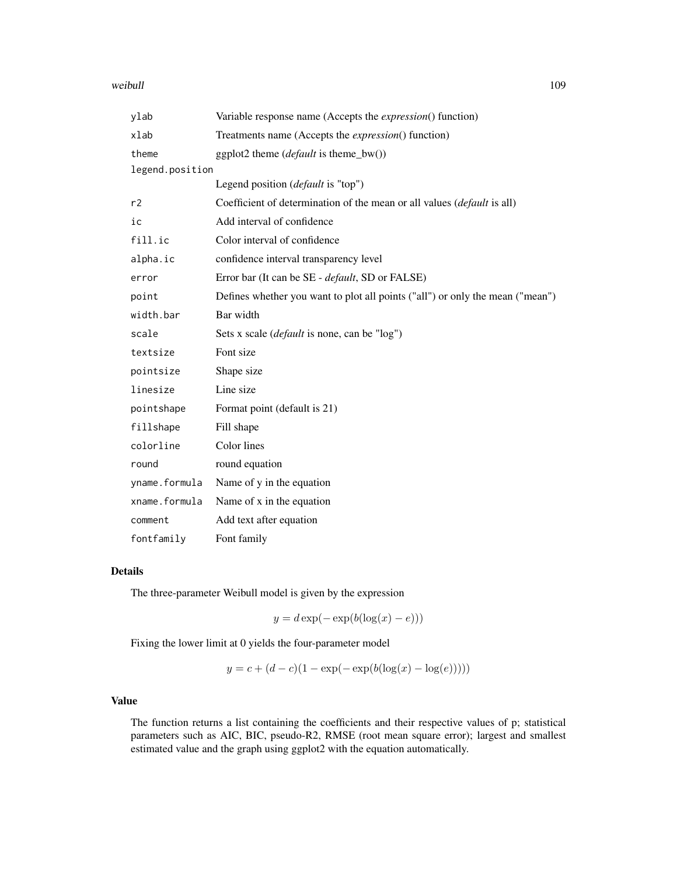#### weibull and the contract of the contract of the contract of the contract of the contract of the contract of the contract of the contract of the contract of the contract of the contract of the contract of the contract of th

| ylab            | Variable response name (Accepts the <i>expression</i> () function)            |  |
|-----------------|-------------------------------------------------------------------------------|--|
| xlab            | Treatments name (Accepts the <i>expression</i> () function)                   |  |
| theme           | ggplot2 theme $(default \text{ is theme_bw}))$                                |  |
| legend.position |                                                                               |  |
|                 | Legend position (default is "top")                                            |  |
| r2              | Coefficient of determination of the mean or all values (default is all)       |  |
| ic              | Add interval of confidence                                                    |  |
| fill.ic         | Color interval of confidence                                                  |  |
| alpha.ic        | confidence interval transparency level                                        |  |
| error           | Error bar (It can be SE - <i>default</i> , SD or FALSE)                       |  |
| point           | Defines whether you want to plot all points ("all") or only the mean ("mean") |  |
| width.bar       | Bar width                                                                     |  |
| scale           | Sets x scale ( <i>default</i> is none, can be "log")                          |  |
| textsize        | Font size                                                                     |  |
| pointsize       | Shape size                                                                    |  |
| linesize        | Line size                                                                     |  |
| pointshape      | Format point (default is 21)                                                  |  |
| fillshape       | Fill shape                                                                    |  |
| colorline       | Color lines                                                                   |  |
| round           | round equation                                                                |  |
| yname.formula   | Name of y in the equation                                                     |  |
| xname.formula   | Name of x in the equation                                                     |  |
| comment         | Add text after equation                                                       |  |
| fontfamily      | Font family                                                                   |  |

# Details

The three-parameter Weibull model is given by the expression

 $y = d \exp(-\exp(b(\log(x) - e)))$ 

Fixing the lower limit at 0 yields the four-parameter model

$$
y = c + (d - c)(1 - \exp(-\exp(b(\log(x) - \log(e))))
$$

### Value

The function returns a list containing the coefficients and their respective values of p; statistical parameters such as AIC, BIC, pseudo-R2, RMSE (root mean square error); largest and smallest estimated value and the graph using ggplot2 with the equation automatically.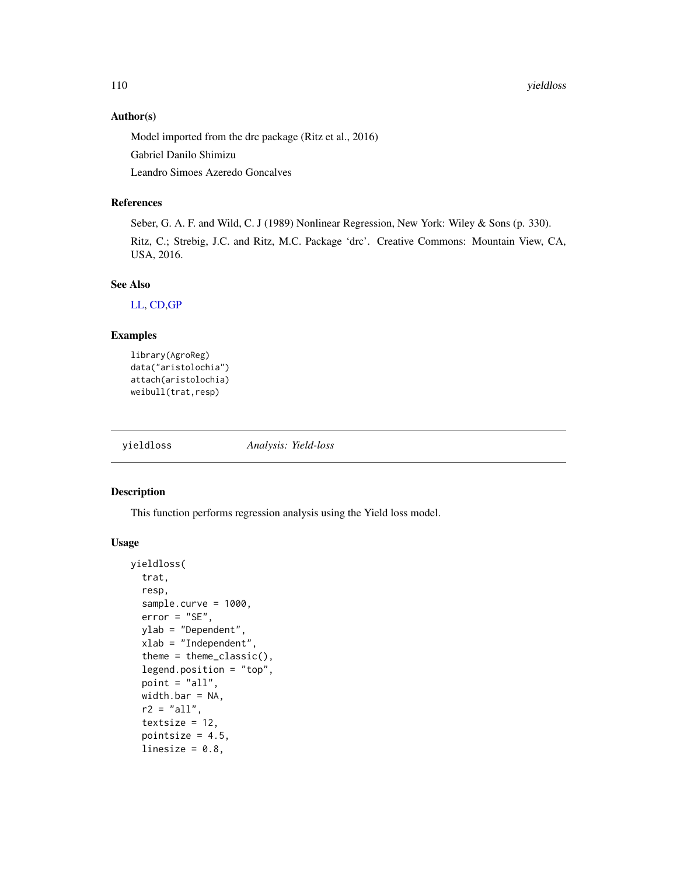#### 110 yieldloss and the set of the set of the set of the set of the set of the set of the set of the set of the set of the set of the set of the set of the set of the set of the set of the set of the set of the set of the se

#### Author(s)

Model imported from the drc package (Ritz et al., 2016)

Gabriel Danilo Shimizu

Leandro Simoes Azeredo Goncalves

# References

Seber, G. A. F. and Wild, C. J (1989) Nonlinear Regression, New York: Wiley & Sons (p. 330). Ritz, C.; Strebig, J.C. and Ritz, M.C. Package 'drc'. Creative Commons: Mountain View, CA, USA, 2016.

#### See Also

[LL,](#page-38-0) [CD](#page-19-0)[,GP](#page-28-0)

# Examples

```
library(AgroReg)
data("aristolochia")
attach(aristolochia)
weibull(trat,resp)
```
yieldloss *Analysis: Yield-loss*

# Description

This function performs regression analysis using the Yield loss model.

#### Usage

```
yieldloss(
  trat,
  resp,
  sample.curve = 1000,
  error = "SE",ylab = "Dependent",
  xlab = "Independent",
  theme = theme_classic(),
  legend.position = "top",
  point = "all",width.bar = NA,
  r2 = "all",textsize = 12,pointsize = 4.5,
  linesize = 0.8,
```
<span id="page-109-0"></span>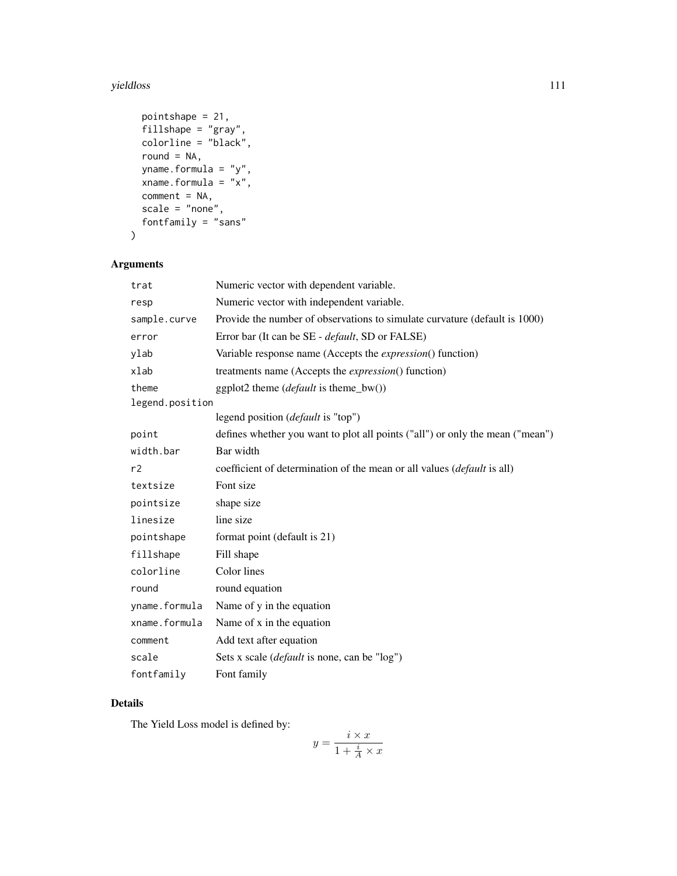#### yieldloss 111

```
pointshape = 21,
fillshape = "gray",
colorline = "black",round = NA,
yname.formula = "y",
xname.formula = "x",
comment = NA,scale = "none",
fontfamily = "sans"
```

```
\mathcal{L}
```
# Arguments

| trat            | Numeric vector with dependent variable.                                         |
|-----------------|---------------------------------------------------------------------------------|
| resp            | Numeric vector with independent variable.                                       |
| sample.curve    | Provide the number of observations to simulate curvature (default is 1000)      |
| error           | Error bar (It can be SE - <i>default</i> , SD or FALSE)                         |
| ylab            | Variable response name (Accepts the <i>expression</i> () function)              |
| xlab            | treatments name (Accepts the <i>expression</i> () function)                     |
| theme           | ggplot2 theme ( <i>default</i> is theme_bw())                                   |
| legend.position |                                                                                 |
|                 | legend position ( <i>default</i> is "top")                                      |
| point           | defines whether you want to plot all points ("all") or only the mean ("mean")   |
| width.bar       | Bar width                                                                       |
| r2              | coefficient of determination of the mean or all values ( <i>default</i> is all) |
| textsize        | Font size                                                                       |
| pointsize       | shape size                                                                      |
| linesize        | line size                                                                       |
| pointshape      | format point (default is 21)                                                    |
| fillshape       | Fill shape                                                                      |
| colorline       | Color lines                                                                     |
| round           | round equation                                                                  |
| yname.formula   | Name of y in the equation                                                       |
| xname.formula   | Name of x in the equation                                                       |
| comment         | Add text after equation                                                         |
| scale           | Sets x scale ( <i>default</i> is none, can be "log")                            |
| fontfamily      | Font family                                                                     |

# Details

The Yield Loss model is defined by:

$$
y = \frac{i \times x}{1 + \frac{i}{A} \times x}
$$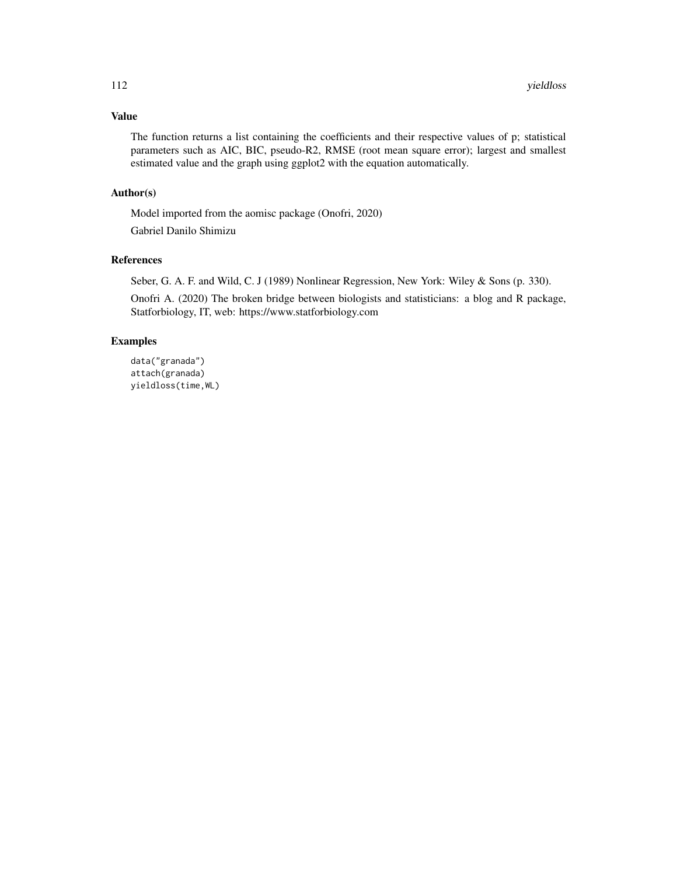# Value

The function returns a list containing the coefficients and their respective values of p; statistical parameters such as AIC, BIC, pseudo-R2, RMSE (root mean square error); largest and smallest estimated value and the graph using ggplot2 with the equation automatically.

#### Author(s)

Model imported from the aomisc package (Onofri, 2020)

Gabriel Danilo Shimizu

#### References

Seber, G. A. F. and Wild, C. J (1989) Nonlinear Regression, New York: Wiley & Sons (p. 330).

Onofri A. (2020) The broken bridge between biologists and statisticians: a blog and R package, Statforbiology, IT, web: https://www.statforbiology.com

# Examples

```
data("granada")
attach(granada)
yieldloss(time,WL)
```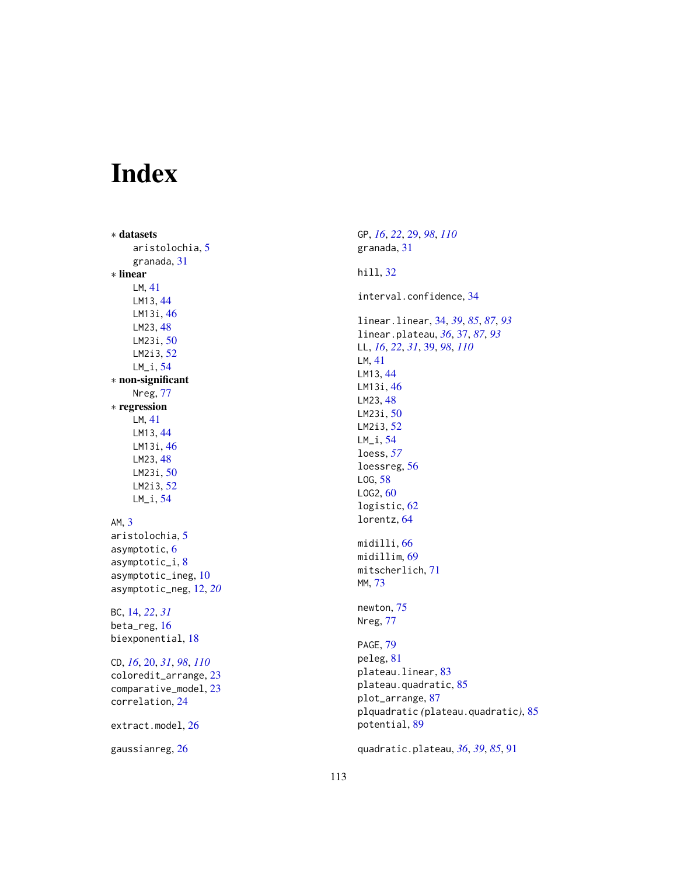# Index

∗ datasets aristolochia , [5](#page-4-0) granada , [31](#page-30-0) ∗ linear LM , [41](#page-40-0) LM13 , [44](#page-43-0) LM13i, [46](#page-45-0) LM23 , [48](#page-47-0) LM23i , [50](#page-49-0) LM2i3 , [52](#page-51-0) LM\_i , [54](#page-53-0) ∗ non-significant Nreg , [77](#page-76-0) ∗ regression LM , [41](#page-40-0) LM13 , [44](#page-43-0) LM13i , [46](#page-45-0) LM23 , [48](#page-47-0) LM23i , [50](#page-49-0) LM2i3 , [52](#page-51-0) LM\_i , [54](#page-53-0) AM , [3](#page-2-0) aristolochia, <mark>[5](#page-4-0)</mark> asymptotic, [6](#page-5-0) asymptotic\_i , [8](#page-7-0) asymptotic\_ineg , [10](#page-9-0) asymptotic\_neg , [12](#page-11-0) , *[20](#page-19-1)* BC , [14](#page-13-0) , *[22](#page-21-0)* , *[31](#page-30-0)* beta\_reg , [16](#page-15-0) biexponential , [18](#page-17-0) CD , *[16](#page-15-0)* , [20](#page-19-1) , *[31](#page-30-0)* , *[98](#page-97-0)* , *[110](#page-109-0)* coloredit\_arrange , [23](#page-22-0) comparative\_model , [23](#page-22-0) correlation , [24](#page-23-0) extract.model, $26$ 

gaussianreg, $26$ 

GP , *[16](#page-15-0)* , *[22](#page-21-0)* , [29](#page-28-1) , *[98](#page-97-0)* , *[110](#page-109-0)* granada , [31](#page-30-0) hill , [32](#page-31-0) interval.confidence , [34](#page-33-0) linear.linear , [34](#page-33-0) , *[39](#page-38-1)* , *[85](#page-84-0)* , *[87](#page-86-0)* , *[93](#page-92-0)* linear.plateau , *[36](#page-35-0)* , [37](#page-36-0) , *[87](#page-86-0)* , *[93](#page-92-0)* LL , *[16](#page-15-0)* , *[22](#page-21-0)* , *[31](#page-30-0)* , [39](#page-38-1) , *[98](#page-97-0)* , *[110](#page-109-0)* LM , [41](#page-40-0) LM13 , [44](#page-43-0) LM13i, [46](#page-45-0) LM23, [48](#page-47-0) LM23i , [50](#page-49-0) LM2i3 , [52](#page-51-0) LM\_i , [54](#page-53-0) loess , *[57](#page-56-0)* loessreg, [56](#page-55-0) LOG, [58](#page-57-0) LOG2, [60](#page-59-0) logistic, [62](#page-61-0) lorentz , [64](#page-63-0) midilli , [66](#page-65-0) midillim , [69](#page-68-0) mitscherlich , [71](#page-70-0) MM , [73](#page-72-0) newton , [75](#page-74-0) Nreg , [77](#page-76-0) PAGE, [79](#page-78-0) peleg , [81](#page-80-0) plateau.linear , [83](#page-82-0) plateau.quadratic, [85](#page-84-0) plot\_arrange , [87](#page-86-0) plquadratic *(*plateau.quadratic *)* , [85](#page-84-0) potential , [89](#page-88-0) quadratic.plateau , *[36](#page-35-0)* , *[39](#page-38-1)* , *[85](#page-84-0)* , [91](#page-90-0)